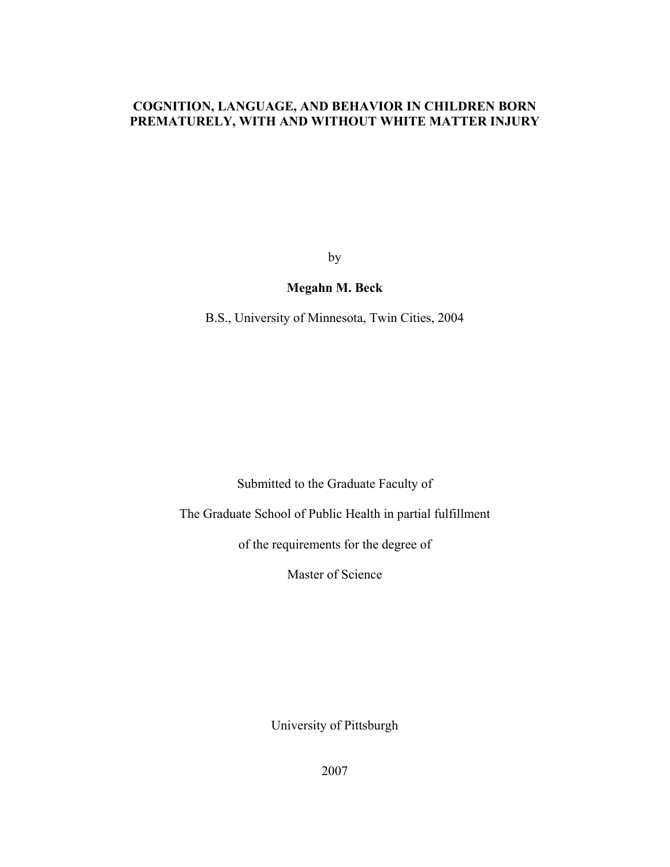### **COGNITION, LANGUAGE, AND BEHAVIOR IN CHILDREN BORN PREMATURELY, WITH AND WITHOUT WHITE MATTER INJURY**

by

### **Megahn M. Beck**

B.S., University of Minnesota, Twin Cities, 2004

Submitted to the Graduate Faculty of

The Graduate School of Public Health in partial fulfillment

of the requirements for the degree of

Master of Science

University of Pittsburgh

2007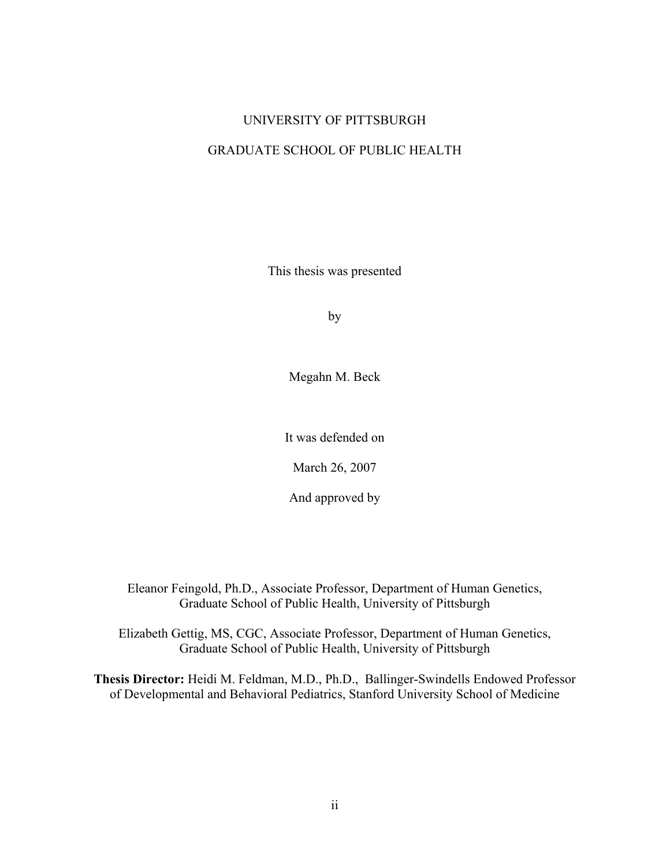## UNIVERSITY OF PITTSBURGH

### GRADUATE SCHOOL OF PUBLIC HEALTH

This thesis was presented

by

Megahn M. Beck

It was defended on

March 26, 2007

And approved by

Eleanor Feingold, Ph.D., Associate Professor, Department of Human Genetics, Graduate School of Public Health, University of Pittsburgh

Elizabeth Gettig, MS, CGC, Associate Professor, Department of Human Genetics, Graduate School of Public Health, University of Pittsburgh

**Thesis Director:** Heidi M. Feldman, M.D., Ph.D., Ballinger-Swindells Endowed Professor of Developmental and Behavioral Pediatrics, Stanford University School of Medicine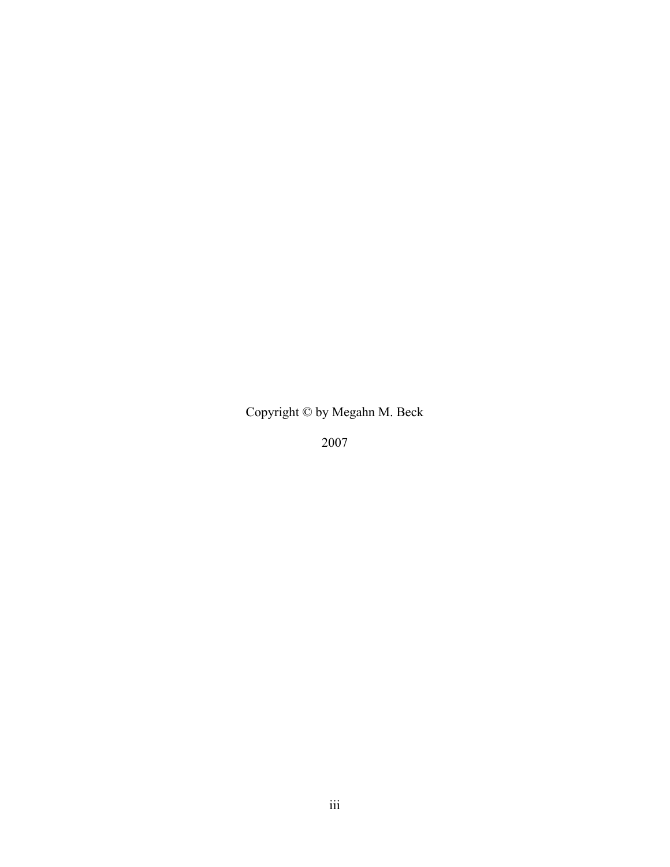Copyright © by Megahn M. Beck

2007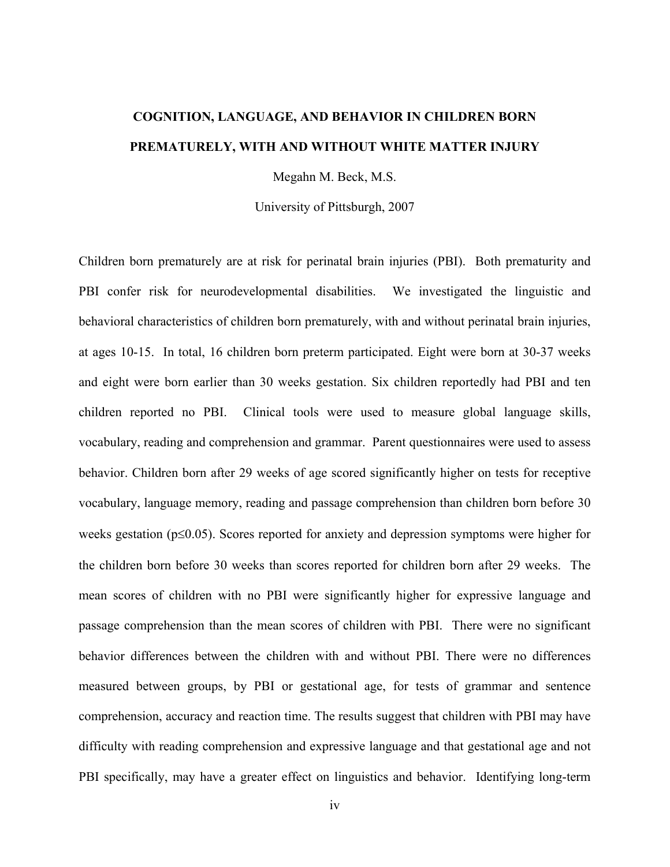# **COGNITION, LANGUAGE, AND BEHAVIOR IN CHILDREN BORN PREMATURELY, WITH AND WITHOUT WHITE MATTER INJURY**

Megahn M. Beck, M.S.

University of Pittsburgh, 2007

Children born prematurely are at risk for perinatal brain injuries (PBI). Both prematurity and PBI confer risk for neurodevelopmental disabilities. We investigated the linguistic and behavioral characteristics of children born prematurely, with and without perinatal brain injuries, at ages 10-15. In total, 16 children born preterm participated. Eight were born at 30-37 weeks and eight were born earlier than 30 weeks gestation. Six children reportedly had PBI and ten children reported no PBI. Clinical tools were used to measure global language skills, vocabulary, reading and comprehension and grammar. Parent questionnaires were used to assess behavior. Children born after 29 weeks of age scored significantly higher on tests for receptive vocabulary, language memory, reading and passage comprehension than children born before 30 weeks gestation (p≤0.05). Scores reported for anxiety and depression symptoms were higher for the children born before 30 weeks than scores reported for children born after 29 weeks. The mean scores of children with no PBI were significantly higher for expressive language and passage comprehension than the mean scores of children with PBI. There were no significant behavior differences between the children with and without PBI. There were no differences measured between groups, by PBI or gestational age, for tests of grammar and sentence comprehension, accuracy and reaction time. The results suggest that children with PBI may have difficulty with reading comprehension and expressive language and that gestational age and not PBI specifically, may have a greater effect on linguistics and behavior. Identifying long-term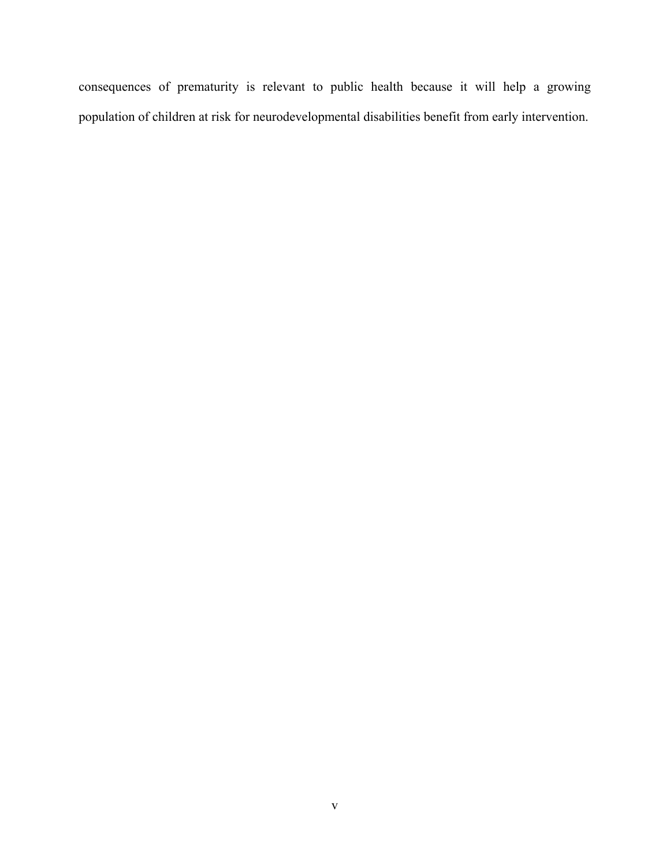consequences of prematurity is relevant to public health because it will help a growing population of children at risk for neurodevelopmental disabilities benefit from early intervention.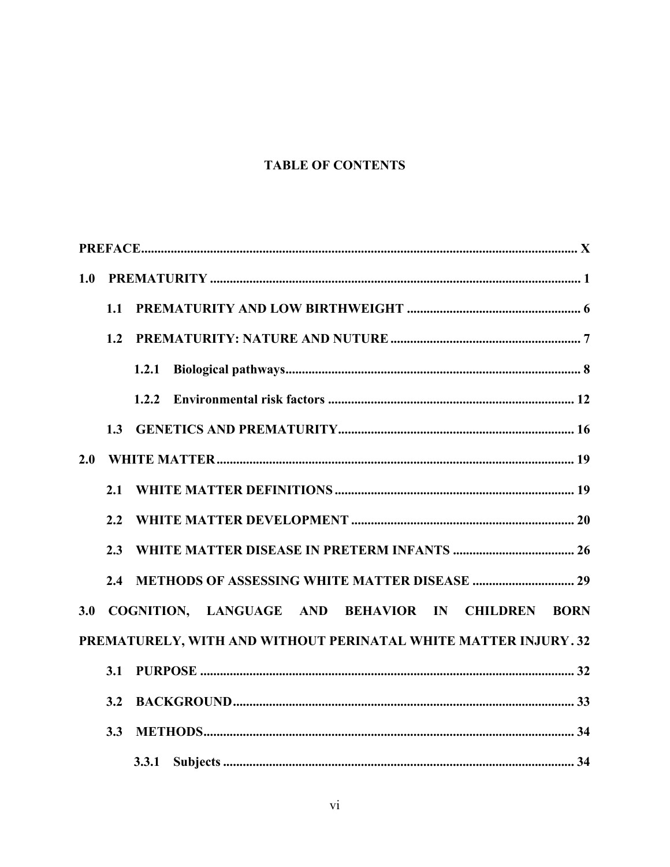# **TABLE OF CONTENTS**

| 1.0 |     |                                                                 |
|-----|-----|-----------------------------------------------------------------|
|     | 1.1 |                                                                 |
|     | 1.2 |                                                                 |
|     |     | 1.2.1                                                           |
|     |     |                                                                 |
|     | 1.3 |                                                                 |
| 2.0 |     |                                                                 |
|     | 2.1 |                                                                 |
|     | 2.2 |                                                                 |
|     | 2.3 |                                                                 |
|     | 2.4 |                                                                 |
| 3.0 |     | COGNITION, LANGUAGE AND BEHAVIOR IN CHILDREN BORN               |
|     |     | PREMATURELY, WITH AND WITHOUT PERINATAL WHITE MATTER INJURY. 32 |
|     | 3.1 |                                                                 |
|     | 3.2 |                                                                 |
|     | 3.3 |                                                                 |
|     |     | 3.3.1                                                           |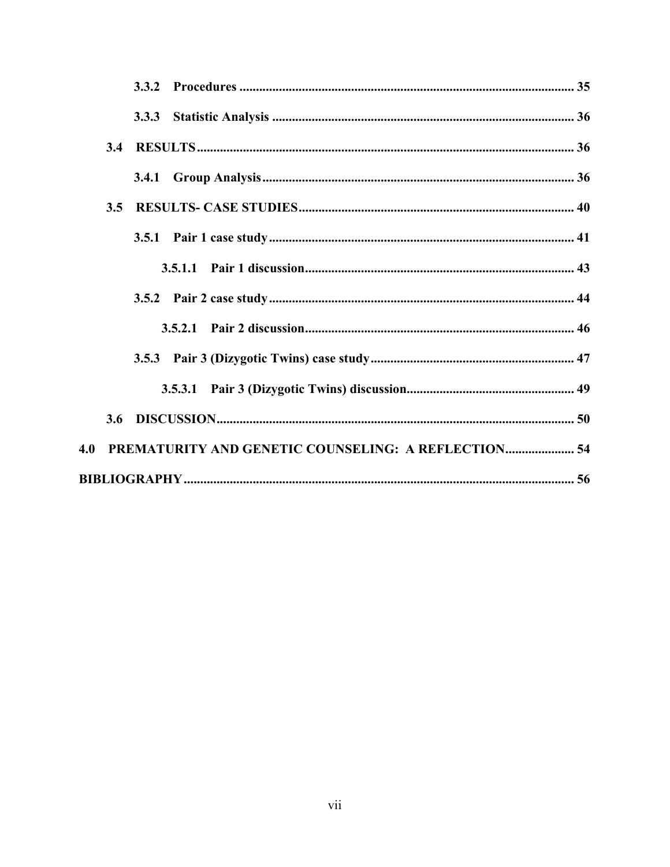|     | 3.4 |                                                     |  |
|-----|-----|-----------------------------------------------------|--|
|     |     |                                                     |  |
|     | 3.5 |                                                     |  |
|     |     |                                                     |  |
|     |     |                                                     |  |
|     |     |                                                     |  |
|     |     |                                                     |  |
|     |     |                                                     |  |
|     |     |                                                     |  |
|     | 3.6 |                                                     |  |
| 4.0 |     | PREMATURITY AND GENETIC COUNSELING: A REFLECTION 54 |  |
|     |     |                                                     |  |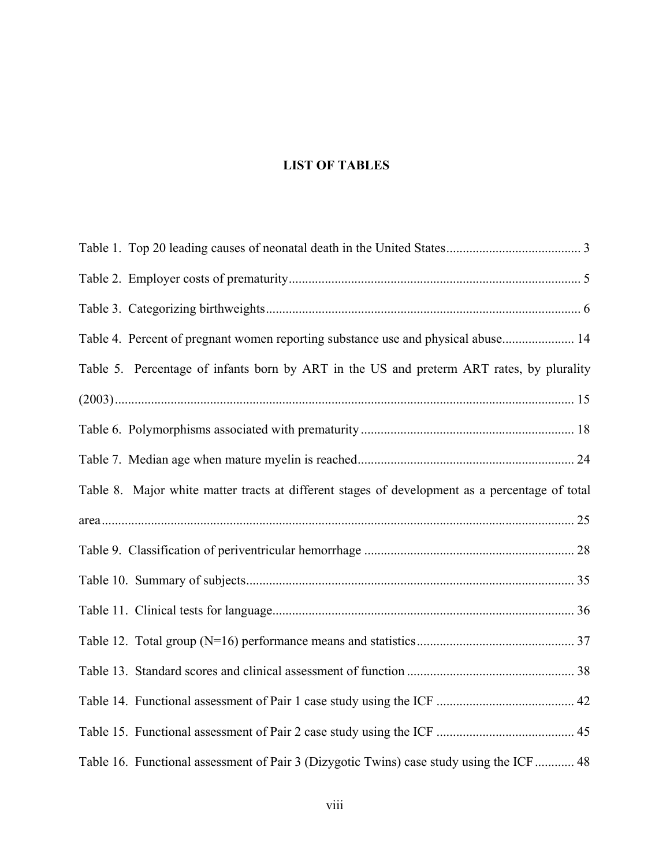# **LIST OF TABLES**

| Table 4. Percent of pregnant women reporting substance use and physical abuse 14               |
|------------------------------------------------------------------------------------------------|
| Table 5. Percentage of infants born by ART in the US and preterm ART rates, by plurality       |
|                                                                                                |
|                                                                                                |
|                                                                                                |
| Table 8. Major white matter tracts at different stages of development as a percentage of total |
|                                                                                                |
|                                                                                                |
|                                                                                                |
|                                                                                                |
|                                                                                                |
|                                                                                                |
|                                                                                                |
|                                                                                                |
| Table 16. Functional assessment of Pair 3 (Dizygotic Twins) case study using the ICF  48       |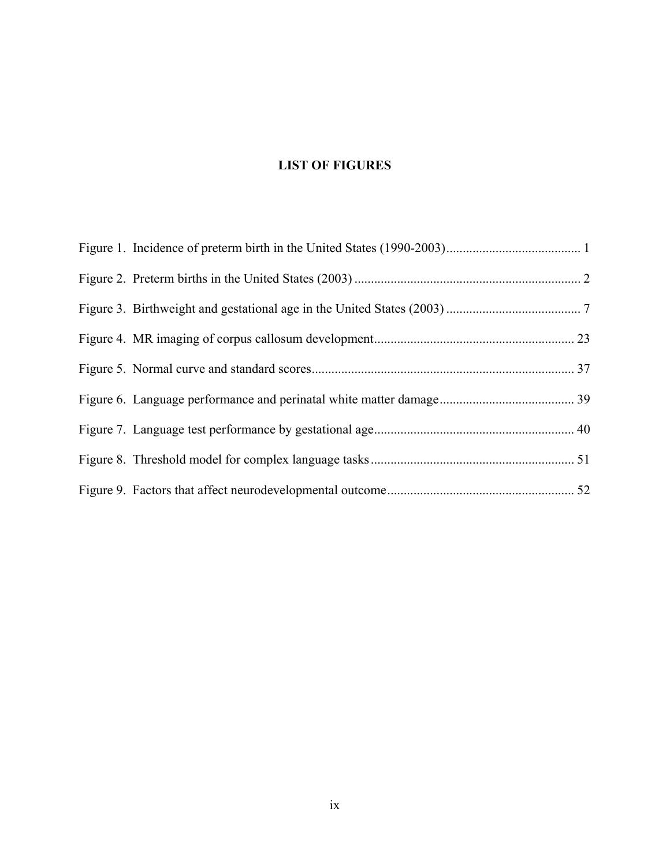# **LIST OF FIGURES**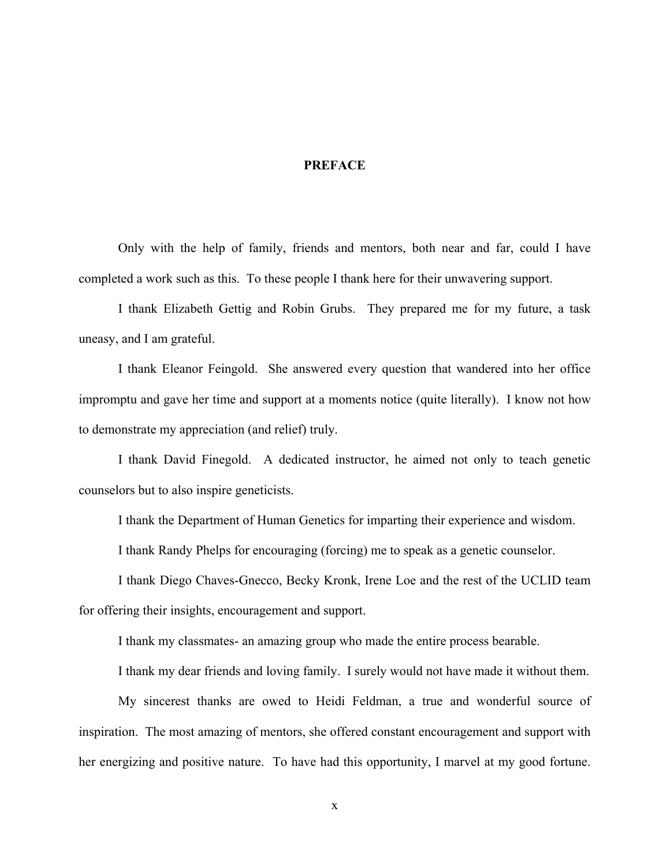#### **PREFACE**

<span id="page-9-0"></span>Only with the help of family, friends and mentors, both near and far, could I have completed a work such as this. To these people I thank here for their unwavering support.

I thank Elizabeth Gettig and Robin Grubs. They prepared me for my future, a task uneasy, and I am grateful.

I thank Eleanor Feingold. She answered every question that wandered into her office impromptu and gave her time and support at a moments notice (quite literally). I know not how to demonstrate my appreciation (and relief) truly.

I thank David Finegold. A dedicated instructor, he aimed not only to teach genetic counselors but to also inspire geneticists.

I thank the Department of Human Genetics for imparting their experience and wisdom.

I thank Randy Phelps for encouraging (forcing) me to speak as a genetic counselor.

I thank Diego Chaves-Gnecco, Becky Kronk, Irene Loe and the rest of the UCLID team for offering their insights, encouragement and support.

I thank my classmates- an amazing group who made the entire process bearable.

I thank my dear friends and loving family. I surely would not have made it without them.

My sincerest thanks are owed to Heidi Feldman, a true and wonderful source of inspiration. The most amazing of mentors, she offered constant encouragement and support with her energizing and positive nature. To have had this opportunity, I marvel at my good fortune.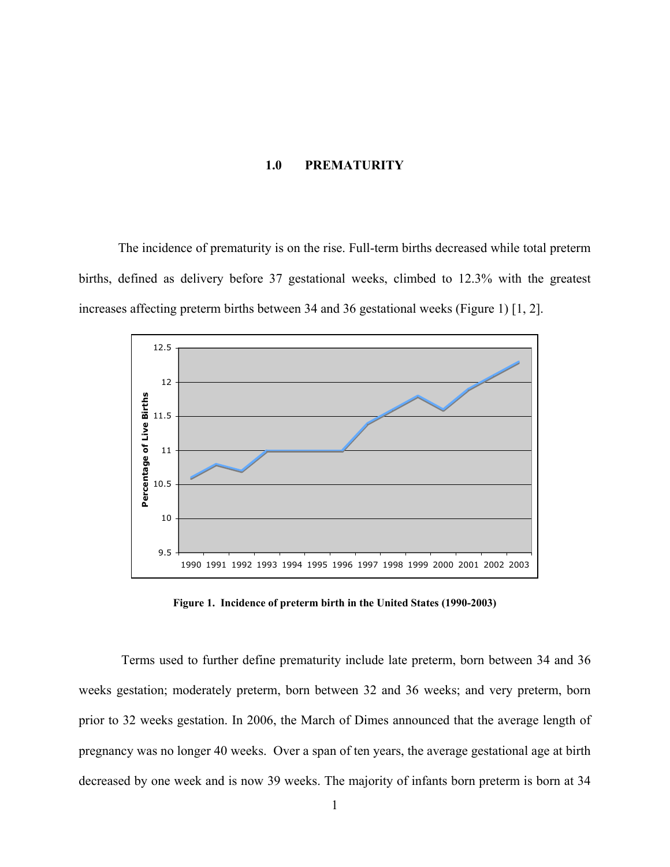#### **1.0 PREMATURITY**

<span id="page-10-0"></span>The incidence of prematurity is on the rise. Full-term births decreased while total preterm births, defined as delivery before 37 gestational weeks, climbed to 12.3% with the greatest increases affecting preterm births between 34 and 36 gestational weeks (Figure 1) [1, 2].



**Figure 1. Incidence of preterm birth in the United States (1990-2003)** 

Terms used to further define prematurity include late preterm, born between 34 and 36 weeks gestation; moderately preterm, born between 32 and 36 weeks; and very preterm, born prior to 32 weeks gestation. In 2006, the March of Dimes announced that the average length of pregnancy was no longer 40 weeks. Over a span of ten years, the average gestational age at birth decreased by one week and is now 39 weeks. The majority of infants born preterm is born at 34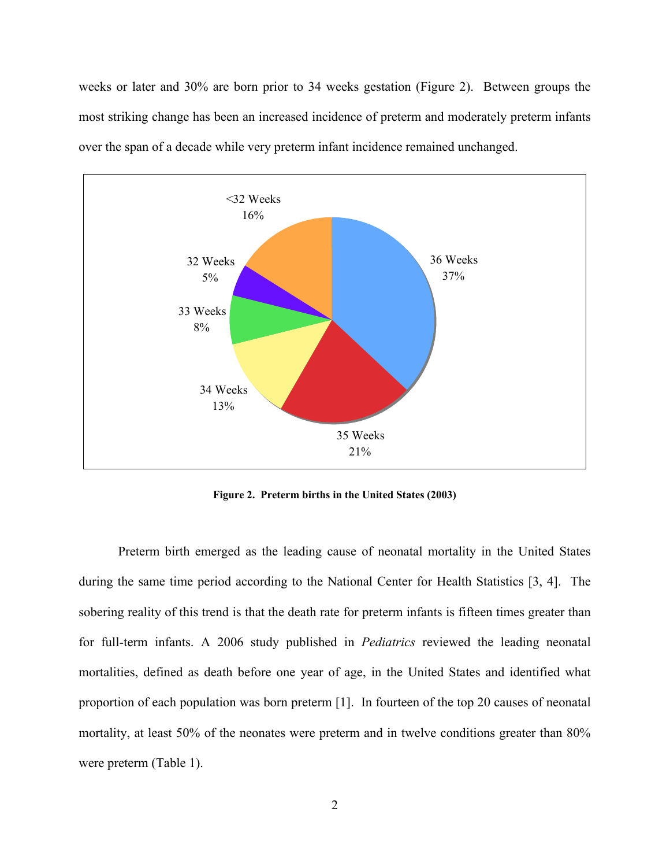<span id="page-11-0"></span>weeks or later and 30% are born prior to 34 weeks gestation (Figure 2). Between groups the most striking change has been an increased incidence of preterm and moderately preterm infants over the span of a decade while very preterm infant incidence remained unchanged.



**Figure 2. Preterm births in the United States (2003)** 

Preterm birth emerged as the leading cause of neonatal mortality in the United States during the same time period according to the National Center for Health Statistics [3, 4]. The sobering reality of this trend is that the death rate for preterm infants is fifteen times greater than for full-term infants. A 2006 study published in *Pediatrics* reviewed the leading neonatal mortalities, defined as death before one year of age, in the United States and identified what proportion of each population was born preterm [1]. In fourteen of the top 20 causes of neonatal mortality, at least 50% of the neonates were preterm and in twelve conditions greater than 80% were preterm (Table 1).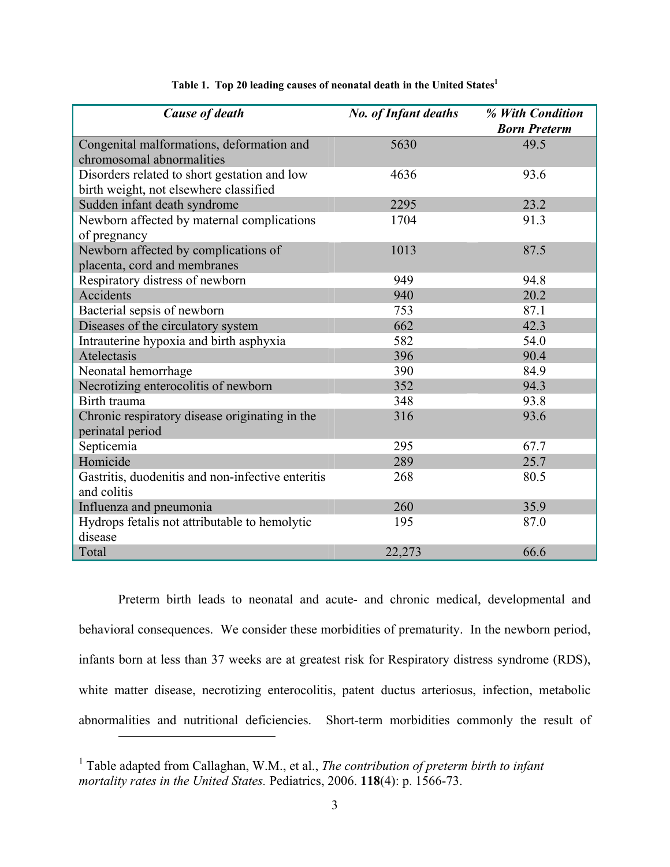<span id="page-12-0"></span>

| <b>Cause of death</b>                                              | <b>No. of Infant deaths</b> | % With Condition<br><b>Born Preterm</b> |
|--------------------------------------------------------------------|-----------------------------|-----------------------------------------|
| Congenital malformations, deformation and                          | 5630                        | 49.5                                    |
| chromosomal abnormalities                                          |                             |                                         |
| Disorders related to short gestation and low                       | 4636                        | 93.6                                    |
| birth weight, not elsewhere classified                             |                             |                                         |
| Sudden infant death syndrome                                       | 2295                        | 23.2                                    |
| Newborn affected by maternal complications                         | 1704                        | 91.3                                    |
| of pregnancy                                                       |                             |                                         |
| Newborn affected by complications of                               | 1013                        | 87.5                                    |
| placenta, cord and membranes                                       |                             |                                         |
| Respiratory distress of newborn                                    | 949                         | 94.8                                    |
| Accidents                                                          | 940                         | 20.2                                    |
| Bacterial sepsis of newborn                                        | 753                         | 87.1                                    |
| Diseases of the circulatory system                                 | 662                         | 42.3                                    |
| Intrauterine hypoxia and birth asphyxia                            | 582                         | 54.0                                    |
| Atelectasis                                                        | 396                         | 90.4                                    |
| Neonatal hemorrhage                                                | 390                         | 84.9                                    |
| Necrotizing enterocolitis of newborn                               | 352                         | 94.3                                    |
| Birth trauma                                                       | 348                         | 93.8                                    |
| Chronic respiratory disease originating in the<br>perinatal period | 316                         | 93.6                                    |
| Septicemia                                                         | 295                         | 67.7                                    |
| Homicide                                                           | 289                         | 25.7                                    |
| Gastritis, duodenitis and non-infective enteritis                  | 268                         | 80.5                                    |
| and colitis                                                        |                             |                                         |
| Influenza and pneumonia                                            | 260                         | 35.9                                    |
| Hydrops fetalis not attributable to hemolytic                      | 195                         | 87.0                                    |
| disease                                                            |                             |                                         |
| Total                                                              | 22,273                      | 66.6                                    |

#### **Table 1. Top 20 leading causes of neonatal death in the United States[1](#page-12-1)**

Preterm birth leads to neonatal and acute- and chronic medical, developmental and behavioral consequences. We consider these morbidities of prematurity. In the newborn period, infants born at less than 37 weeks are at greatest risk for Respiratory distress syndrome (RDS), white matter disease, necrotizing enterocolitis, patent ductus arteriosus, infection, metabolic abnormalities and nutritional deficiencies. Short-term morbidities commonly the result of

<span id="page-12-1"></span><sup>&</sup>lt;sup>1</sup> Table adapted from Callaghan, W.M., et al., *The contribution of preterm birth to infant mortality rates in the United States.* Pediatrics, 2006. **118**(4): p. 1566-73.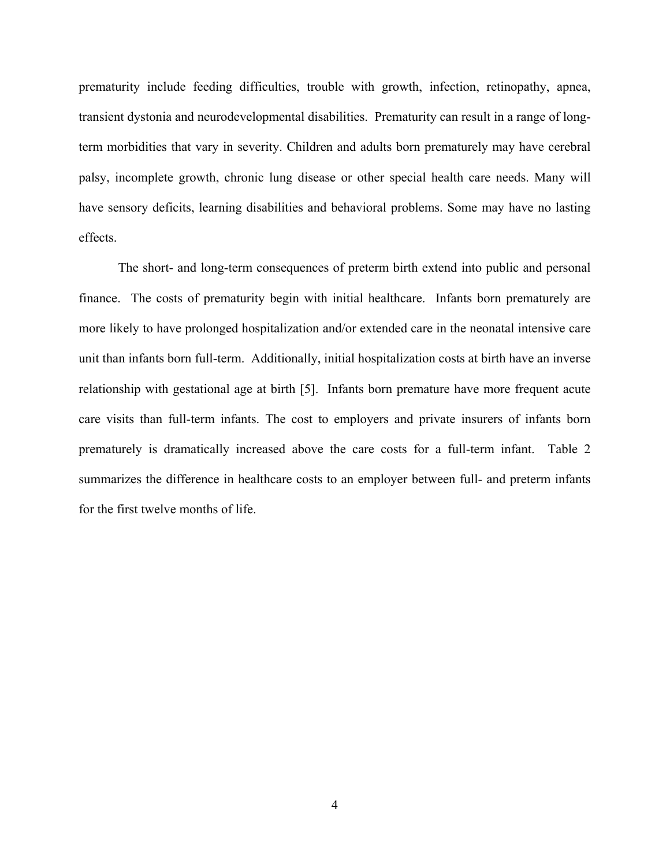prematurity include feeding difficulties, trouble with growth, infection, retinopathy, apnea, transient dystonia and neurodevelopmental disabilities. Prematurity can result in a range of longterm morbidities that vary in severity. Children and adults born prematurely may have cerebral palsy, incomplete growth, chronic lung disease or other special health care needs. Many will have sensory deficits, learning disabilities and behavioral problems. Some may have no lasting effects.

The short- and long-term consequences of preterm birth extend into public and personal finance. The costs of prematurity begin with initial healthcare. Infants born prematurely are more likely to have prolonged hospitalization and/or extended care in the neonatal intensive care unit than infants born full-term. Additionally, initial hospitalization costs at birth have an inverse relationship with gestational age at birth [5]. Infants born premature have more frequent acute care visits than full-term infants. The cost to employers and private insurers of infants born prematurely is dramatically increased above the care costs for a full-term infant. Table 2 summarizes the difference in healthcare costs to an employer between full- and preterm infants for the first twelve months of life.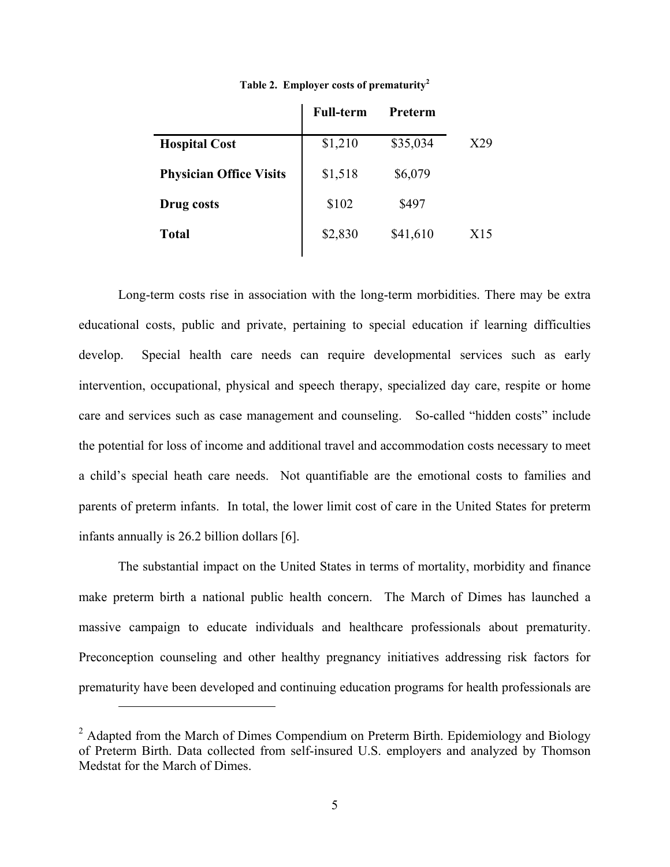<span id="page-14-0"></span>

|                                | <b>Full-term</b> | Preterm  |     |
|--------------------------------|------------------|----------|-----|
| <b>Hospital Cost</b>           | \$1,210          | \$35,034 | X29 |
| <b>Physician Office Visits</b> | \$1,518          | \$6,079  |     |
| Drug costs                     | \$102            | \$497    |     |
|                                |                  |          |     |

**Total** \$2,830 \$41,610 X15

**Table 2. Employer costs of prematurity[2](#page-14-1)**

Long-term costs rise in association with the long-term morbidities. There may be extra educational costs, public and private, pertaining to special education if learning difficulties develop. Special health care needs can require developmental services such as early intervention, occupational, physical and speech therapy, specialized day care, respite or home care and services such as case management and counseling. So-called "hidden costs" include the potential for loss of income and additional travel and accommodation costs necessary to meet a child's special heath care needs. Not quantifiable are the emotional costs to families and parents of preterm infants. In total, the lower limit cost of care in the United States for preterm infants annually is 26.2 billion dollars [6].

The substantial impact on the United States in terms of mortality, morbidity and finance make preterm birth a national public health concern. The March of Dimes has launched a massive campaign to educate individuals and healthcare professionals about prematurity. Preconception counseling and other healthy pregnancy initiatives addressing risk factors for prematurity have been developed and continuing education programs for health professionals are

<span id="page-14-1"></span> $2$  Adapted from the March of Dimes Compendium on Preterm Birth. Epidemiology and Biology of Preterm Birth. Data collected from self-insured U.S. employers and analyzed by Thomson Medstat for the March of Dimes.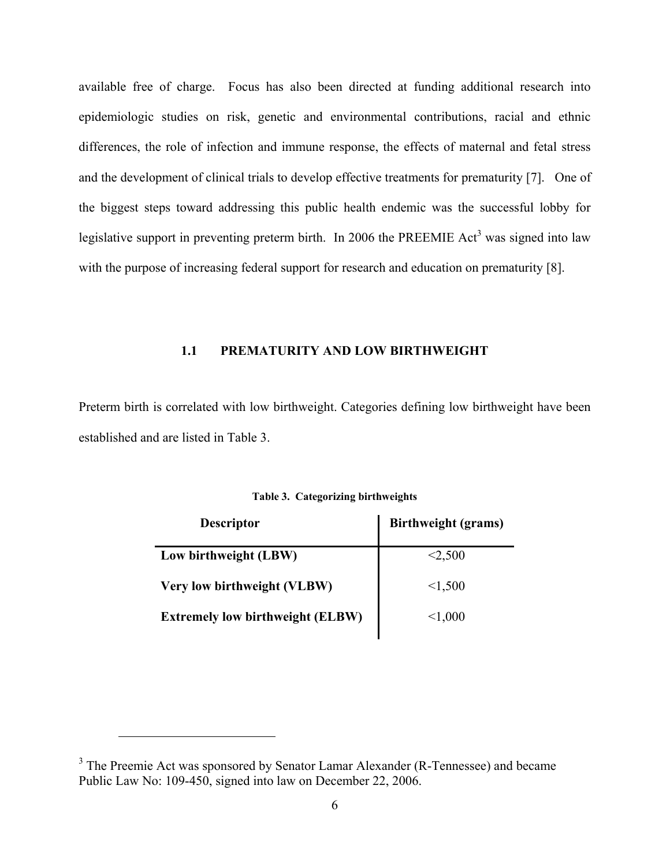<span id="page-15-0"></span>available free of charge. Focus has also been directed at funding additional research into epidemiologic studies on risk, genetic and environmental contributions, racial and ethnic differences, the role of infection and immune response, the effects of maternal and fetal stress and the development of clinical trials to develop effective treatments for prematurity [7]. One of the biggest steps toward addressing this public health endemic was the successful lobby for legislativesupport in preventing preterm birth. In 2006 the PREEMIE Act<sup>3</sup> was signed into law with the purpose of increasing federal support for research and education on prematurity [8].

### **1.1 PREMATURITY AND LOW BIRTHWEIGHT**

Preterm birth is correlated with low birthweight. Categories defining low birthweight have been established and are listed in Table 3.

| <b>Descriptor</b>                       | <b>Birthweight (grams)</b> |
|-----------------------------------------|----------------------------|
| Low birthweight (LBW)                   | < 2,500                    |
| Very low birthweight (VLBW)             | < 1,500                    |
| <b>Extremely low birthweight (ELBW)</b> | < 1,000                    |

**Table 3. Categorizing birthweights** 

<span id="page-15-1"></span><sup>&</sup>lt;sup>3</sup> The Preemie Act was sponsored by Senator Lamar Alexander (R-Tennessee) and became Public Law No: 109-450, signed into law on December 22, 2006.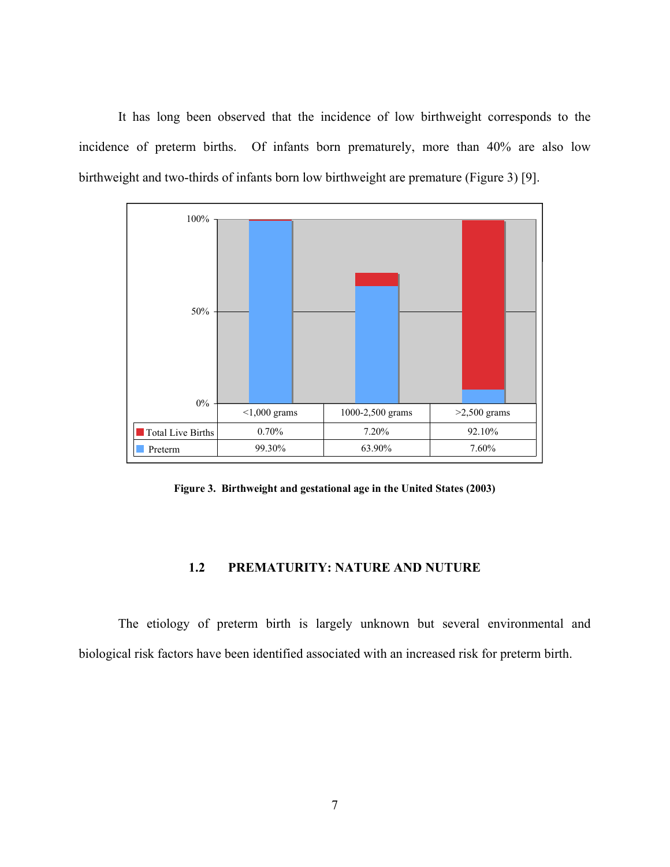<span id="page-16-0"></span>It has long been observed that the incidence of low birthweight corresponds to the incidence of preterm births. Of infants born prematurely, more than 40% are also low birthweight and two-thirds of infants born low birthweight are premature (Figure 3) [9].



**Figure 3. Birthweight and gestational age in the United States (2003)**

#### **1.2 PREMATURITY: NATURE AND NUTURE**

The etiology of preterm birth is largely unknown but several environmental and biological risk factors have been identified associated with an increased risk for preterm birth.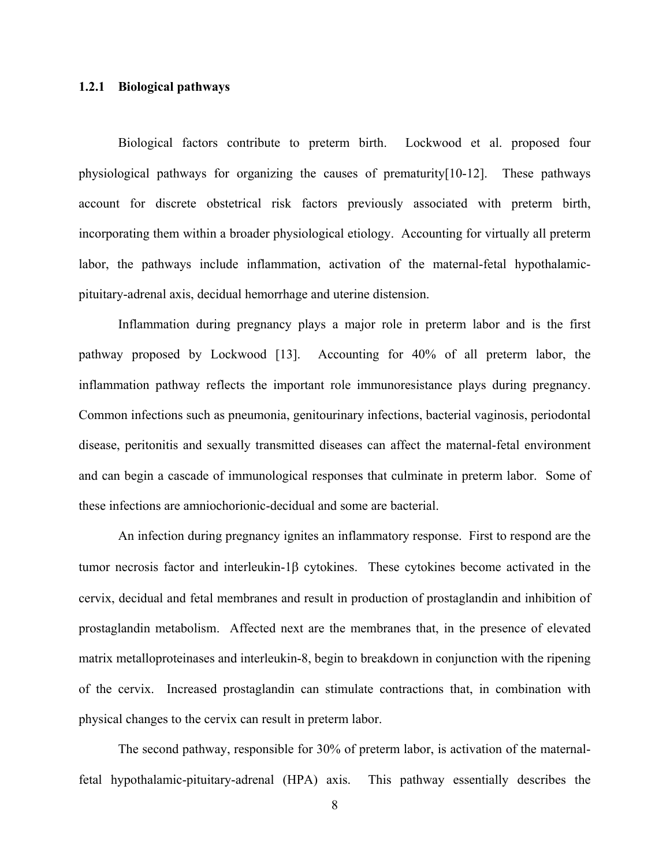#### <span id="page-17-0"></span>**1.2.1 Biological pathways**

Biological factors contribute to preterm birth. Lockwood et al. proposed four physiological pathways for organizing the causes of prematurity[10-12]. These pathways account for discrete obstetrical risk factors previously associated with preterm birth, incorporating them within a broader physiological etiology. Accounting for virtually all preterm labor, the pathways include inflammation, activation of the maternal-fetal hypothalamicpituitary-adrenal axis, decidual hemorrhage and uterine distension.

Inflammation during pregnancy plays a major role in preterm labor and is the first pathway proposed by Lockwood [13]. Accounting for 40% of all preterm labor, the inflammation pathway reflects the important role immunoresistance plays during pregnancy. Common infections such as pneumonia, genitourinary infections, bacterial vaginosis, periodontal disease, peritonitis and sexually transmitted diseases can affect the maternal-fetal environment and can begin a cascade of immunological responses that culminate in preterm labor. Some of these infections are amniochorionic-decidual and some are bacterial.

An infection during pregnancy ignites an inflammatory response. First to respond are the tumor necrosis factor and interleukin-1β cytokines. These cytokines become activated in the cervix, decidual and fetal membranes and result in production of prostaglandin and inhibition of prostaglandin metabolism. Affected next are the membranes that, in the presence of elevated matrix metalloproteinases and interleukin-8, begin to breakdown in conjunction with the ripening of the cervix. Increased prostaglandin can stimulate contractions that, in combination with physical changes to the cervix can result in preterm labor.

The second pathway, responsible for 30% of preterm labor, is activation of the maternalfetal hypothalamic-pituitary-adrenal (HPA) axis. This pathway essentially describes the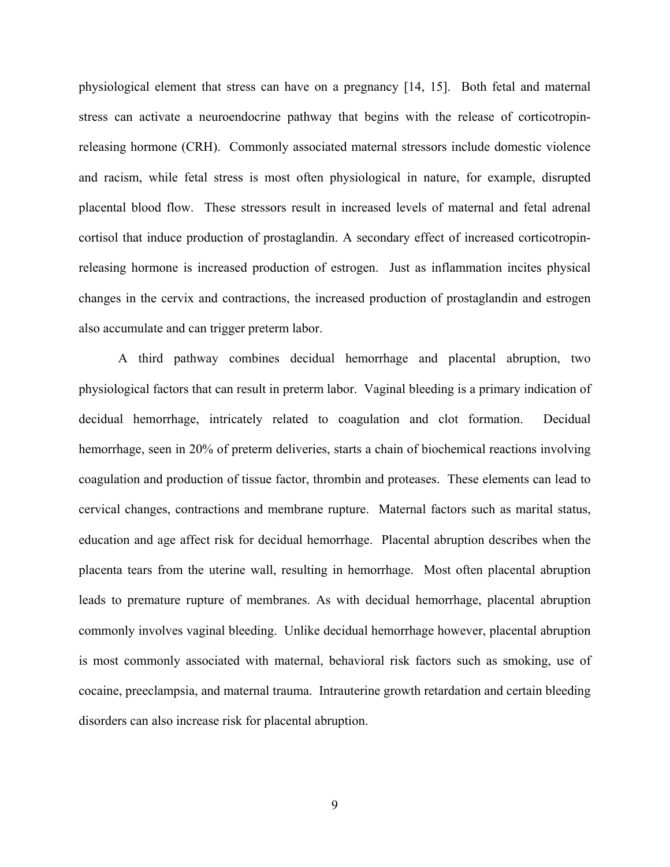physiological element that stress can have on a pregnancy [14, 15]. Both fetal and maternal stress can activate a neuroendocrine pathway that begins with the release of corticotropinreleasing hormone (CRH). Commonly associated maternal stressors include domestic violence and racism, while fetal stress is most often physiological in nature, for example, disrupted placental blood flow. These stressors result in increased levels of maternal and fetal adrenal cortisol that induce production of prostaglandin. A secondary effect of increased corticotropinreleasing hormone is increased production of estrogen. Just as inflammation incites physical changes in the cervix and contractions, the increased production of prostaglandin and estrogen also accumulate and can trigger preterm labor.

A third pathway combines decidual hemorrhage and placental abruption, two physiological factors that can result in preterm labor. Vaginal bleeding is a primary indication of decidual hemorrhage, intricately related to coagulation and clot formation. Decidual hemorrhage, seen in 20% of preterm deliveries, starts a chain of biochemical reactions involving coagulation and production of tissue factor, thrombin and proteases. These elements can lead to cervical changes, contractions and membrane rupture. Maternal factors such as marital status, education and age affect risk for decidual hemorrhage. Placental abruption describes when the placenta tears from the uterine wall, resulting in hemorrhage. Most often placental abruption leads to premature rupture of membranes. As with decidual hemorrhage, placental abruption commonly involves vaginal bleeding. Unlike decidual hemorrhage however, placental abruption is most commonly associated with maternal, behavioral risk factors such as smoking, use of cocaine, preeclampsia, and maternal trauma. Intrauterine growth retardation and certain bleeding disorders can also increase risk for placental abruption.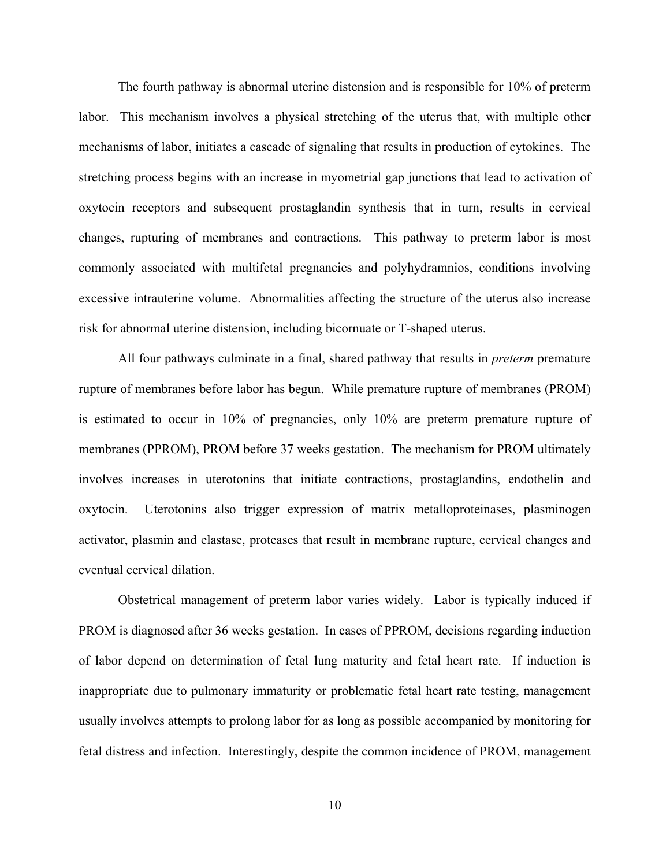The fourth pathway is abnormal uterine distension and is responsible for 10% of preterm labor. This mechanism involves a physical stretching of the uterus that, with multiple other mechanisms of labor, initiates a cascade of signaling that results in production of cytokines. The stretching process begins with an increase in myometrial gap junctions that lead to activation of oxytocin receptors and subsequent prostaglandin synthesis that in turn, results in cervical changes, rupturing of membranes and contractions. This pathway to preterm labor is most commonly associated with multifetal pregnancies and polyhydramnios, conditions involving excessive intrauterine volume. Abnormalities affecting the structure of the uterus also increase risk for abnormal uterine distension, including bicornuate or T-shaped uterus.

All four pathways culminate in a final, shared pathway that results in *preterm* premature rupture of membranes before labor has begun. While premature rupture of membranes (PROM) is estimated to occur in 10% of pregnancies, only 10% are preterm premature rupture of membranes (PPROM), PROM before 37 weeks gestation. The mechanism for PROM ultimately involves increases in uterotonins that initiate contractions, prostaglandins, endothelin and oxytocin. Uterotonins also trigger expression of matrix metalloproteinases, plasminogen activator, plasmin and elastase, proteases that result in membrane rupture, cervical changes and eventual cervical dilation.

Obstetrical management of preterm labor varies widely. Labor is typically induced if PROM is diagnosed after 36 weeks gestation. In cases of PPROM, decisions regarding induction of labor depend on determination of fetal lung maturity and fetal heart rate. If induction is inappropriate due to pulmonary immaturity or problematic fetal heart rate testing, management usually involves attempts to prolong labor for as long as possible accompanied by monitoring for fetal distress and infection. Interestingly, despite the common incidence of PROM, management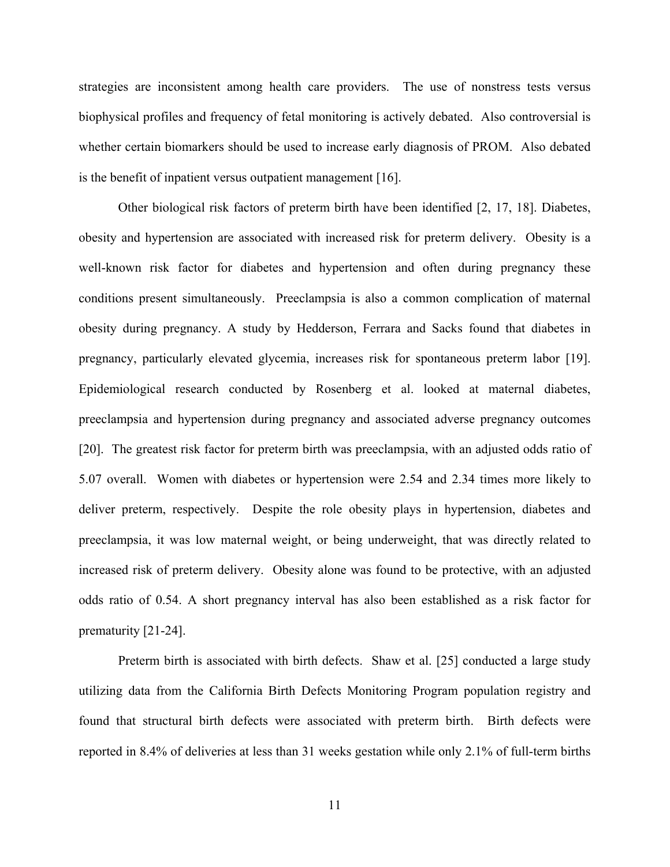strategies are inconsistent among health care providers. The use of nonstress tests versus biophysical profiles and frequency of fetal monitoring is actively debated. Also controversial is whether certain biomarkers should be used to increase early diagnosis of PROM. Also debated is the benefit of inpatient versus outpatient management [16].

Other biological risk factors of preterm birth have been identified [2, 17, 18]. Diabetes, obesity and hypertension are associated with increased risk for preterm delivery. Obesity is a well-known risk factor for diabetes and hypertension and often during pregnancy these conditions present simultaneously. Preeclampsia is also a common complication of maternal obesity during pregnancy. A study by Hedderson, Ferrara and Sacks found that diabetes in pregnancy, particularly elevated glycemia, increases risk for spontaneous preterm labor [19]. Epidemiological research conducted by Rosenberg et al. looked at maternal diabetes, preeclampsia and hypertension during pregnancy and associated adverse pregnancy outcomes [20]. The greatest risk factor for preterm birth was preeclampsia, with an adjusted odds ratio of 5.07 overall. Women with diabetes or hypertension were 2.54 and 2.34 times more likely to deliver preterm, respectively. Despite the role obesity plays in hypertension, diabetes and preeclampsia, it was low maternal weight, or being underweight, that was directly related to increased risk of preterm delivery. Obesity alone was found to be protective, with an adjusted odds ratio of 0.54. A short pregnancy interval has also been established as a risk factor for prematurity [21-24].

Preterm birth is associated with birth defects. Shaw et al. [25] conducted a large study utilizing data from the California Birth Defects Monitoring Program population registry and found that structural birth defects were associated with preterm birth. Birth defects were reported in 8.4% of deliveries at less than 31 weeks gestation while only 2.1% of full-term births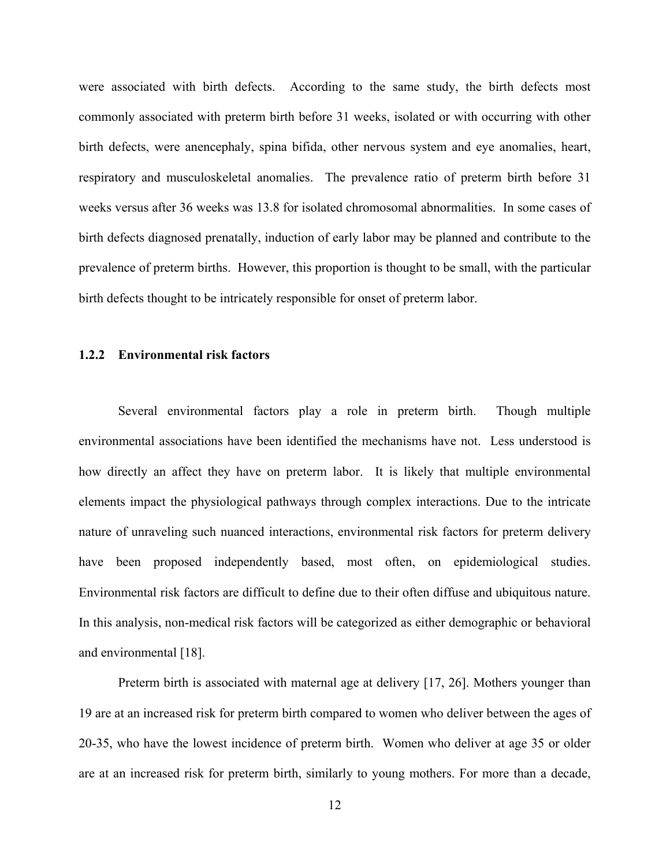<span id="page-21-0"></span>were associated with birth defects. According to the same study, the birth defects most commonly associated with preterm birth before 31 weeks, isolated or with occurring with other birth defects, were anencephaly, spina bifida, other nervous system and eye anomalies, heart, respiratory and musculoskeletal anomalies. The prevalence ratio of preterm birth before 31 weeks versus after 36 weeks was 13.8 for isolated chromosomal abnormalities. In some cases of birth defects diagnosed prenatally, induction of early labor may be planned and contribute to the prevalence of preterm births. However, this proportion is thought to be small, with the particular birth defects thought to be intricately responsible for onset of preterm labor.

#### **1.2.2 Environmental risk factors**

Several environmental factors play a role in preterm birth. Though multiple environmental associations have been identified the mechanisms have not. Less understood is how directly an affect they have on preterm labor. It is likely that multiple environmental elements impact the physiological pathways through complex interactions. Due to the intricate nature of unraveling such nuanced interactions, environmental risk factors for preterm delivery have been proposed independently based, most often, on epidemiological studies. Environmental risk factors are difficult to define due to their often diffuse and ubiquitous nature. In this analysis, non-medical risk factors will be categorized as either demographic or behavioral and environmental [18].

Preterm birth is associated with maternal age at delivery [17, 26]. Mothers younger than 19 are at an increased risk for preterm birth compared to women who deliver between the ages of 20-35, who have the lowest incidence of preterm birth. Women who deliver at age 35 or older are at an increased risk for preterm birth, similarly to young mothers. For more than a decade,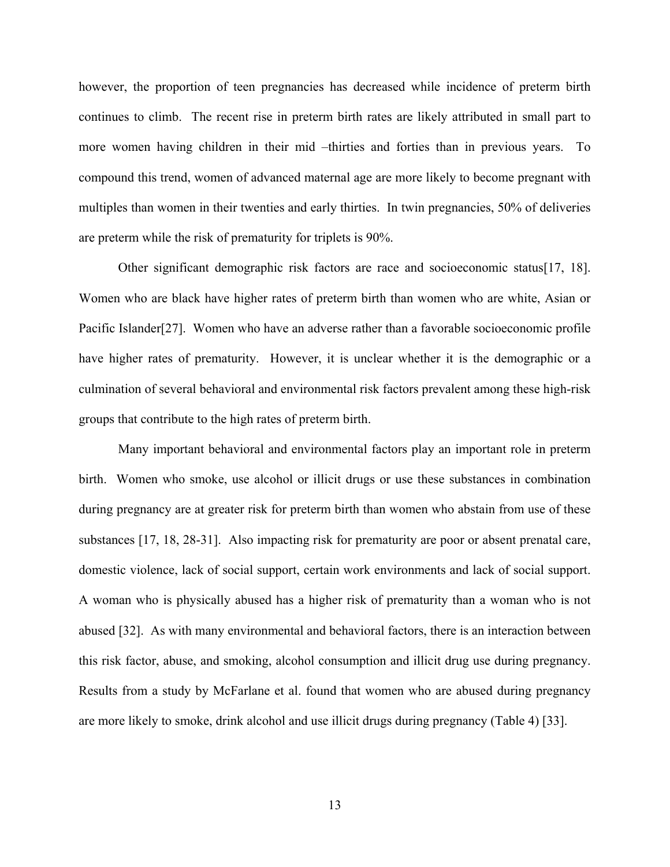however, the proportion of teen pregnancies has decreased while incidence of preterm birth continues to climb. The recent rise in preterm birth rates are likely attributed in small part to more women having children in their mid –thirties and forties than in previous years. To compound this trend, women of advanced maternal age are more likely to become pregnant with multiples than women in their twenties and early thirties. In twin pregnancies, 50% of deliveries are preterm while the risk of prematurity for triplets is 90%.

Other significant demographic risk factors are race and socioeconomic status[17, 18]. Women who are black have higher rates of preterm birth than women who are white, Asian or Pacific Islander[27]. Women who have an adverse rather than a favorable socioeconomic profile have higher rates of prematurity. However, it is unclear whether it is the demographic or a culmination of several behavioral and environmental risk factors prevalent among these high-risk groups that contribute to the high rates of preterm birth.

Many important behavioral and environmental factors play an important role in preterm birth. Women who smoke, use alcohol or illicit drugs or use these substances in combination during pregnancy are at greater risk for preterm birth than women who abstain from use of these substances [17, 18, 28-31]. Also impacting risk for prematurity are poor or absent prenatal care, domestic violence, lack of social support, certain work environments and lack of social support. A woman who is physically abused has a higher risk of prematurity than a woman who is not abused [32]. As with many environmental and behavioral factors, there is an interaction between this risk factor, abuse, and smoking, alcohol consumption and illicit drug use during pregnancy. Results from a study by McFarlane et al. found that women who are abused during pregnancy are more likely to smoke, drink alcohol and use illicit drugs during pregnancy (Table 4) [33].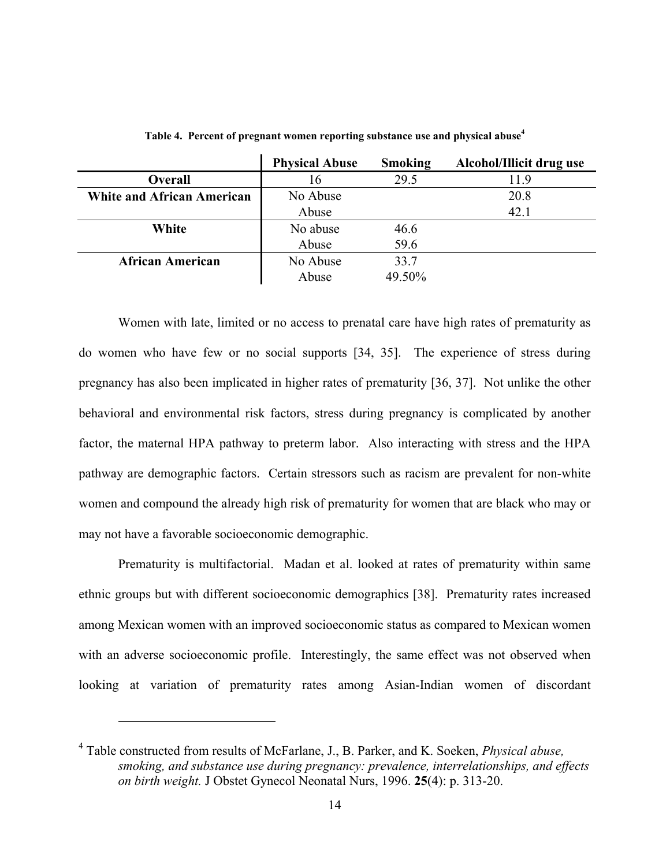<span id="page-23-0"></span>

|                                   | <b>Physical Abuse</b> | <b>Smoking</b> | Alcohol/Illicit drug use |
|-----------------------------------|-----------------------|----------------|--------------------------|
| Overall                           | 16                    | 29.5           | 11.9                     |
| <b>White and African American</b> | No Abuse              |                | 20.8                     |
|                                   | Abuse                 |                | 42.1                     |
| White                             | No abuse              | 46.6           |                          |
|                                   | Abuse                 | 59.6           |                          |
| <b>African American</b>           | No Abuse              | 33.7           |                          |
|                                   | Abuse                 | 49.50%         |                          |

**Table 4. Percent of pregnant women reporting substance use and physical abus[e4](#page-23-1)**

Women with late, limited or no access to prenatal care have high rates of prematurity as do women who have few or no social supports [34, 35]. The experience of stress during pregnancy has also been implicated in higher rates of prematurity [36, 37]. Not unlike the other behavioral and environmental risk factors, stress during pregnancy is complicated by another factor, the maternal HPA pathway to preterm labor. Also interacting with stress and the HPA pathway are demographic factors. Certain stressors such as racism are prevalent for non-white women and compound the already high risk of prematurity for women that are black who may or may not have a favorable socioeconomic demographic.

Prematurity is multifactorial. Madan et al. looked at rates of prematurity within same ethnic groups but with different socioeconomic demographics [38]. Prematurity rates increased among Mexican women with an improved socioeconomic status as compared to Mexican women with an adverse socioeconomic profile. Interestingly, the same effect was not observed when looking at variation of prematurity rates among Asian-Indian women of discordant

<span id="page-23-1"></span><sup>4</sup> Table constructed from results of McFarlane, J., B. Parker, and K. Soeken, *Physical abuse, smoking, and substance use during pregnancy: prevalence, interrelationships, and effects on birth weight.* J Obstet Gynecol Neonatal Nurs, 1996. **25**(4): p. 313-20.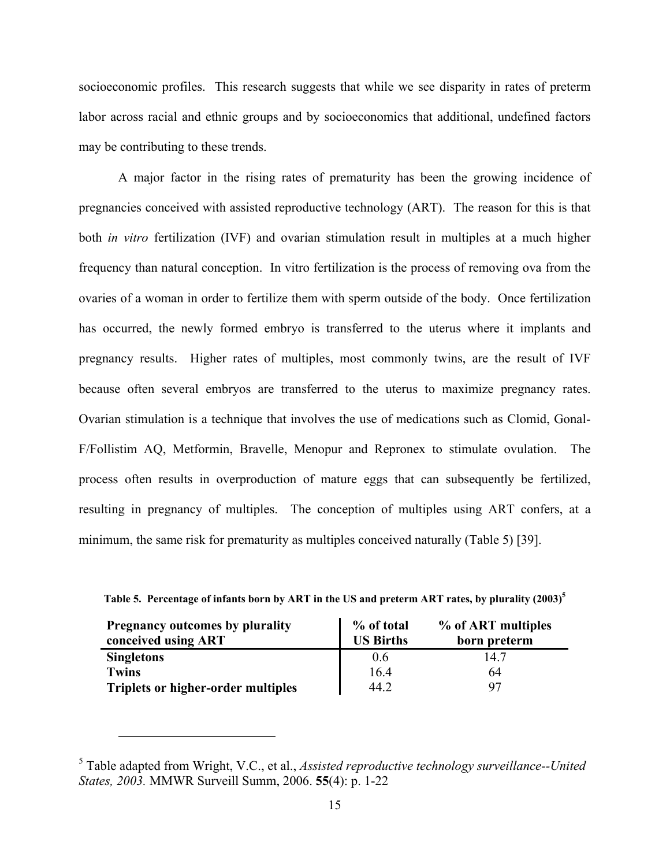<span id="page-24-0"></span>socioeconomic profiles. This research suggests that while we see disparity in rates of preterm labor across racial and ethnic groups and by socioeconomics that additional, undefined factors may be contributing to these trends.

A major factor in the rising rates of prematurity has been the growing incidence of pregnancies conceived with assisted reproductive technology (ART). The reason for this is that both *in vitro* fertilization (IVF) and ovarian stimulation result in multiples at a much higher frequency than natural conception. In vitro fertilization is the process of removing ova from the ovaries of a woman in order to fertilize them with sperm outside of the body. Once fertilization has occurred, the newly formed embryo is transferred to the uterus where it implants and pregnancy results. Higher rates of multiples, most commonly twins, are the result of IVF because often several embryos are transferred to the uterus to maximize pregnancy rates. Ovarian stimulation is a technique that involves the use of medications such as Clomid, Gonal-F/Follistim AQ, Metformin, Bravelle, Menopur and Repronex to stimulate ovulation. The process often results in overproduction of mature eggs that can subsequently be fertilized, resulting in pregnancy of multiples. The conception of multiples using ART confers, at a minimum, the same risk for prematurity as multiples conceived naturally (Table 5) [39].

| <b>Pregnancy outcomes by plurality</b>    | % of total       | % of ART multiples |
|-------------------------------------------|------------------|--------------------|
| conceived using ART                       | <b>US Births</b> | born preterm       |
| <b>Singletons</b>                         | 06               | 14 7               |
| <b>Twins</b>                              | 16.4             | 64                 |
| <b>Triplets or higher-order multiples</b> | 44.2             | 97                 |

**Table 5. Percentage of infants born by ART in the US and preterm ART rates, by plurality (2003)[5](#page-24-1)**

<span id="page-24-1"></span><sup>5</sup> Table adapted from Wright, V.C., et al., *Assisted reproductive technology surveillance--United States, 2003.* MMWR Surveill Summ, 2006. **55**(4): p. 1-22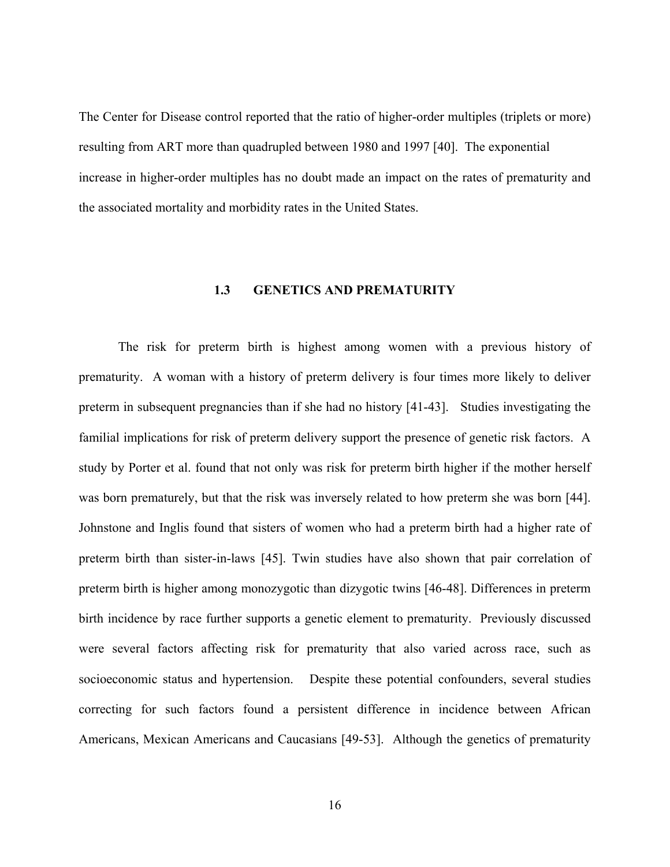<span id="page-25-0"></span>The Center for Disease control reported that the ratio of higher-order multiples (triplets or more) resulting from ART more than quadrupled between 1980 and 1997 [40]. The exponential increase in higher-order multiples has no doubt made an impact on the rates of prematurity and the associated mortality and morbidity rates in the United States.

#### **1.3 GENETICS AND PREMATURITY**

The risk for preterm birth is highest among women with a previous history of prematurity. A woman with a history of preterm delivery is four times more likely to deliver preterm in subsequent pregnancies than if she had no history [41-43]. Studies investigating the familial implications for risk of preterm delivery support the presence of genetic risk factors. A study by Porter et al. found that not only was risk for preterm birth higher if the mother herself was born prematurely, but that the risk was inversely related to how preterm she was born [44]. Johnstone and Inglis found that sisters of women who had a preterm birth had a higher rate of preterm birth than sister-in-laws [45]. Twin studies have also shown that pair correlation of preterm birth is higher among monozygotic than dizygotic twins [46-48]. Differences in preterm birth incidence by race further supports a genetic element to prematurity. Previously discussed were several factors affecting risk for prematurity that also varied across race, such as socioeconomic status and hypertension. Despite these potential confounders, several studies correcting for such factors found a persistent difference in incidence between African Americans, Mexican Americans and Caucasians [49-53]. Although the genetics of prematurity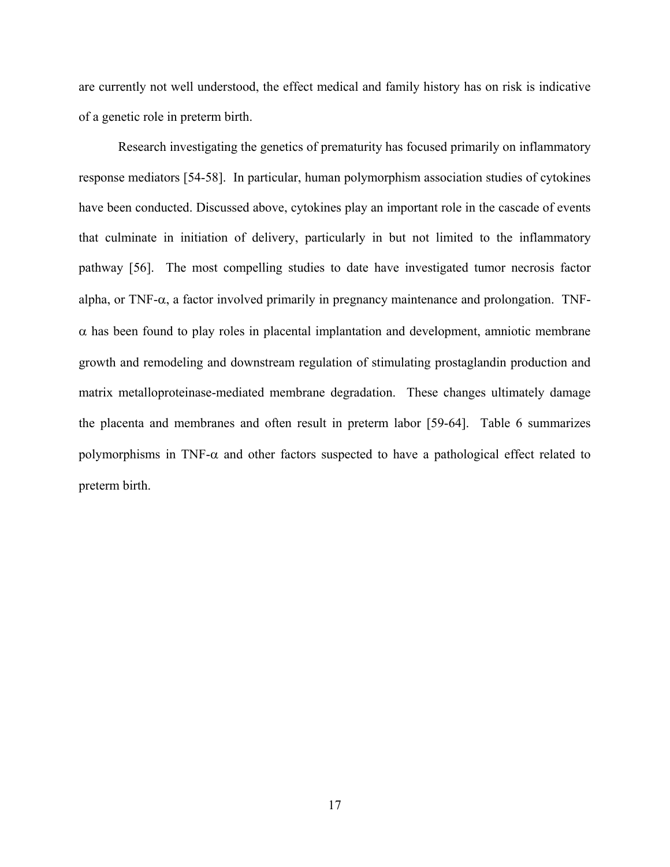are currently not well understood, the effect medical and family history has on risk is indicative of a genetic role in preterm birth.

Research investigating the genetics of prematurity has focused primarily on inflammatory response mediators [54-58]. In particular, human polymorphism association studies of cytokines have been conducted. Discussed above, cytokines play an important role in the cascade of events that culminate in initiation of delivery, particularly in but not limited to the inflammatory pathway [56]. The most compelling studies to date have investigated tumor necrosis factor alpha, or TNF- $\alpha$ , a factor involved primarily in pregnancy maintenance and prolongation. TNF- $\alpha$  has been found to play roles in placental implantation and development, amniotic membrane growth and remodeling and downstream regulation of stimulating prostaglandin production and matrix metalloproteinase-mediated membrane degradation. These changes ultimately damage the placenta and membranes and often result in preterm labor [59-64]. Table 6 summarizes polymorphisms in TNF- $\alpha$  and other factors suspected to have a pathological effect related to preterm birth.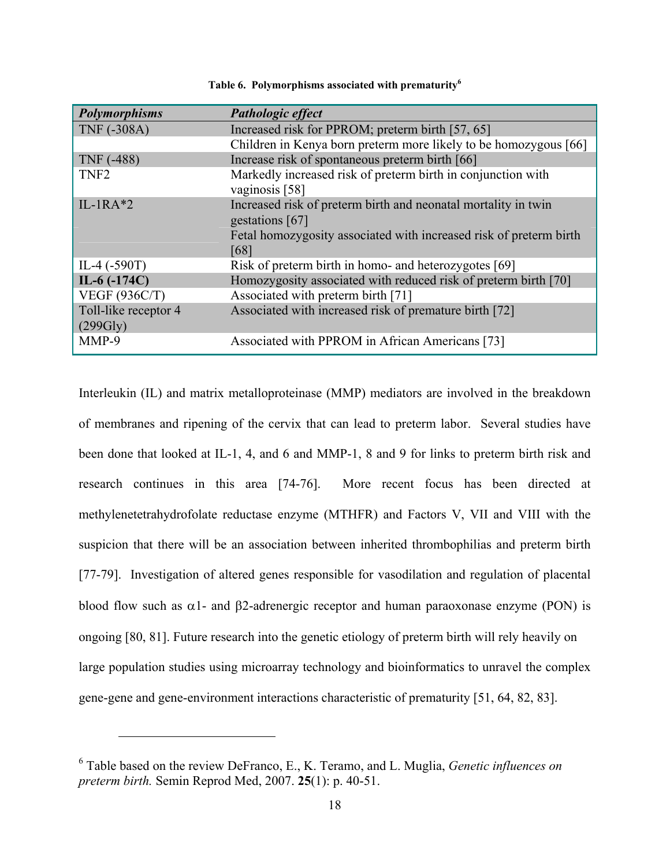<span id="page-27-0"></span>

| <b>Polymorphisms</b>             | Pathologic effect                                                                 |
|----------------------------------|-----------------------------------------------------------------------------------|
| <b>TNF (-308A)</b>               | Increased risk for PPROM; preterm birth [57, 65]                                  |
|                                  | Children in Kenya born preterm more likely to be homozygous [66]                  |
| <b>TNF</b> (-488)                | Increase risk of spontaneous preterm birth [66]                                   |
| TNF <sub>2</sub>                 | Markedly increased risk of preterm birth in conjunction with<br>vaginosis [58]    |
| $IL-1RA*2$                       | Increased risk of preterm birth and neonatal mortality in twin<br>gestations [67] |
|                                  | Fetal homozygosity associated with increased risk of preterm birth<br>[68]        |
| IL-4 $(-590T)$                   | Risk of preterm birth in homo- and heterozygotes [69]                             |
| IL-6 $(-174C)$                   | Homozygosity associated with reduced risk of preterm birth [70]                   |
| <b>VEGF (936C/T)</b>             | Associated with preterm birth [71]                                                |
| Toll-like receptor 4<br>(299Gly) | Associated with increased risk of premature birth [72]                            |
| MMP-9                            | Associated with PPROM in African Americans [73]                                   |

**Table 6. Polymorphisms associated with prematurity[6](#page-27-1)**

Interleukin (IL) and matrix metalloproteinase (MMP) mediators are involved in the breakdown of membranes and ripening of the cervix that can lead to preterm labor. Several studies have been done that looked at IL-1, 4, and 6 and MMP-1, 8 and 9 for links to preterm birth risk and research continues in this area [74-76]. More recent focus has been directed at methylenetetrahydrofolate reductase enzyme (MTHFR) and Factors V, VII and VIII with the suspicion that there will be an association between inherited thrombophilias and preterm birth [77-79]. Investigation of altered genes responsible for vasodilation and regulation of placental blood flow such as  $\alpha$ 1- and β2-adrenergic receptor and human paraoxonase enzyme (PON) is ongoing [80, 81]. Future research into the genetic etiology of preterm birth will rely heavily on large population studies using microarray technology and bioinformatics to unravel the complex gene-gene and gene-environment interactions characteristic of prematurity [51, 64, 82, 83].

<span id="page-27-1"></span><sup>6</sup> Table based on the review DeFranco, E., K. Teramo, and L. Muglia, *Genetic influences on preterm birth.* Semin Reprod Med, 2007. **25**(1): p. 40-51.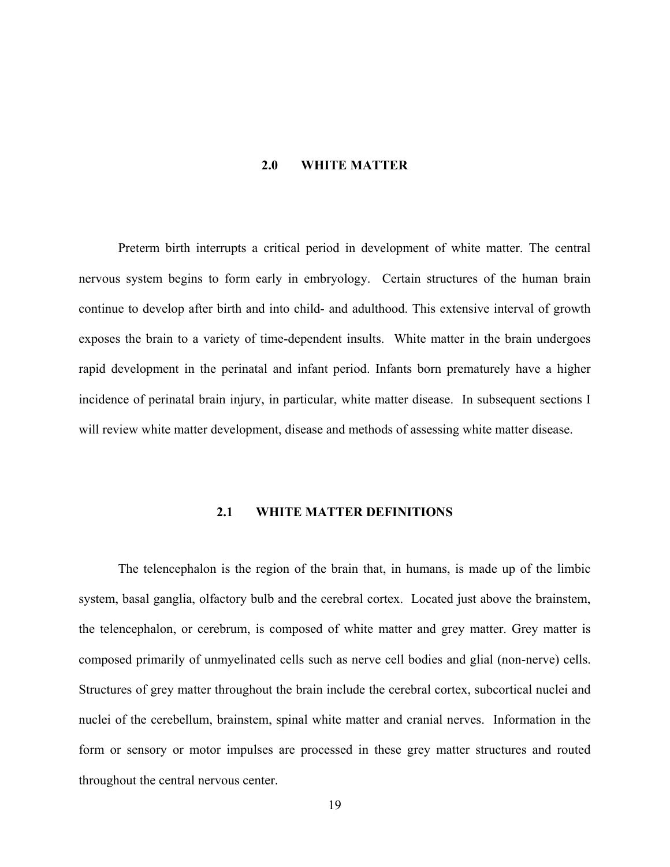#### **2.0 WHITE MATTER**

<span id="page-28-0"></span>Preterm birth interrupts a critical period in development of white matter. The central nervous system begins to form early in embryology. Certain structures of the human brain continue to develop after birth and into child- and adulthood. This extensive interval of growth exposes the brain to a variety of time-dependent insults. White matter in the brain undergoes rapid development in the perinatal and infant period. Infants born prematurely have a higher incidence of perinatal brain injury, in particular, white matter disease. In subsequent sections I will review white matter development, disease and methods of assessing white matter disease.

#### **2.1 WHITE MATTER DEFINITIONS**

The telencephalon is the region of the brain that, in humans, is made up of the limbic system, basal ganglia, olfactory bulb and the cerebral cortex. Located just above the brainstem, the telencephalon, or cerebrum, is composed of white matter and grey matter. Grey matter is composed primarily of unmyelinated cells such as nerve cell bodies and glial (non-nerve) cells. Structures of grey matter throughout the brain include the cerebral cortex, subcortical nuclei and nuclei of the cerebellum, brainstem, spinal white matter and cranial nerves. Information in the form or sensory or motor impulses are processed in these grey matter structures and routed throughout the central nervous center.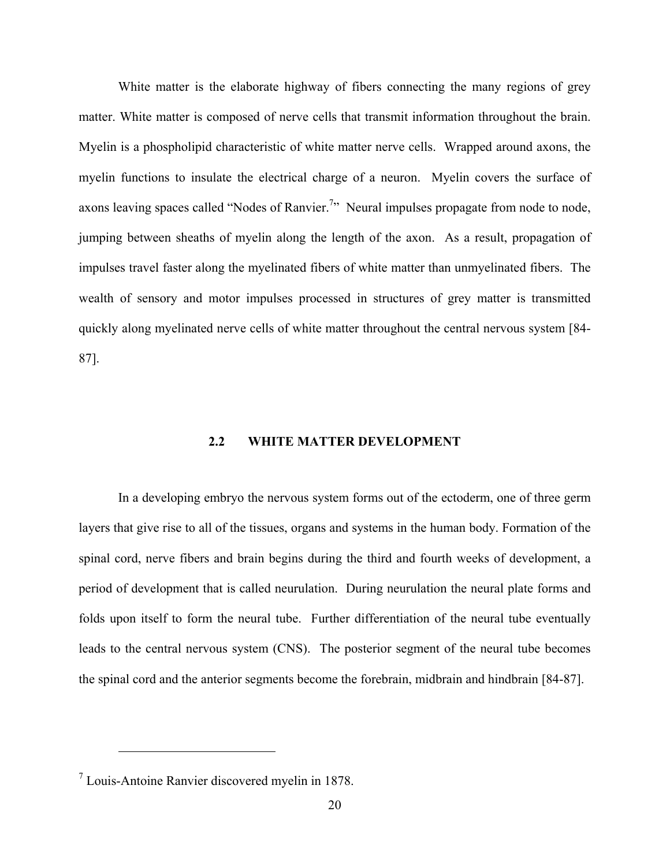<span id="page-29-0"></span>White matter is the elaborate highway of fibers connecting the many regions of grey matter. White matter is composed of nerve cells that transmit information throughout the brain. Myelin is a phospholipid characteristic of white matter nerve cells. Wrapped around axons, the myelin functions to insulate the electrical charge of a neuron. Myelin covers the surface of axons leaving spaces called "Nodes of Ranvier.<sup>[7](#page-29-1)</sup>" Neural impulses propagate from node to node, jumping between sheaths of myelin along the length of the axon. As a result, propagation of impulses travel faster along the myelinated fibers of white matter than unmyelinated fibers. The wealth of sensory and motor impulses processed in structures of grey matter is transmitted quickly along myelinated nerve cells of white matter throughout the central nervous system [84- 87].

#### **2.2 WHITE MATTER DEVELOPMENT**

In a developing embryo the nervous system forms out of the ectoderm, one of three germ layers that give rise to all of the tissues, organs and systems in the human body. Formation of the spinal cord, nerve fibers and brain begins during the third and fourth weeks of development, a period of development that is called neurulation. During neurulation the neural plate forms and folds upon itself to form the neural tube. Further differentiation of the neural tube eventually leads to the central nervous system (CNS). The posterior segment of the neural tube becomes the spinal cord and the anterior segments become the forebrain, midbrain and hindbrain [84-87].

1

<span id="page-29-1"></span><sup>7</sup> Louis-Antoine Ranvier discovered myelin in 1878.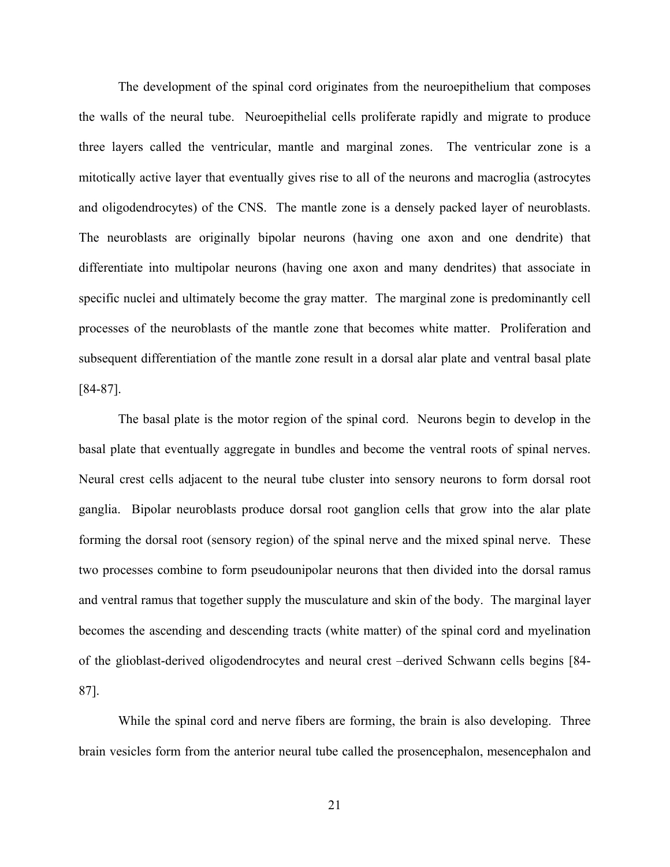The development of the spinal cord originates from the neuroepithelium that composes the walls of the neural tube. Neuroepithelial cells proliferate rapidly and migrate to produce three layers called the ventricular, mantle and marginal zones. The ventricular zone is a mitotically active layer that eventually gives rise to all of the neurons and macroglia (astrocytes and oligodendrocytes) of the CNS. The mantle zone is a densely packed layer of neuroblasts. The neuroblasts are originally bipolar neurons (having one axon and one dendrite) that differentiate into multipolar neurons (having one axon and many dendrites) that associate in specific nuclei and ultimately become the gray matter. The marginal zone is predominantly cell processes of the neuroblasts of the mantle zone that becomes white matter. Proliferation and subsequent differentiation of the mantle zone result in a dorsal alar plate and ventral basal plate [84-87].

The basal plate is the motor region of the spinal cord. Neurons begin to develop in the basal plate that eventually aggregate in bundles and become the ventral roots of spinal nerves. Neural crest cells adjacent to the neural tube cluster into sensory neurons to form dorsal root ganglia. Bipolar neuroblasts produce dorsal root ganglion cells that grow into the alar plate forming the dorsal root (sensory region) of the spinal nerve and the mixed spinal nerve. These two processes combine to form pseudounipolar neurons that then divided into the dorsal ramus and ventral ramus that together supply the musculature and skin of the body. The marginal layer becomes the ascending and descending tracts (white matter) of the spinal cord and myelination of the glioblast-derived oligodendrocytes and neural crest –derived Schwann cells begins [84- 87].

While the spinal cord and nerve fibers are forming, the brain is also developing. Three brain vesicles form from the anterior neural tube called the prosencephalon, mesencephalon and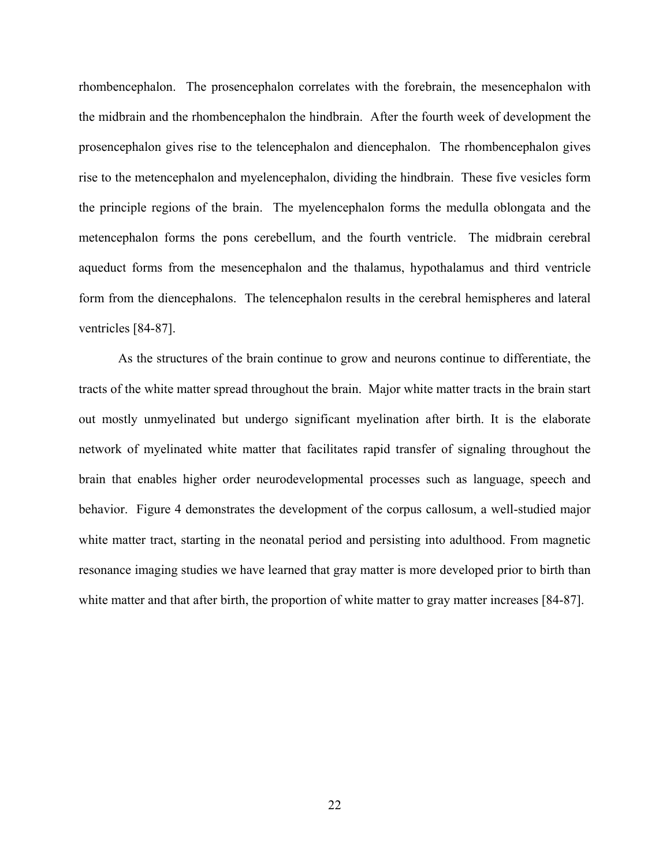rhombencephalon. The prosencephalon correlates with the forebrain, the mesencephalon with the midbrain and the rhombencephalon the hindbrain. After the fourth week of development the prosencephalon gives rise to the telencephalon and diencephalon. The rhombencephalon gives rise to the metencephalon and myelencephalon, dividing the hindbrain. These five vesicles form the principle regions of the brain. The myelencephalon forms the medulla oblongata and the metencephalon forms the pons cerebellum, and the fourth ventricle. The midbrain cerebral aqueduct forms from the mesencephalon and the thalamus, hypothalamus and third ventricle form from the diencephalons. The telencephalon results in the cerebral hemispheres and lateral ventricles [84-87].

As the structures of the brain continue to grow and neurons continue to differentiate, the tracts of the white matter spread throughout the brain. Major white matter tracts in the brain start out mostly unmyelinated but undergo significant myelination after birth. It is the elaborate network of myelinated white matter that facilitates rapid transfer of signaling throughout the brain that enables higher order neurodevelopmental processes such as language, speech and behavior. Figure 4 demonstrates the development of the corpus callosum, a well-studied major white matter tract, starting in the neonatal period and persisting into adulthood. From magnetic resonance imaging studies we have learned that gray matter is more developed prior to birth than white matter and that after birth, the proportion of white matter to gray matter increases [84-87].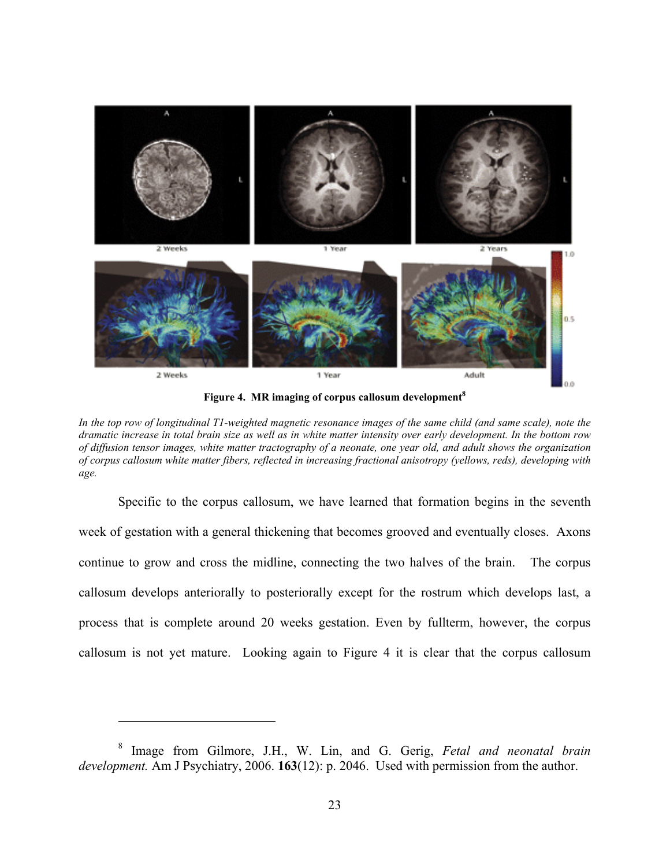<span id="page-32-0"></span>

**Figure 4. MR imaging of corpus callosum development [8](#page-32-1)**

Specific to the corpus callosum, we have learned that formation begins in the seventh week of gestation with a general thickening that becomes grooved and eventually closes. Axons continue to grow and cross the midline, connecting the two halves of the brain. The corpus callosum develops anteriorally to posteriorally except for the rostrum which develops last, a process that is complete around 20 weeks gestation. Even by fullterm, however, the corpus callosum is not yet mature. Looking again to Figure 4 it is clear that the corpus callosum

*In the top row of longitudinal T1-weighted magnetic resonance images of the same child (and same scale), note the dramatic increase in total brain size as well as in white matter intensity over early development. In the bottom row of diffusion tensor images, white matter tractography of a neonate, one year old, and adult shows the organization of corpus callosum white matter fibers, reflected in increasing fractional anisotropy (yellows, reds), developing with age.* 

<span id="page-32-1"></span><sup>8</sup> Image from Gilmore, J.H., W. Lin, and G. Gerig, *Fetal and neonatal brain development.* Am J Psychiatry, 2006. **163**(12): p. 2046. Used with permission from the author.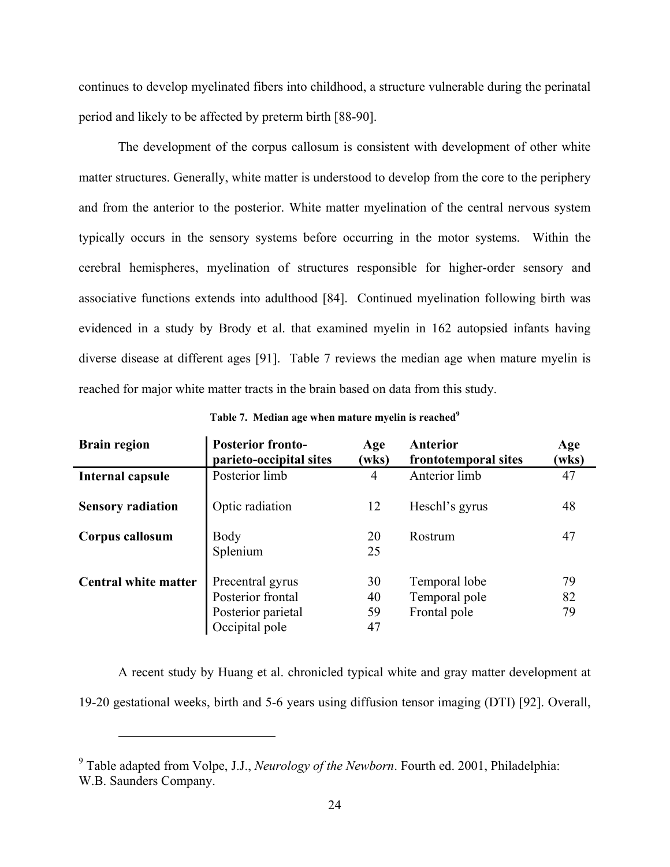<span id="page-33-0"></span>continues to develop myelinated fibers into childhood, a structure vulnerable during the perinatal period and likely to be affected by preterm birth [88-90].

The development of the corpus callosum is consistent with development of other white matter structures. Generally, white matter is understood to develop from the core to the periphery and from the anterior to the posterior. White matter myelination of the central nervous system typically occurs in the sensory systems before occurring in the motor systems. Within the cerebral hemispheres, myelination of structures responsible for higher-order sensory and associative functions extends into adulthood [84]. Continued myelination following birth was evidenced in a study by Brody et al. that examined myelin in 162 autopsied infants having diverse disease at different ages [91]. Table 7 reviews the median age when mature myelin is reached for major white matter tracts in the brain based on data from this study.

| <b>Brain region</b>         | <b>Posterior fronto-</b><br>parieto-occipital sites                           | Age<br>(wks)         | <b>Anterior</b><br>frontotemporal sites        | Age<br>(wks)   |
|-----------------------------|-------------------------------------------------------------------------------|----------------------|------------------------------------------------|----------------|
| Internal capsule            | Posterior limb                                                                | 4                    | Anterior limb                                  | 47             |
| <b>Sensory radiation</b>    | Optic radiation                                                               | 12                   | Heschl's gyrus                                 | 48             |
| Corpus callosum             | Body<br>Splenium                                                              | 20<br>25             | Rostrum                                        | 47             |
| <b>Central white matter</b> | Precentral gyrus<br>Posterior frontal<br>Posterior parietal<br>Occipital pole | 30<br>40<br>59<br>47 | Temporal lobe<br>Temporal pole<br>Frontal pole | 79<br>82<br>79 |

Table 7. Median age when mature myelin is reached<sup>9</sup>

A recent study by Huang et al. chronicled typical white and gray matter development at 19-20 gestational weeks, birth and 5-6 years using diffusion tensor imaging (DTI) [92]. Overall,

<span id="page-33-1"></span><sup>9</sup> Table adapted from Volpe, J.J., *Neurology of the Newborn*. Fourth ed. 2001, Philadelphia: W.B. Saunders Company.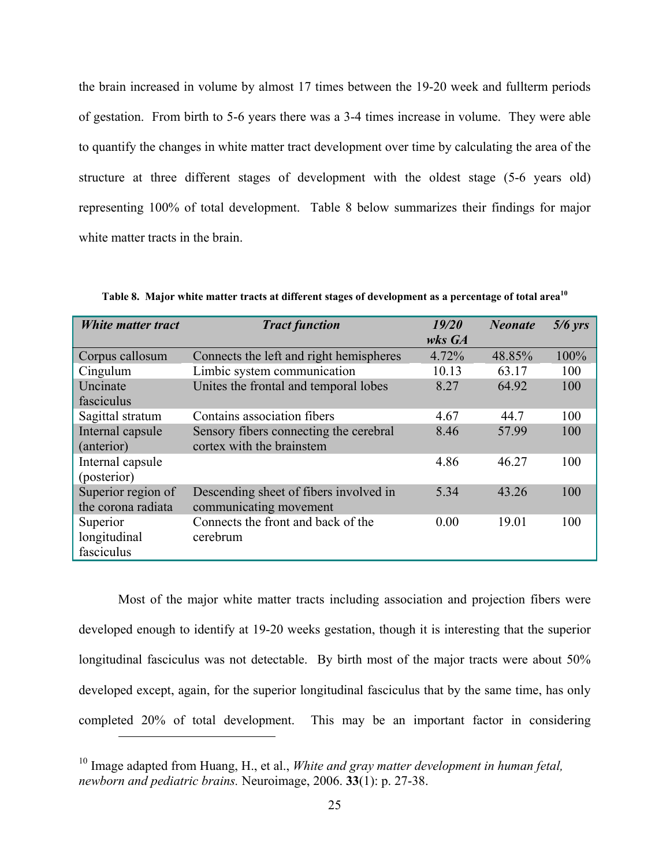<span id="page-34-0"></span>the brain increased in volume by almost 17 times between the 19-20 week and fullterm periods of gestation. From birth to 5-6 years there was a 3-4 times increase in volume. They were able to quantify the changes in white matter tract development over time by calculating the area of the structure at three different stages of development with the oldest stage (5-6 years old) representing 100% of total development. Table 8 below summarizes their findings for major white matter tracts in the brain.

| White matter tract | <b>Tract function</b>                   | 19/20  | <b>Neonate</b> | $5/6$ yrs |
|--------------------|-----------------------------------------|--------|----------------|-----------|
|                    |                                         | wks GA |                |           |
| Corpus callosum    | Connects the left and right hemispheres | 4.72%  | 48.85%         | 100%      |
| Cingulum           | Limbic system communication             | 10.13  | 63.17          | 100       |
| Uncinate           | Unites the frontal and temporal lobes   | 8.27   | 64.92          | 100       |
| fasciculus         |                                         |        |                |           |
| Sagittal stratum   | Contains association fibers             | 4.67   | 44.7           | 100       |
| Internal capsule   | Sensory fibers connecting the cerebral  | 8.46   | 57.99          | 100       |
| (anterior)         | cortex with the brainstem               |        |                |           |
| Internal capsule   |                                         | 4.86   | 46.27          | 100       |
| (posterior)        |                                         |        |                |           |
| Superior region of | Descending sheet of fibers involved in  | 5.34   | 43.26          | 100       |
| the corona radiata | communicating movement                  |        |                |           |
| Superior           | Connects the front and back of the      | 0.00   | 19.01          | 100       |
| longitudinal       | cerebrum                                |        |                |           |
| fasciculus         |                                         |        |                |           |

**Table 8. Major white matter tracts at different stages of development as a percentage of total area[10](#page-34-1)**

Most of the major white matter tracts including association and projection fibers were developed enough to identify at 19-20 weeks gestation, though it is interesting that the superior longitudinal fasciculus was not detectable. By birth most of the major tracts were about 50% developed except, again, for the superior longitudinal fasciculus that by the same time, has only completed 20% of total development. This may be an important factor in considering

<span id="page-34-1"></span><sup>&</sup>lt;sup>10</sup> Image adapted from Huang, H., et al., *White and gray matter development in human fetal*, *newborn and pediatric brains.* Neuroimage, 2006. **33**(1): p. 27-38.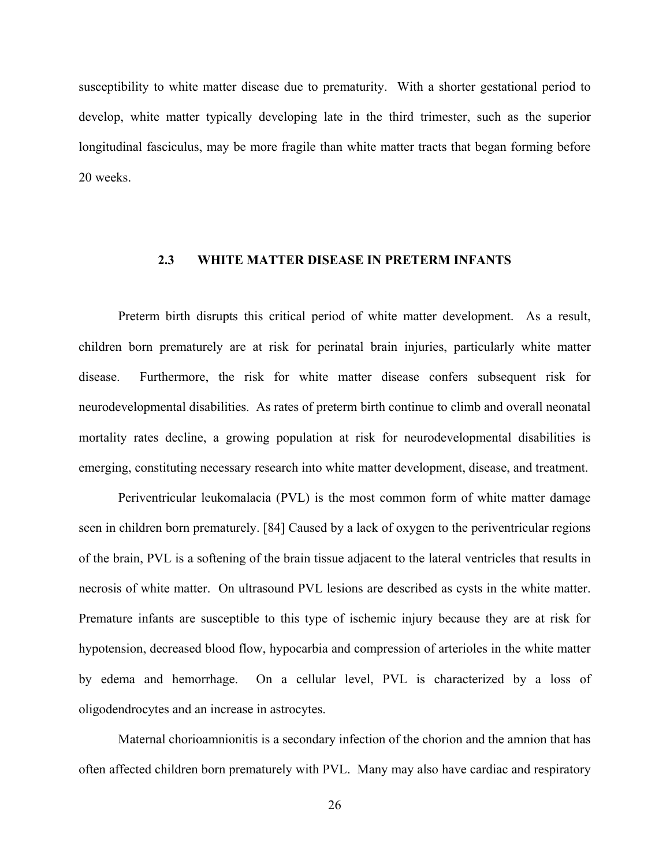<span id="page-35-0"></span>susceptibility to white matter disease due to prematurity. With a shorter gestational period to develop, white matter typically developing late in the third trimester, such as the superior longitudinal fasciculus, may be more fragile than white matter tracts that began forming before 20 weeks.

#### **2.3 WHITE MATTER DISEASE IN PRETERM INFANTS**

Preterm birth disrupts this critical period of white matter development. As a result, children born prematurely are at risk for perinatal brain injuries, particularly white matter disease. Furthermore, the risk for white matter disease confers subsequent risk for neurodevelopmental disabilities. As rates of preterm birth continue to climb and overall neonatal mortality rates decline, a growing population at risk for neurodevelopmental disabilities is emerging, constituting necessary research into white matter development, disease, and treatment.

Periventricular leukomalacia (PVL) is the most common form of white matter damage seen in children born prematurely. [84] Caused by a lack of oxygen to the periventricular regions of the brain, PVL is a softening of the brain tissue adjacent to the lateral ventricles that results in necrosis of white matter. On ultrasound PVL lesions are described as cysts in the white matter. Premature infants are susceptible to this type of ischemic injury because they are at risk for hypotension, decreased blood flow, hypocarbia and compression of arterioles in the white matter by edema and hemorrhage. On a cellular level, PVL is characterized by a loss of oligodendrocytes and an increase in astrocytes.

Maternal chorioamnionitis is a secondary infection of the chorion and the amnion that has often affected children born prematurely with PVL. Many may also have cardiac and respiratory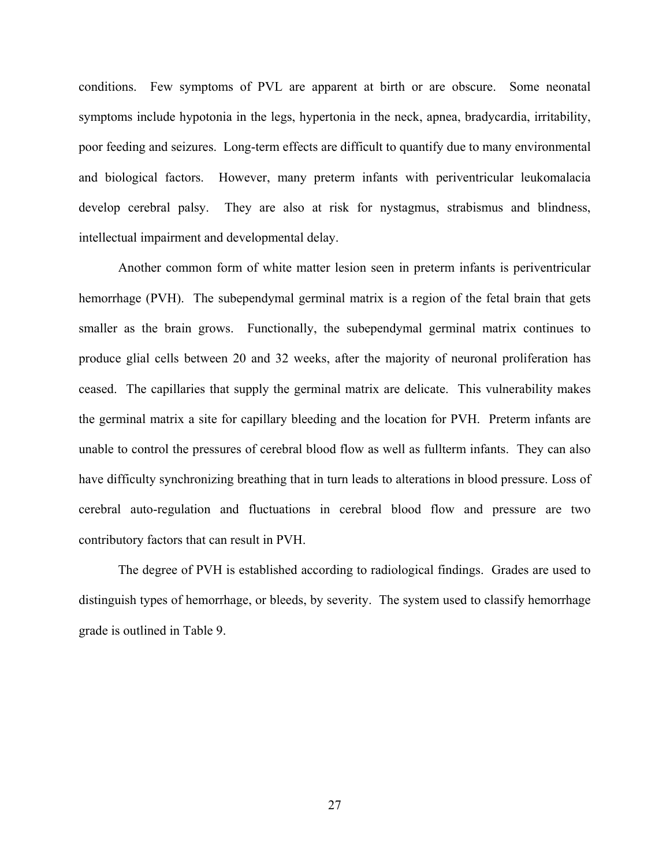conditions. Few symptoms of PVL are apparent at birth or are obscure. Some neonatal symptoms include hypotonia in the legs, hypertonia in the neck, apnea, bradycardia, irritability, poor feeding and seizures. Long-term effects are difficult to quantify due to many environmental and biological factors. However, many preterm infants with periventricular leukomalacia develop cerebral palsy. They are also at risk for nystagmus, strabismus and blindness, intellectual impairment and developmental delay.

Another common form of white matter lesion seen in preterm infants is periventricular hemorrhage (PVH). The subependymal germinal matrix is a region of the fetal brain that gets smaller as the brain grows. Functionally, the subependymal germinal matrix continues to produce glial cells between 20 and 32 weeks, after the majority of neuronal proliferation has ceased. The capillaries that supply the germinal matrix are delicate. This vulnerability makes the germinal matrix a site for capillary bleeding and the location for PVH. Preterm infants are unable to control the pressures of cerebral blood flow as well as fullterm infants. They can also have difficulty synchronizing breathing that in turn leads to alterations in blood pressure. Loss of cerebral auto-regulation and fluctuations in cerebral blood flow and pressure are two contributory factors that can result in PVH.

The degree of PVH is established according to radiological findings. Grades are used to distinguish types of hemorrhage, or bleeds, by severity. The system used to classify hemorrhage grade is outlined in Table 9.

27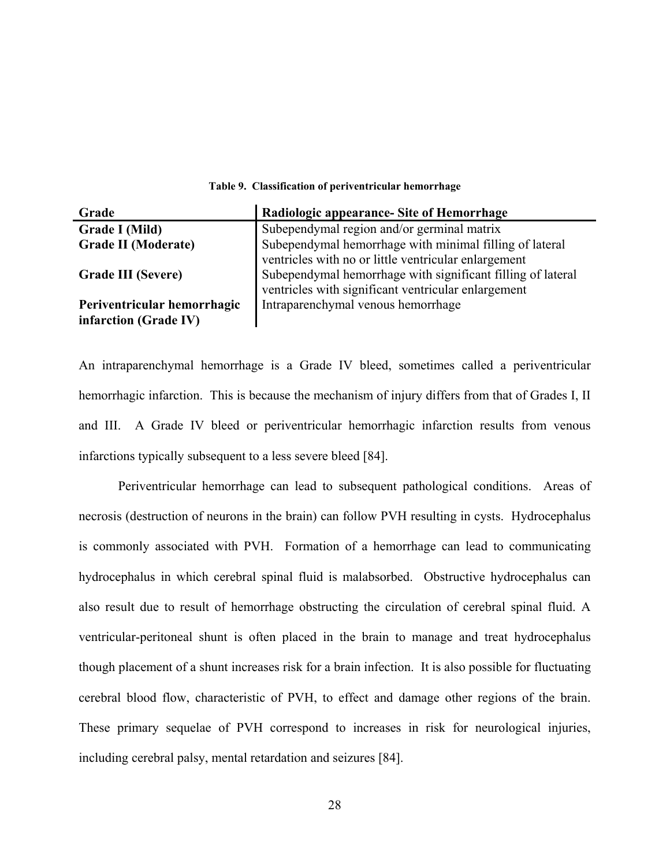| Grade                       | Radiologic appearance- Site of Hemorrhage                   |
|-----------------------------|-------------------------------------------------------------|
| <b>Grade I (Mild)</b>       | Subependymal region and/or germinal matrix                  |
| <b>Grade II (Moderate)</b>  | Subependymal hemorrhage with minimal filling of lateral     |
|                             | ventricles with no or little ventricular enlargement        |
| <b>Grade III (Severe)</b>   | Subependymal hemorrhage with significant filling of lateral |
|                             | ventricles with significant ventricular enlargement         |
| Periventricular hemorrhagic | Intraparenchymal venous hemorrhage                          |
| infarction (Grade IV)       |                                                             |

#### **Table 9. Classification of periventricular hemorrhage**

An intraparenchymal hemorrhage is a Grade IV bleed, sometimes called a periventricular hemorrhagic infarction. This is because the mechanism of injury differs from that of Grades I, II and III. A Grade IV bleed or periventricular hemorrhagic infarction results from venous infarctions typically subsequent to a less severe bleed [84].

Periventricular hemorrhage can lead to subsequent pathological conditions. Areas of necrosis (destruction of neurons in the brain) can follow PVH resulting in cysts. Hydrocephalus is commonly associated with PVH. Formation of a hemorrhage can lead to communicating hydrocephalus in which cerebral spinal fluid is malabsorbed. Obstructive hydrocephalus can also result due to result of hemorrhage obstructing the circulation of cerebral spinal fluid. A ventricular-peritoneal shunt is often placed in the brain to manage and treat hydrocephalus though placement of a shunt increases risk for a brain infection. It is also possible for fluctuating cerebral blood flow, characteristic of PVH, to effect and damage other regions of the brain. These primary sequelae of PVH correspond to increases in risk for neurological injuries, including cerebral palsy, mental retardation and seizures [84].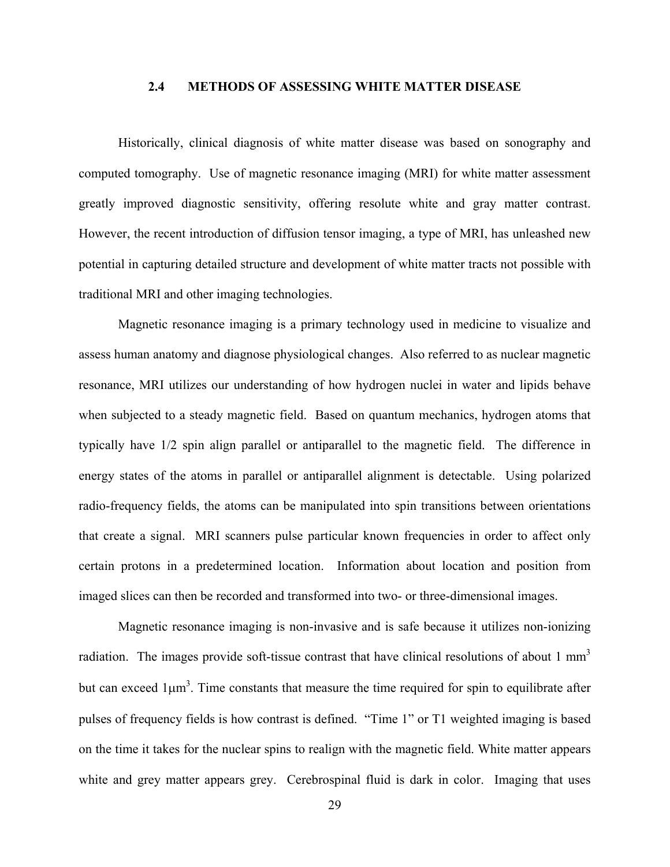#### **2.4 METHODS OF ASSESSING WHITE MATTER DISEASE**

Historically, clinical diagnosis of white matter disease was based on sonography and computed tomography. Use of magnetic resonance imaging (MRI) for white matter assessment greatly improved diagnostic sensitivity, offering resolute white and gray matter contrast. However, the recent introduction of diffusion tensor imaging, a type of MRI, has unleashed new potential in capturing detailed structure and development of white matter tracts not possible with traditional MRI and other imaging technologies.

Magnetic resonance imaging is a primary technology used in medicine to visualize and assess human anatomy and diagnose physiological changes. Also referred to as nuclear magnetic resonance, MRI utilizes our understanding of how hydrogen nuclei in water and lipids behave when subjected to a steady magnetic field. Based on quantum mechanics, hydrogen atoms that typically have 1/2 spin align parallel or antiparallel to the magnetic field. The difference in energy states of the atoms in parallel or antiparallel alignment is detectable. Using polarized radio-frequency fields, the atoms can be manipulated into spin transitions between orientations that create a signal. MRI scanners pulse particular known frequencies in order to affect only certain protons in a predetermined location. Information about location and position from imaged slices can then be recorded and transformed into two- or three-dimensional images.

Magnetic resonance imaging is non-invasive and is safe because it utilizes non-ionizing radiation. The images provide soft-tissue contrast that have clinical resolutions of about  $1 \text{ mm}^3$ but can exceed  $1\mu m^3$ . Time constants that measure the time required for spin to equilibrate after pulses of frequency fields is how contrast is defined. "Time 1" or T1 weighted imaging is based on the time it takes for the nuclear spins to realign with the magnetic field. White matter appears white and grey matter appears grey. Cerebrospinal fluid is dark in color. Imaging that uses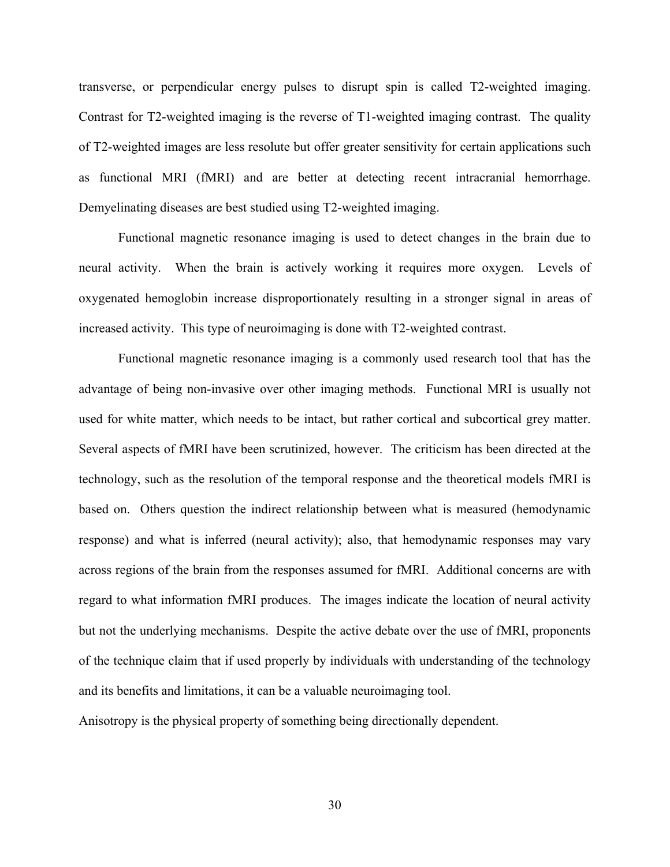transverse, or perpendicular energy pulses to disrupt spin is called T2-weighted imaging. Contrast for T2-weighted imaging is the reverse of T1-weighted imaging contrast. The quality of T2-weighted images are less resolute but offer greater sensitivity for certain applications such as functional MRI (fMRI) and are better at detecting recent intracranial hemorrhage. Demyelinating diseases are best studied using T2-weighted imaging.

Functional magnetic resonance imaging is used to detect changes in the brain due to neural activity. When the brain is actively working it requires more oxygen. Levels of oxygenated hemoglobin increase disproportionately resulting in a stronger signal in areas of increased activity. This type of neuroimaging is done with T2-weighted contrast.

Functional magnetic resonance imaging is a commonly used research tool that has the advantage of being non-invasive over other imaging methods. Functional MRI is usually not used for white matter, which needs to be intact, but rather cortical and subcortical grey matter. Several aspects of fMRI have been scrutinized, however. The criticism has been directed at the technology, such as the resolution of the temporal response and the theoretical models fMRI is based on. Others question the indirect relationship between what is measured (hemodynamic response) and what is inferred (neural activity); also, that hemodynamic responses may vary across regions of the brain from the responses assumed for fMRI. Additional concerns are with regard to what information fMRI produces. The images indicate the location of neural activity but not the underlying mechanisms. Despite the active debate over the use of fMRI, proponents of the technique claim that if used properly by individuals with understanding of the technology and its benefits and limitations, it can be a valuable neuroimaging tool.

Anisotropy is the physical property of something being directionally dependent.

30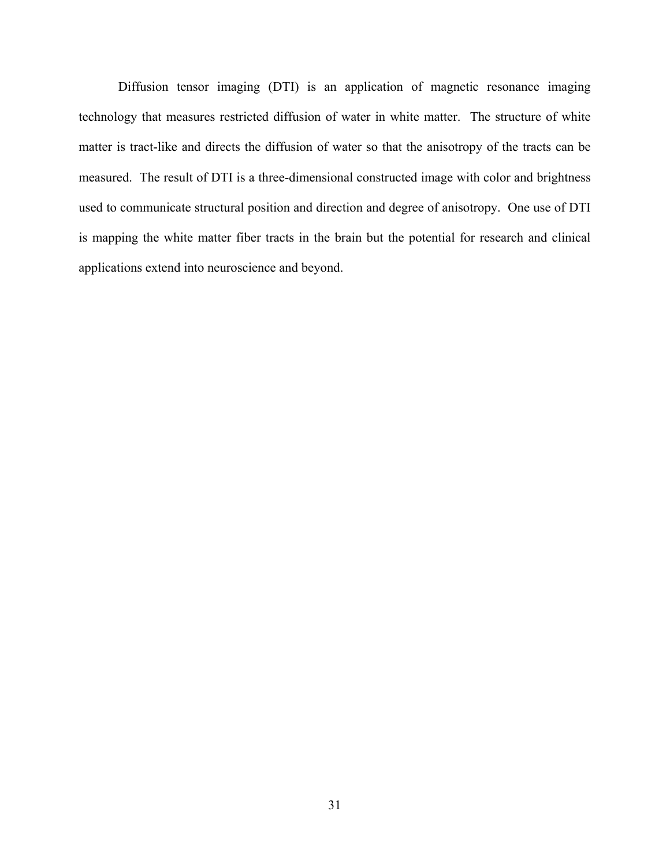Diffusion tensor imaging (DTI) is an application of magnetic resonance imaging technology that measures restricted diffusion of water in white matter. The structure of white matter is tract-like and directs the diffusion of water so that the anisotropy of the tracts can be measured. The result of DTI is a three-dimensional constructed image with color and brightness used to communicate structural position and direction and degree of anisotropy. One use of DTI is mapping the white matter fiber tracts in the brain but the potential for research and clinical applications extend into neuroscience and beyond.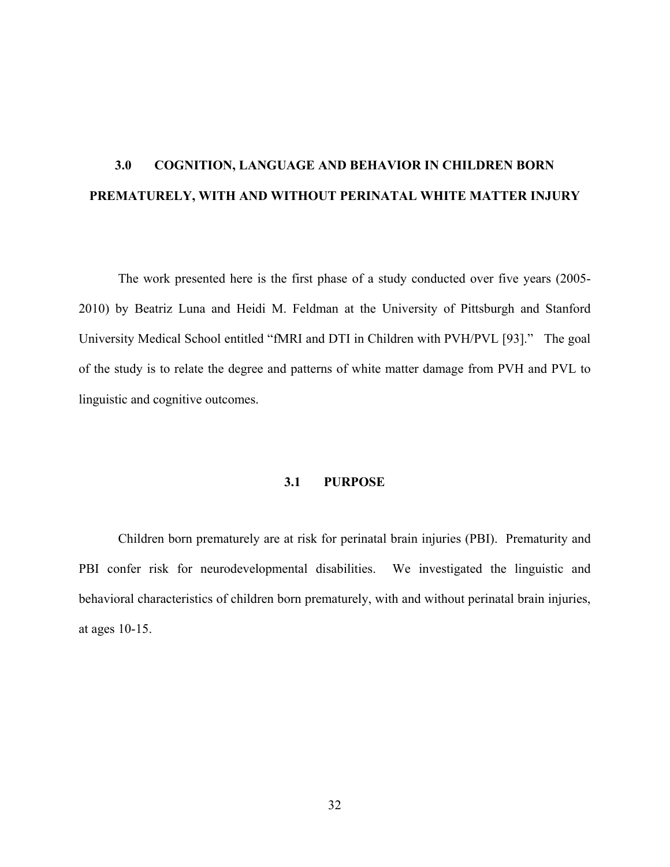# **3.0 COGNITION, LANGUAGE AND BEHAVIOR IN CHILDREN BORN PREMATURELY, WITH AND WITHOUT PERINATAL WHITE MATTER INJURY**

The work presented here is the first phase of a study conducted over five years (2005- 2010) by Beatriz Luna and Heidi M. Feldman at the University of Pittsburgh and Stanford University Medical School entitled "fMRI and DTI in Children with PVH/PVL [93]." The goal of the study is to relate the degree and patterns of white matter damage from PVH and PVL to linguistic and cognitive outcomes.

#### **3.1 PURPOSE**

Children born prematurely are at risk for perinatal brain injuries (PBI). Prematurity and PBI confer risk for neurodevelopmental disabilities. We investigated the linguistic and behavioral characteristics of children born prematurely, with and without perinatal brain injuries, at ages 10-15.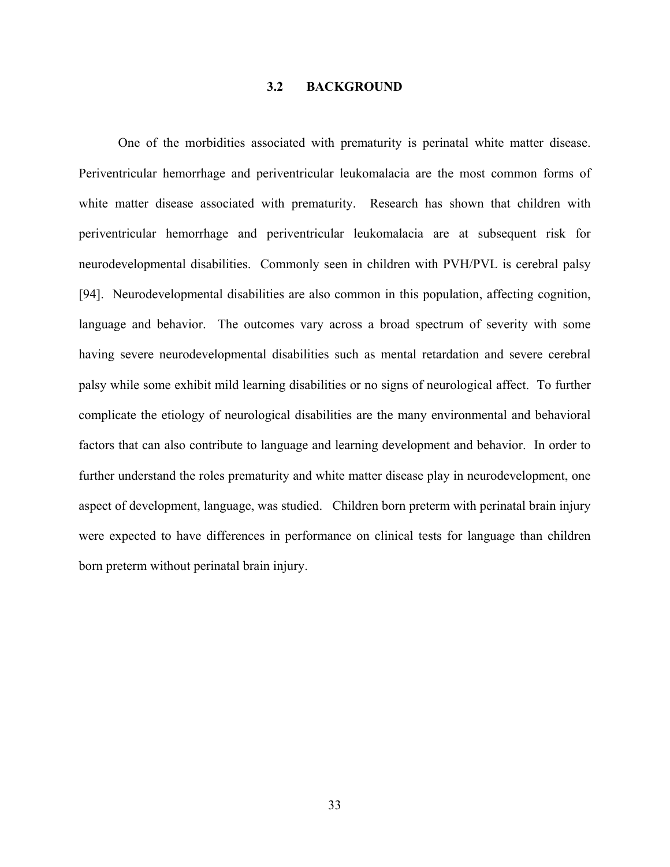#### **3.2 BACKGROUND**

One of the morbidities associated with prematurity is perinatal white matter disease. Periventricular hemorrhage and periventricular leukomalacia are the most common forms of white matter disease associated with prematurity. Research has shown that children with periventricular hemorrhage and periventricular leukomalacia are at subsequent risk for neurodevelopmental disabilities. Commonly seen in children with PVH/PVL is cerebral palsy [94]. Neurodevelopmental disabilities are also common in this population, affecting cognition, language and behavior. The outcomes vary across a broad spectrum of severity with some having severe neurodevelopmental disabilities such as mental retardation and severe cerebral palsy while some exhibit mild learning disabilities or no signs of neurological affect. To further complicate the etiology of neurological disabilities are the many environmental and behavioral factors that can also contribute to language and learning development and behavior. In order to further understand the roles prematurity and white matter disease play in neurodevelopment, one aspect of development, language, was studied. Children born preterm with perinatal brain injury were expected to have differences in performance on clinical tests for language than children born preterm without perinatal brain injury.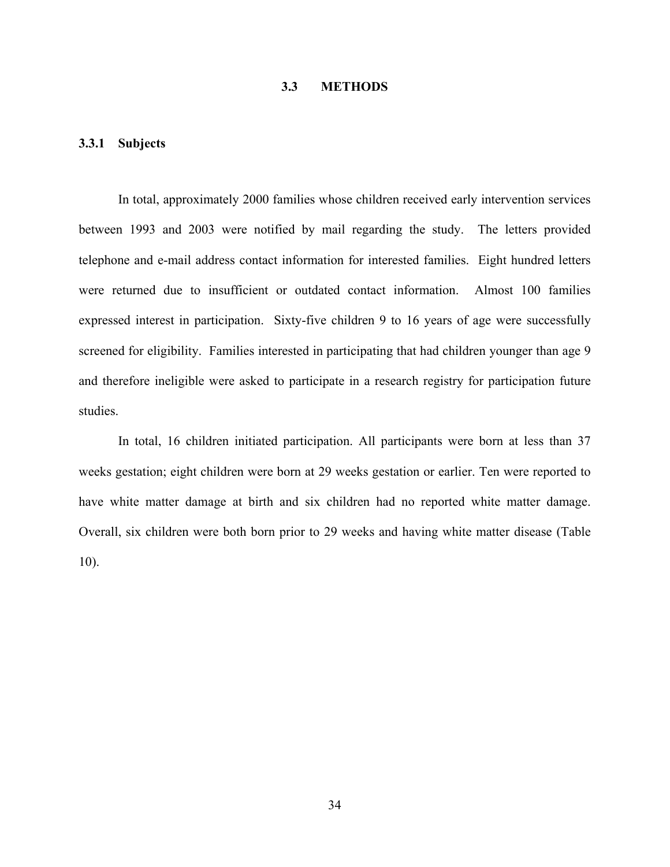# **3.3 METHODS**

#### **3.3.1 Subjects**

In total, approximately 2000 families whose children received early intervention services between 1993 and 2003 were notified by mail regarding the study. The letters provided telephone and e-mail address contact information for interested families. Eight hundred letters were returned due to insufficient or outdated contact information. Almost 100 families expressed interest in participation. Sixty-five children 9 to 16 years of age were successfully screened for eligibility. Families interested in participating that had children younger than age 9 and therefore ineligible were asked to participate in a research registry for participation future studies.

In total, 16 children initiated participation. All participants were born at less than 37 weeks gestation; eight children were born at 29 weeks gestation or earlier. Ten were reported to have white matter damage at birth and six children had no reported white matter damage. Overall, six children were both born prior to 29 weeks and having white matter disease (Table 10).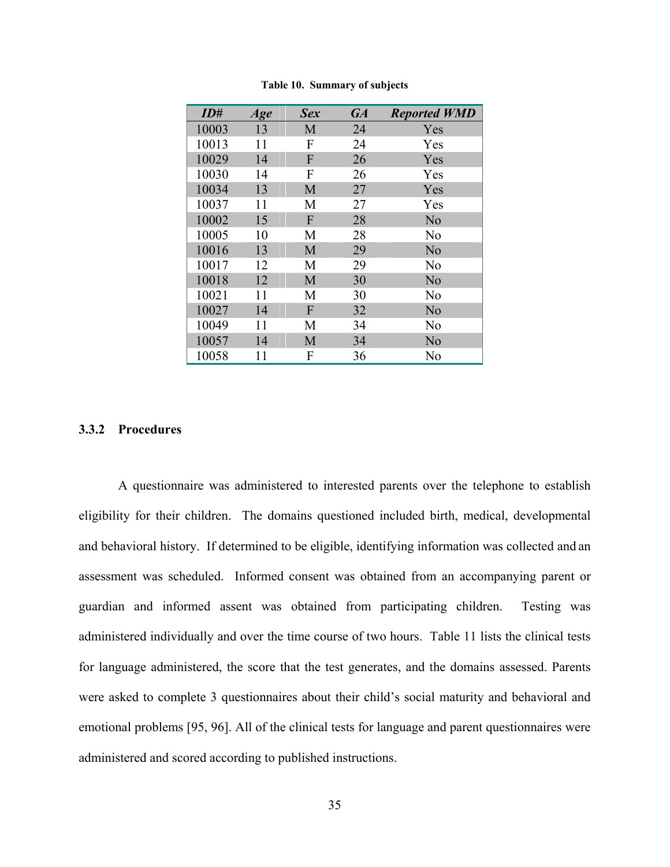| ID#   | Age | <b>Sex</b>     | <b>GA</b> | <b>Reported WMD</b> |
|-------|-----|----------------|-----------|---------------------|
| 10003 | 13  | M              | 24        | Yes                 |
| 10013 | 11  | F              | 24        | Yes                 |
| 10029 | 14  | F              | 26        | Yes                 |
| 10030 | 14  | F              | 26        | Yes                 |
| 10034 | 13  | M              | 27        | Yes                 |
| 10037 | 11  | M              | 27        | Yes                 |
| 10002 | 15  | F              | 28        | N <sub>o</sub>      |
| 10005 | 10  | M              | 28        | N <sub>0</sub>      |
| 10016 | 13  | M              | 29        | N <sub>o</sub>      |
| 10017 | 12  | M              | 29        | N <sub>o</sub>      |
| 10018 | 12  | M              | 30        | N <sub>o</sub>      |
| 10021 | 11  | M              | 30        | N <sub>o</sub>      |
| 10027 | 14  | $\overline{F}$ | 32        | N <sub>o</sub>      |
| 10049 | 11  | M              | 34        | N <sub>o</sub>      |
| 10057 | 14  | M              | 34        | N <sub>o</sub>      |
| 10058 | 11  | F              | 36        | N <sub>0</sub>      |

**Table 10. Summary of subjects** 

#### **3.3.2 Procedures**

A questionnaire was administered to interested parents over the telephone to establish eligibility for their children. The domains questioned included birth, medical, developmental and behavioral history. If determined to be eligible, identifying information was collected and an assessment was scheduled. Informed consent was obtained from an accompanying parent or guardian and informed assent was obtained from participating children. Testing was administered individually and over the time course of two hours. Table 11 lists the clinical tests for language administered, the score that the test generates, and the domains assessed. Parents were asked to complete 3 questionnaires about their child's social maturity and behavioral and emotional problems [95, 96]. All of the clinical tests for language and parent questionnaires were administered and scored according to published instructions.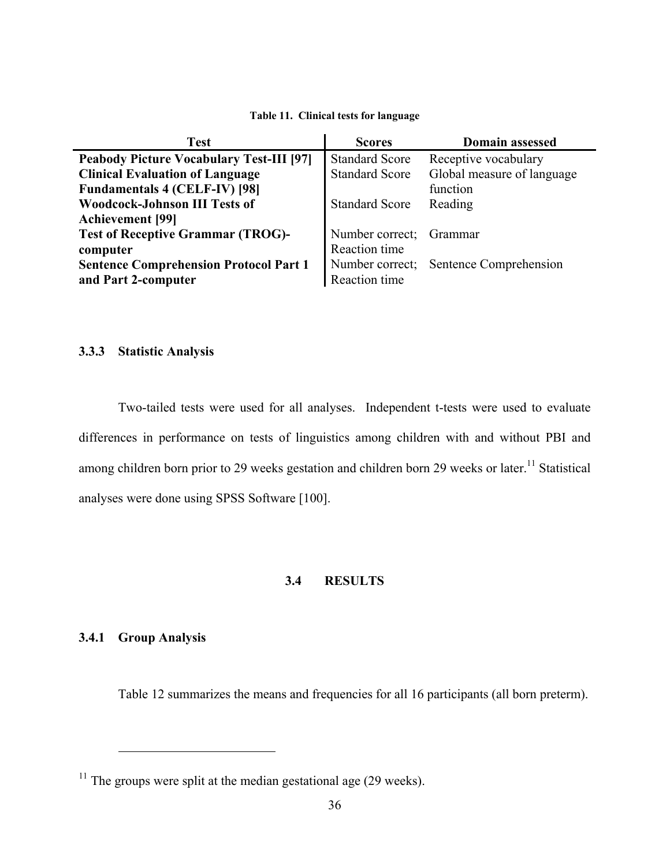#### **Table 11. Clinical tests for language**

| <b>Test</b>                                     | <b>Scores</b>         | <b>Domain assessed</b>                 |
|-------------------------------------------------|-----------------------|----------------------------------------|
| <b>Peabody Picture Vocabulary Test-III [97]</b> | <b>Standard Score</b> | Receptive vocabulary                   |
| <b>Clinical Evaluation of Language</b>          | <b>Standard Score</b> | Global measure of language             |
| <b>Fundamentals 4 (CELF-IV) [98]</b>            |                       | function                               |
| <b>Woodcock-Johnson III Tests of</b>            | <b>Standard Score</b> | Reading                                |
| <b>Achievement</b> [99]                         |                       |                                        |
| <b>Test of Receptive Grammar (TROG)-</b>        | Number correct;       | Grammar                                |
| computer                                        | Reaction time         |                                        |
| <b>Sentence Comprehension Protocol Part 1</b>   |                       | Number correct; Sentence Comprehension |
| and Part 2-computer                             | Reaction time         |                                        |

# **3.3.3 Statistic Analysis**

Two-tailed tests were used for all analyses. Independent t-tests were used to evaluate differences in performance on tests of linguistics among children with and without PBI and among children born prior to 29 weeks gestation and children born 29 weeks or later.<sup>11</sup> Statistical analyses were done using SPSS Software [100].

# **3.4 RESULTS**

# **3.4.1 Group Analysis**

 $\overline{a}$ 

Table 12 summarizes the means and frequencies for all 16 participants (all born preterm).

<span id="page-45-0"></span> $11$  The groups were split at the median gestational age (29 weeks).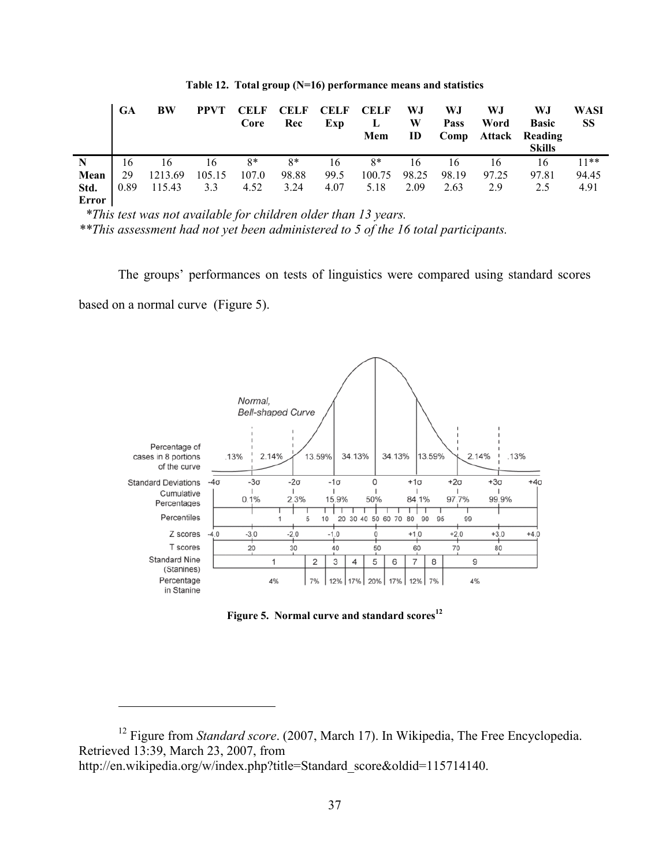|       | GA   | BW      | <b>PPVT</b> | <b>CELF</b><br>Core | <b>CELF</b><br>Rec | <b>CELF</b><br>Exp | <b>CELF</b><br>L<br>Mem | WJ<br>W<br>ID | WJ<br>Pass<br>Comp | W.J<br>Word | WJ<br><b>Basic</b><br><b>Attack Reading</b><br><b>Skills</b> | WASI<br><b>SS</b> |
|-------|------|---------|-------------|---------------------|--------------------|--------------------|-------------------------|---------------|--------------------|-------------|--------------------------------------------------------------|-------------------|
| N     | 16   | 16      | 16          | $8*$                | $8*$               | 16                 | $8*$                    | 16            | 16                 | 16          | 16                                                           | $11**$            |
| Mean  | 29   | 1213.69 | 105.15      | 107.0               | 98.88              | 99.5               | 100.75                  | 98.25         | 98.19              | 97.25       | 97.81                                                        | 94.45             |
| Std.  | 0.89 | 115.43  | 3.3         | 4.52                | 3.24               | 4.07               | 5.18                    | 2.09          | 2.63               | 2.9         | 2.5                                                          | 4.91              |
| Error |      |         |             |                     |                    |                    |                         |               |                    |             |                                                              |                   |

**Table 12. Total group (N=16) performance means and statistics** 

 *\*This test was not available for children older than 13 years.* 

*\*\*This assessment had not yet been administered to 5 of the 16 total participants.* 

The groups' performances on tests of linguistics were compared using standard scores based on a normal curve (Figure 5).



Figure 5. Normal curve and standard scores<sup>12</sup>

<span id="page-46-0"></span> $\overline{a}$ 

<sup>&</sup>lt;sup>12</sup> Figure from *Standard score*. (2007, March 17). In Wikipedia, The Free Encyclopedia. Retrieved 13:39, March 23, 2007, from

http://en.wikipedia.org/w/index.php?title=Standard\_score&oldid=115714140.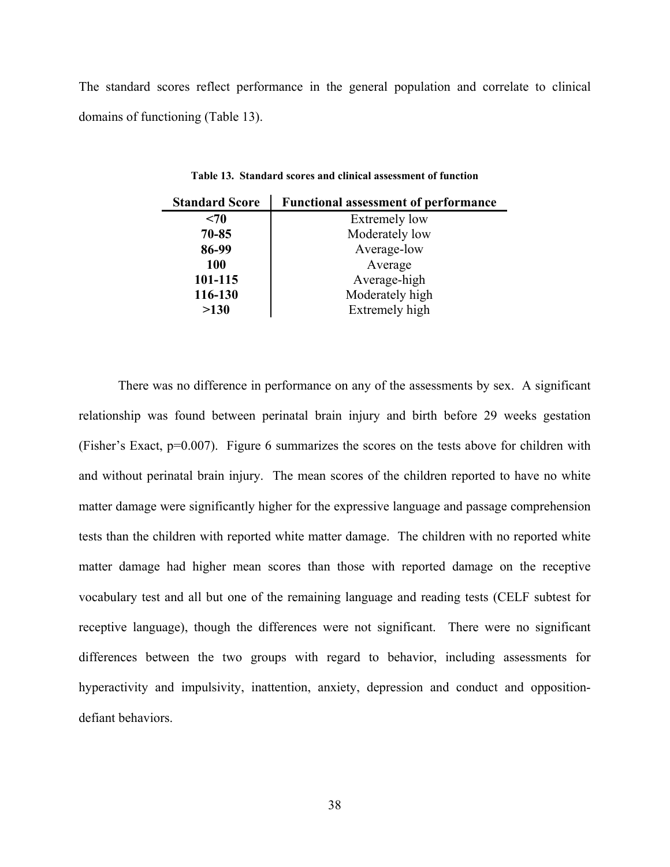The standard scores reflect performance in the general population and correlate to clinical domains of functioning (Table 13).

| <b>Standard Score</b> | <b>Functional assessment of performance</b> |
|-----------------------|---------------------------------------------|
| $70$                  | <b>Extremely low</b>                        |
| $70 - 85$             | Moderately low                              |
| 86-99                 | Average-low                                 |
| 100                   | Average                                     |
| 101-115               | Average-high                                |
| 116-130               | Moderately high                             |
| >130                  | Extremely high                              |

**Table 13. Standard scores and clinical assessment of function** 

There was no difference in performance on any of the assessments by sex. A significant relationship was found between perinatal brain injury and birth before 29 weeks gestation (Fisher's Exact, p=0.007). Figure 6 summarizes the scores on the tests above for children with and without perinatal brain injury. The mean scores of the children reported to have no white matter damage were significantly higher for the expressive language and passage comprehension tests than the children with reported white matter damage. The children with no reported white matter damage had higher mean scores than those with reported damage on the receptive vocabulary test and all but one of the remaining language and reading tests (CELF subtest for receptive language), though the differences were not significant. There were no significant differences between the two groups with regard to behavior, including assessments for hyperactivity and impulsivity, inattention, anxiety, depression and conduct and oppositiondefiant behaviors.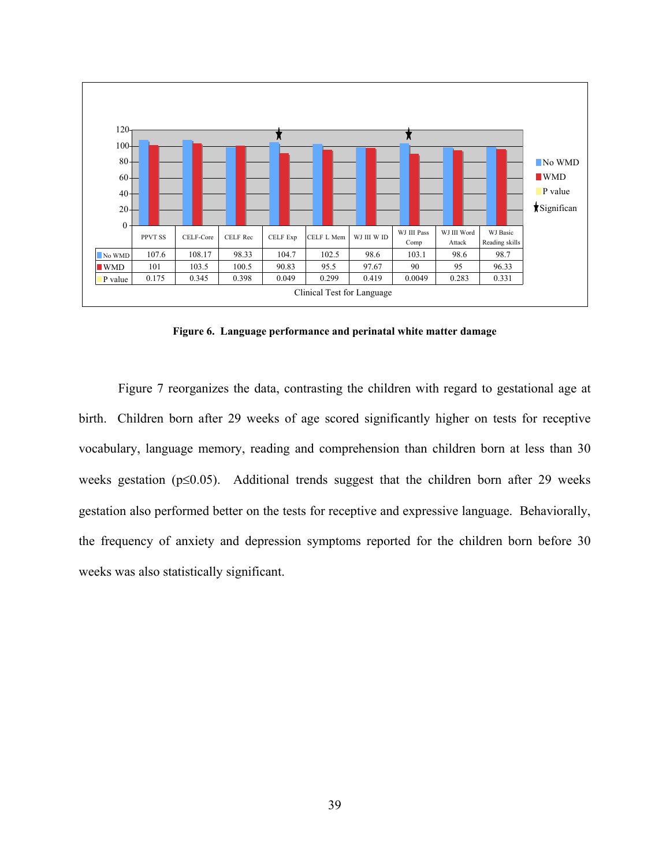

**Figure 6. Language performance and perinatal white matter damage** 

Figure 7 reorganizes the data, contrasting the children with regard to gestational age at birth. Children born after 29 weeks of age scored significantly higher on tests for receptive vocabulary, language memory, reading and comprehension than children born at less than 30 weeks gestation (p≤0.05). Additional trends suggest that the children born after 29 weeks gestation also performed better on the tests for receptive and expressive language. Behaviorally, the frequency of anxiety and depression symptoms reported for the children born before 30 weeks was also statistically significant.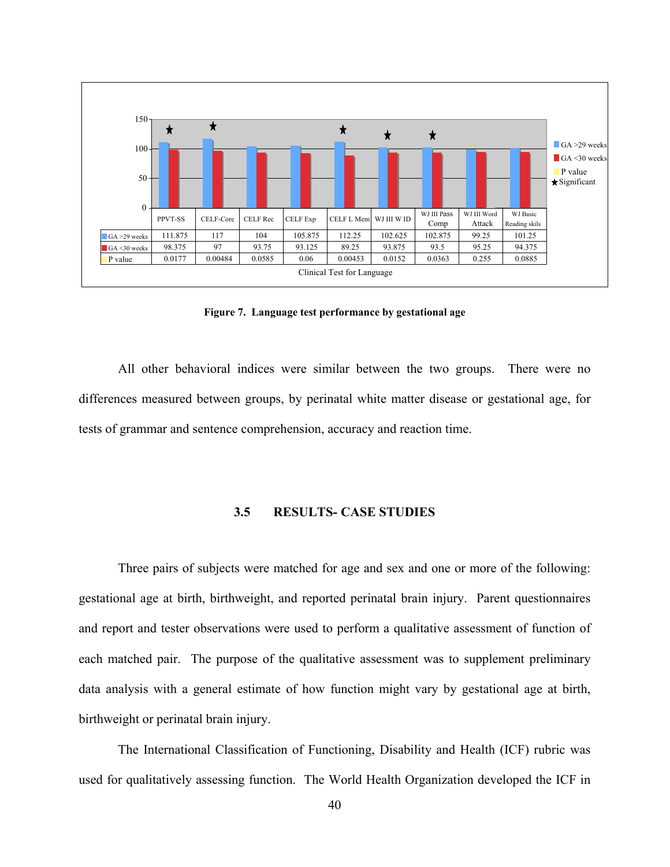

**Figure 7. Language test performance by gestational age**

All other behavioral indices were similar between the two groups. There were no differences measured between groups, by perinatal white matter disease or gestational age, for tests of grammar and sentence comprehension, accuracy and reaction time.

# **3.5 RESULTS- CASE STUDIES**

Three pairs of subjects were matched for age and sex and one or more of the following: gestational age at birth, birthweight, and reported perinatal brain injury. Parent questionnaires and report and tester observations were used to perform a qualitative assessment of function of each matched pair. The purpose of the qualitative assessment was to supplement preliminary data analysis with a general estimate of how function might vary by gestational age at birth, birthweight or perinatal brain injury.

The International Classification of Functioning, Disability and Health (ICF) rubric was used for qualitatively assessing function. The World Health Organization developed the ICF in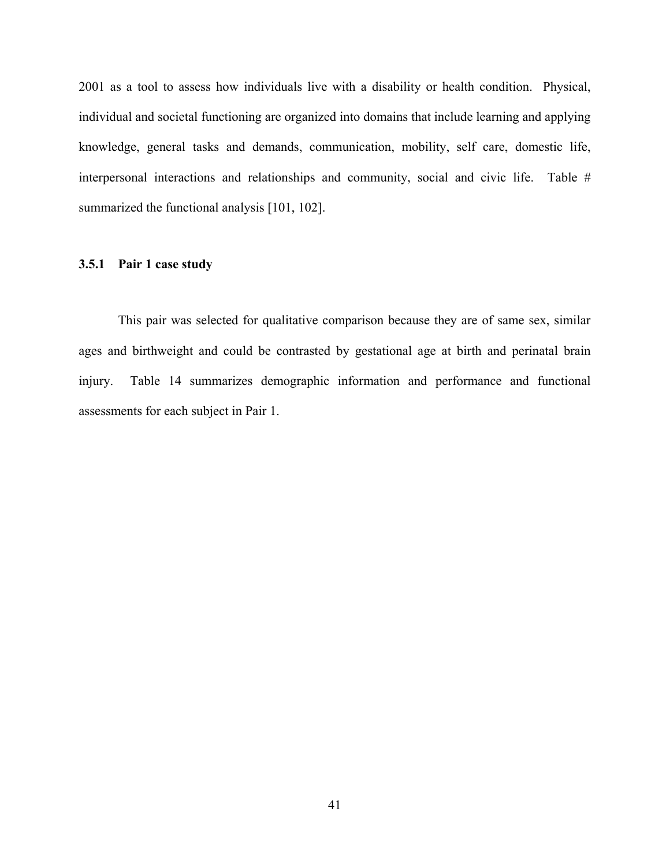2001 as a tool to assess how individuals live with a disability or health condition. Physical, individual and societal functioning are organized into domains that include learning and applying knowledge, general tasks and demands, communication, mobility, self care, domestic life, interpersonal interactions and relationships and community, social and civic life. Table # summarized the functional analysis [101, 102].

#### **3.5.1 Pair 1 case study**

This pair was selected for qualitative comparison because they are of same sex, similar ages and birthweight and could be contrasted by gestational age at birth and perinatal brain injury. Table 14 summarizes demographic information and performance and functional assessments for each subject in Pair 1.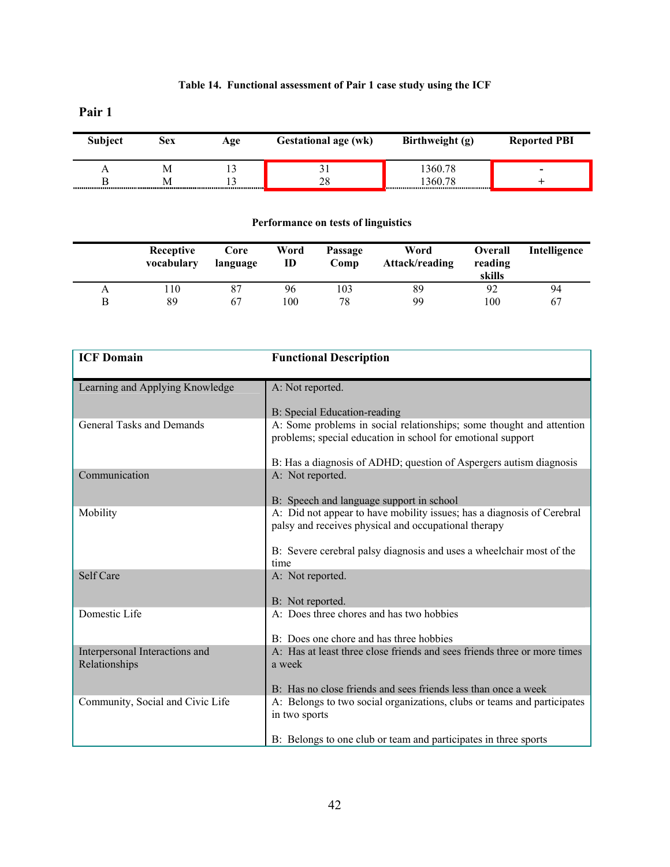# **Table 14. Functional assessment of Pair 1 case study using the ICF**

**Pair 1** 

| <b>Subject</b> | Sеx | Age | <b>Gestational age (wk)</b> | Birthweight (g) | <b>Reported PBI</b>      |
|----------------|-----|-----|-----------------------------|-----------------|--------------------------|
|                |     |     |                             | 360.78          | $\overline{\phantom{0}}$ |
|                |     |     | 28                          | 360.78          |                          |

# **Performance on tests of linguistics**

|   | Receptive<br>vocabulary | Core<br>language | Word<br>ID | Passage<br>Comp | Word<br>Attack/reading | <b>Overall</b><br>reading<br>skills | Intelligence |
|---|-------------------------|------------------|------------|-----------------|------------------------|-------------------------------------|--------------|
| А | 10                      | 87               | 96         | 103             | 89                     | 92                                  | 94           |
| Β | 89                      | 67               | 100        | 78              | 99                     | 100                                 | 67           |

| <b>ICF Domain</b>                | <b>Functional Description</b>                                                                                                       |
|----------------------------------|-------------------------------------------------------------------------------------------------------------------------------------|
| Learning and Applying Knowledge  | A: Not reported.                                                                                                                    |
|                                  | B: Special Education-reading                                                                                                        |
| <b>General Tasks and Demands</b> | A: Some problems in social relationships; some thought and attention<br>problems; special education in school for emotional support |
|                                  | B: Has a diagnosis of ADHD; question of Aspergers autism diagnosis                                                                  |
| Communication                    | A: Not reported.                                                                                                                    |
|                                  | B: Speech and language support in school                                                                                            |
| Mobility                         | A: Did not appear to have mobility issues; has a diagnosis of Cerebral<br>palsy and receives physical and occupational therapy      |
|                                  | B: Severe cerebral palsy diagnosis and uses a wheelchair most of the<br>time                                                        |
| Self Care                        | A: Not reported.                                                                                                                    |
|                                  |                                                                                                                                     |
|                                  | B: Not reported.                                                                                                                    |
| Domestic Life                    | A: Does three chores and has two hobbies                                                                                            |
|                                  | B: Does one chore and has three hobbies                                                                                             |
| Interpersonal Interactions and   | A: Has at least three close friends and sees friends three or more times                                                            |
| Relationships                    | a week                                                                                                                              |
|                                  | B: Has no close friends and sees friends less than once a week                                                                      |
| Community, Social and Civic Life | A: Belongs to two social organizations, clubs or teams and participates                                                             |
|                                  | in two sports                                                                                                                       |
|                                  | B: Belongs to one club or team and participates in three sports                                                                     |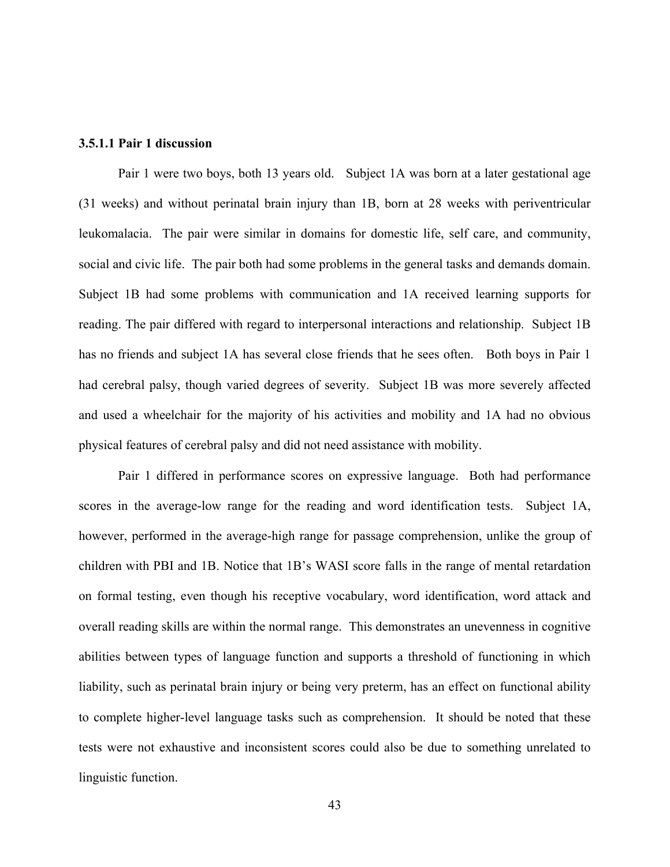#### **3.5.1.1 Pair 1 discussion**

Pair 1 were two boys, both 13 years old. Subject 1A was born at a later gestational age (31 weeks) and without perinatal brain injury than 1B, born at 28 weeks with periventricular leukomalacia. The pair were similar in domains for domestic life, self care, and community, social and civic life. The pair both had some problems in the general tasks and demands domain. Subject 1B had some problems with communication and 1A received learning supports for reading. The pair differed with regard to interpersonal interactions and relationship. Subject 1B has no friends and subject 1A has several close friends that he sees often. Both boys in Pair 1 had cerebral palsy, though varied degrees of severity. Subject 1B was more severely affected and used a wheelchair for the majority of his activities and mobility and 1A had no obvious physical features of cerebral palsy and did not need assistance with mobility.

Pair 1 differed in performance scores on expressive language. Both had performance scores in the average-low range for the reading and word identification tests. Subject 1A, however, performed in the average-high range for passage comprehension, unlike the group of children with PBI and 1B. Notice that 1B's WASI score falls in the range of mental retardation on formal testing, even though his receptive vocabulary, word identification, word attack and overall reading skills are within the normal range. This demonstrates an unevenness in cognitive abilities between types of language function and supports a threshold of functioning in which liability, such as perinatal brain injury or being very preterm, has an effect on functional ability to complete higher-level language tasks such as comprehension. It should be noted that these tests were not exhaustive and inconsistent scores could also be due to something unrelated to linguistic function.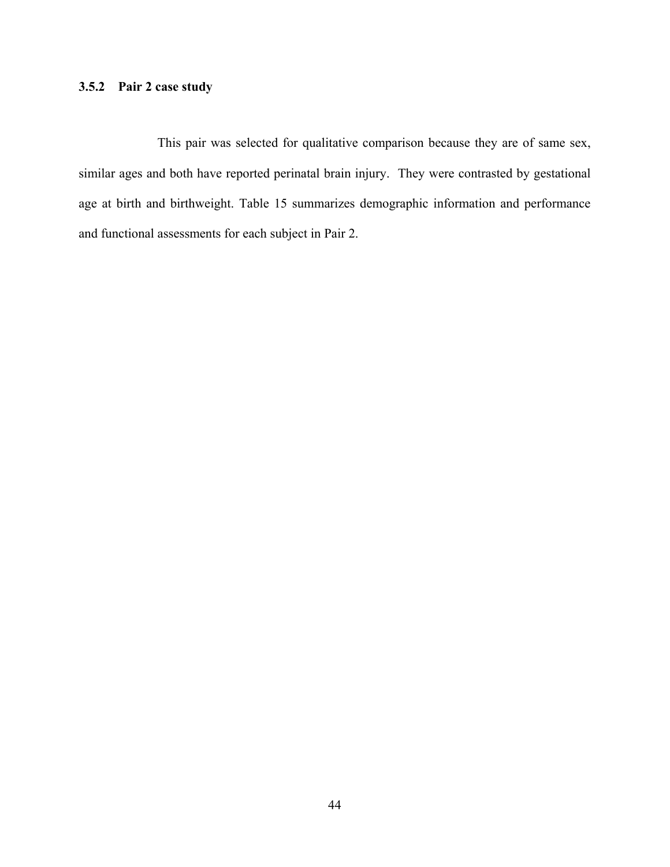# **3.5.2 Pair 2 case study**

This pair was selected for qualitative comparison because they are of same sex, similar ages and both have reported perinatal brain injury. They were contrasted by gestational age at birth and birthweight. Table 15 summarizes demographic information and performance and functional assessments for each subject in Pair 2.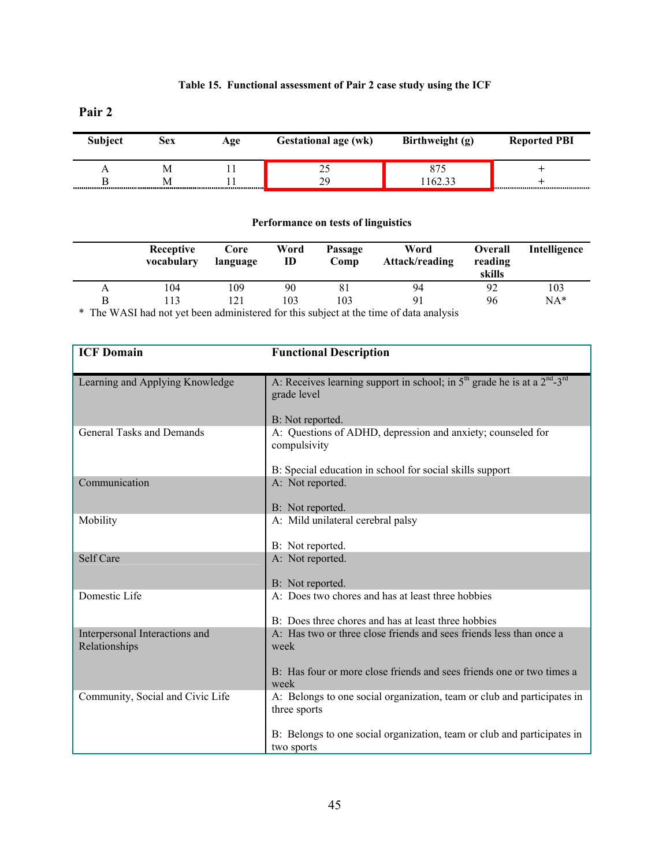# **Table 15. Functional assessment of Pair 2 case study using the ICF**

**Pair 2** 

| Subject | Sex | Age | <b>Gestational age (wk)</b> | Birthweight (g) | <b>Reported PBI</b> |
|---------|-----|-----|-----------------------------|-----------------|---------------------|
|         |     |     | ن ک                         |                 |                     |
|         |     |     | 29                          | 162.33          |                     |

# **Performance on tests of linguistics**

|   | Receptive<br>vocabulary | Core<br>language | Word<br>ID | Passage<br>Comp | Word<br>Attack/reading | <b>Overall</b><br>reading<br>skills | Intelligence |
|---|-------------------------|------------------|------------|-----------------|------------------------|-------------------------------------|--------------|
| А | 104                     | 109              | 90         | 81              | 94                     | 92                                  | 103          |
| В | 13                      |                  | 103        | 103             | Q <sub>1</sub>         | 96                                  | $NA*$        |

\* The WASI had not yet been administered for this subject at the time of data analysis

| <b>ICF Domain</b>                | <b>Functional Description</b>                                                                           |
|----------------------------------|---------------------------------------------------------------------------------------------------------|
| Learning and Applying Knowledge  | A: Receives learning support in school; in $5th$ grade he is at a $2nd$ -3 <sup>rd</sup><br>grade level |
|                                  | B: Not reported.                                                                                        |
| <b>General Tasks and Demands</b> | A: Questions of ADHD, depression and anxiety; counseled for<br>compulsivity                             |
|                                  | B: Special education in school for social skills support                                                |
| Communication                    | A: Not reported.                                                                                        |
|                                  | B: Not reported.                                                                                        |
| Mobility                         | A: Mild unilateral cerebral palsy                                                                       |
|                                  | B: Not reported.                                                                                        |
| Self Care                        | A: Not reported.                                                                                        |
|                                  | B: Not reported.                                                                                        |
| Domestic Life                    | A: Does two chores and has at least three hobbies                                                       |
|                                  | B: Does three chores and has at least three hobbies                                                     |
| Interpersonal Interactions and   | A: Has two or three close friends and sees friends less than once a                                     |
| Relationships                    | week                                                                                                    |
|                                  | B: Has four or more close friends and sees friends one or two times a<br>week                           |
| Community, Social and Civic Life | A: Belongs to one social organization, team or club and participates in<br>three sports                 |
|                                  | B: Belongs to one social organization, team or club and participates in<br>two sports                   |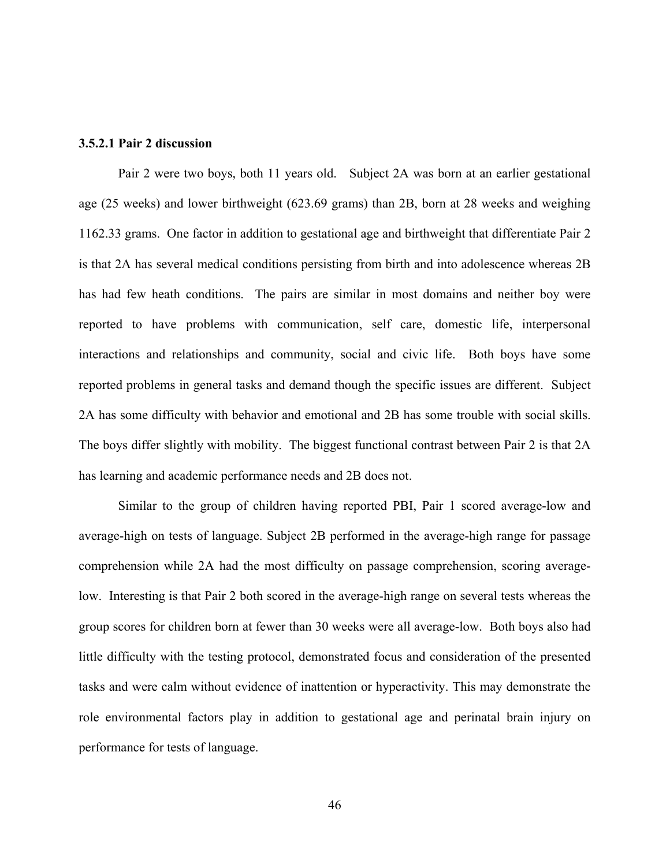#### **3.5.2.1 Pair 2 discussion**

Pair 2 were two boys, both 11 years old. Subject 2A was born at an earlier gestational age (25 weeks) and lower birthweight (623.69 grams) than 2B, born at 28 weeks and weighing 1162.33 grams. One factor in addition to gestational age and birthweight that differentiate Pair 2 is that 2A has several medical conditions persisting from birth and into adolescence whereas 2B has had few heath conditions. The pairs are similar in most domains and neither boy were reported to have problems with communication, self care, domestic life, interpersonal interactions and relationships and community, social and civic life. Both boys have some reported problems in general tasks and demand though the specific issues are different. Subject 2A has some difficulty with behavior and emotional and 2B has some trouble with social skills. The boys differ slightly with mobility. The biggest functional contrast between Pair 2 is that 2A has learning and academic performance needs and 2B does not.

Similar to the group of children having reported PBI, Pair 1 scored average-low and average-high on tests of language. Subject 2B performed in the average-high range for passage comprehension while 2A had the most difficulty on passage comprehension, scoring averagelow. Interesting is that Pair 2 both scored in the average-high range on several tests whereas the group scores for children born at fewer than 30 weeks were all average-low. Both boys also had little difficulty with the testing protocol, demonstrated focus and consideration of the presented tasks and were calm without evidence of inattention or hyperactivity. This may demonstrate the role environmental factors play in addition to gestational age and perinatal brain injury on performance for tests of language.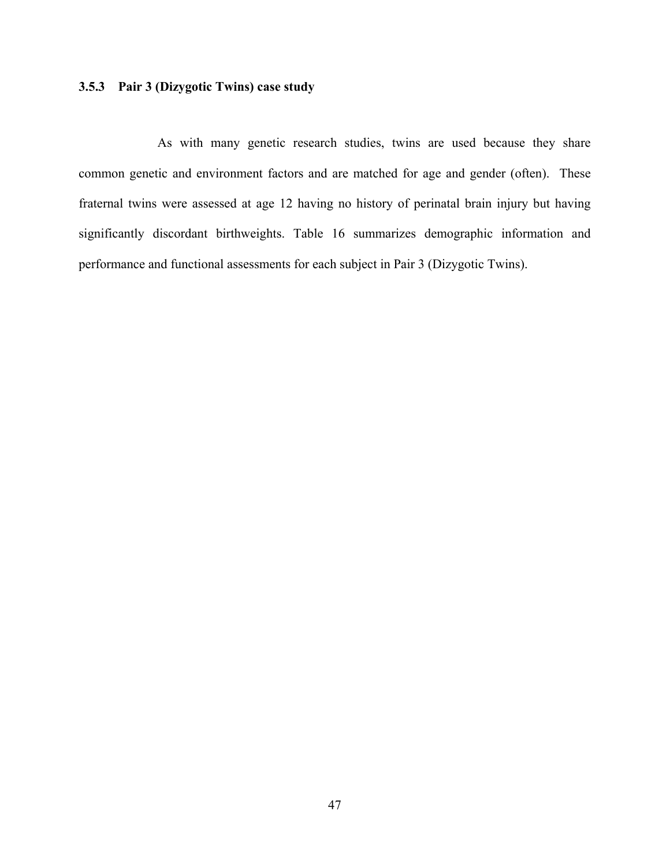# **3.5.3 Pair 3 (Dizygotic Twins) case study**

As with many genetic research studies, twins are used because they share common genetic and environment factors and are matched for age and gender (often). These fraternal twins were assessed at age 12 having no history of perinatal brain injury but having significantly discordant birthweights. Table 16 summarizes demographic information and performance and functional assessments for each subject in Pair 3 (Dizygotic Twins).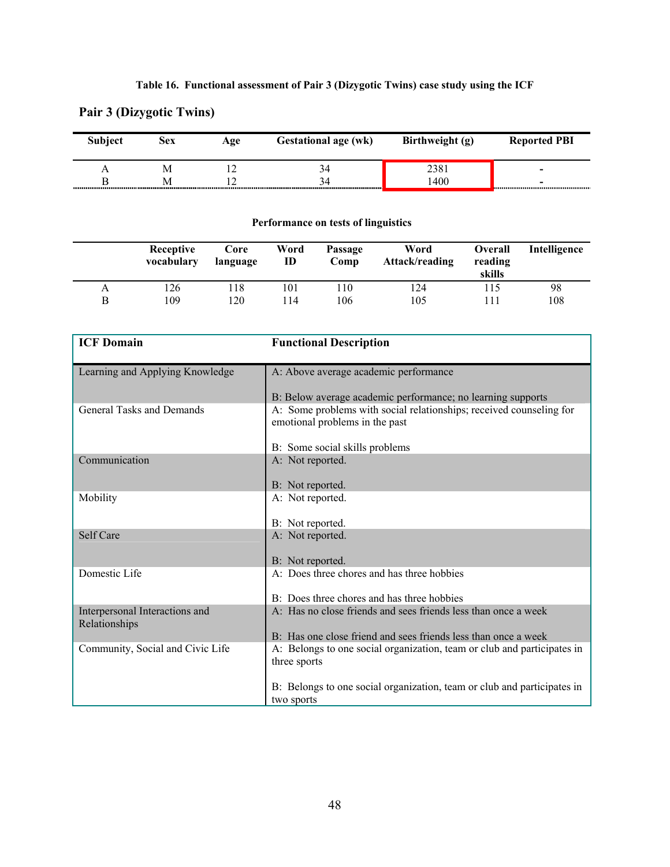# **Table 16. Functional assessment of Pair 3 (Dizygotic Twins) case study using the ICF**

# **Subject Sex Age Gestational age (wk) Birthweight (g) Reported PBI** A M 12 34 2381 **-**  B M 12 34 1400 **-**

# **Pair 3 (Dizygotic Twins)**

# **Performance on tests of linguistics**

|   | Receptive<br>vocabulary | Core<br>language | Word<br>ID | Passage<br>Comp | Word<br>Attack/reading | <b>Overall</b><br>reading<br>skills | Intelligence |
|---|-------------------------|------------------|------------|-----------------|------------------------|-------------------------------------|--------------|
| A | 126                     | .18              | 101        | 110             | 124                    | 115                                 | 98           |
| B | 109                     | 20               | 14         | 106             | 105                    |                                     | 108          |

| <b>ICF Domain</b>                               | <b>Functional Description</b>                                                                         |
|-------------------------------------------------|-------------------------------------------------------------------------------------------------------|
| Learning and Applying Knowledge                 | A: Above average academic performance                                                                 |
|                                                 | B: Below average academic performance; no learning supports                                           |
| <b>General Tasks and Demands</b>                | A: Some problems with social relationships; received counseling for<br>emotional problems in the past |
|                                                 | B: Some social skills problems                                                                        |
| Communication                                   | A: Not reported.                                                                                      |
|                                                 | B: Not reported.                                                                                      |
| Mobility                                        | A: Not reported.                                                                                      |
|                                                 | B: Not reported.                                                                                      |
| Self Care                                       | A: Not reported.                                                                                      |
|                                                 | B: Not reported.                                                                                      |
| Domestic Life                                   | A: Does three chores and has three hobbies                                                            |
|                                                 | B: Does three chores and has three hobbies                                                            |
| Interpersonal Interactions and<br>Relationships | A: Has no close friends and sees friends less than once a week                                        |
|                                                 | B: Has one close friend and sees friends less than once a week                                        |
| Community, Social and Civic Life                | A: Belongs to one social organization, team or club and participates in<br>three sports               |
|                                                 | B: Belongs to one social organization, team or club and participates in<br>two sports                 |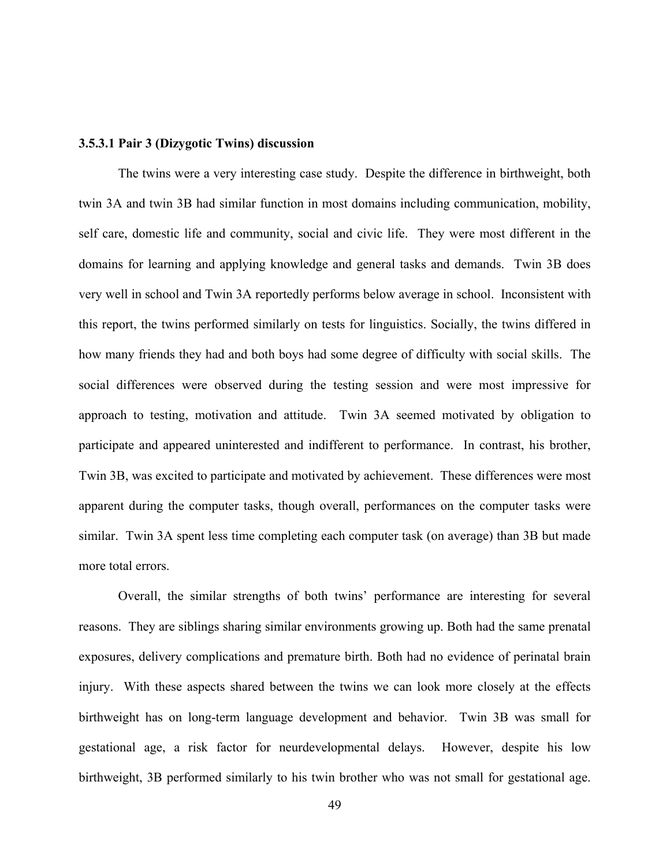#### **3.5.3.1 Pair 3 (Dizygotic Twins) discussion**

The twins were a very interesting case study. Despite the difference in birthweight, both twin 3A and twin 3B had similar function in most domains including communication, mobility, self care, domestic life and community, social and civic life. They were most different in the domains for learning and applying knowledge and general tasks and demands. Twin 3B does very well in school and Twin 3A reportedly performs below average in school. Inconsistent with this report, the twins performed similarly on tests for linguistics. Socially, the twins differed in how many friends they had and both boys had some degree of difficulty with social skills. The social differences were observed during the testing session and were most impressive for approach to testing, motivation and attitude. Twin 3A seemed motivated by obligation to participate and appeared uninterested and indifferent to performance. In contrast, his brother, Twin 3B, was excited to participate and motivated by achievement. These differences were most apparent during the computer tasks, though overall, performances on the computer tasks were similar. Twin 3A spent less time completing each computer task (on average) than 3B but made more total errors.

Overall, the similar strengths of both twins' performance are interesting for several reasons. They are siblings sharing similar environments growing up. Both had the same prenatal exposures, delivery complications and premature birth. Both had no evidence of perinatal brain injury. With these aspects shared between the twins we can look more closely at the effects birthweight has on long-term language development and behavior. Twin 3B was small for gestational age, a risk factor for neurdevelopmental delays. However, despite his low birthweight, 3B performed similarly to his twin brother who was not small for gestational age.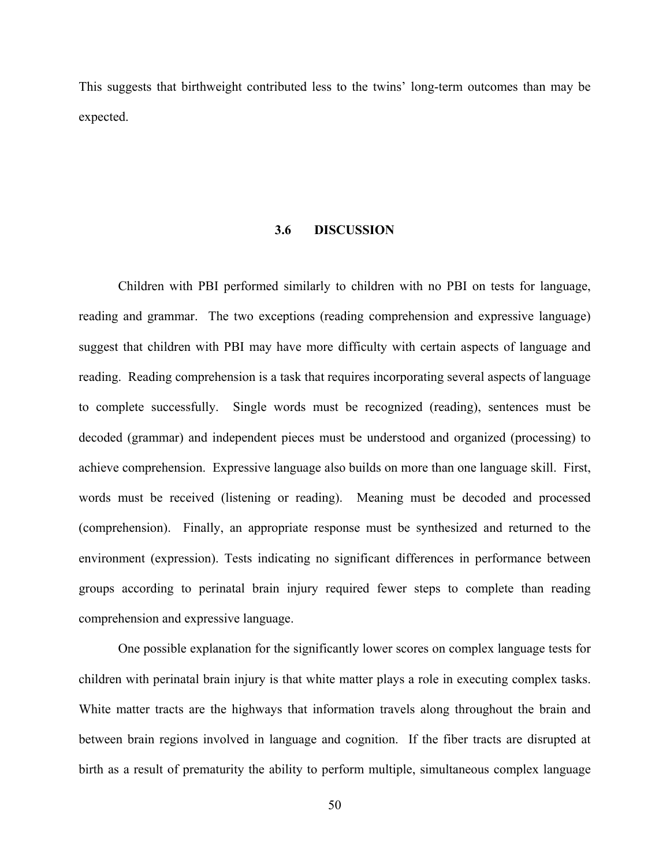This suggests that birthweight contributed less to the twins' long-term outcomes than may be expected.

#### **3.6 DISCUSSION**

Children with PBI performed similarly to children with no PBI on tests for language, reading and grammar. The two exceptions (reading comprehension and expressive language) suggest that children with PBI may have more difficulty with certain aspects of language and reading. Reading comprehension is a task that requires incorporating several aspects of language to complete successfully. Single words must be recognized (reading), sentences must be decoded (grammar) and independent pieces must be understood and organized (processing) to achieve comprehension. Expressive language also builds on more than one language skill. First, words must be received (listening or reading). Meaning must be decoded and processed (comprehension). Finally, an appropriate response must be synthesized and returned to the environment (expression). Tests indicating no significant differences in performance between groups according to perinatal brain injury required fewer steps to complete than reading comprehension and expressive language.

One possible explanation for the significantly lower scores on complex language tests for children with perinatal brain injury is that white matter plays a role in executing complex tasks. White matter tracts are the highways that information travels along throughout the brain and between brain regions involved in language and cognition. If the fiber tracts are disrupted at birth as a result of prematurity the ability to perform multiple, simultaneous complex language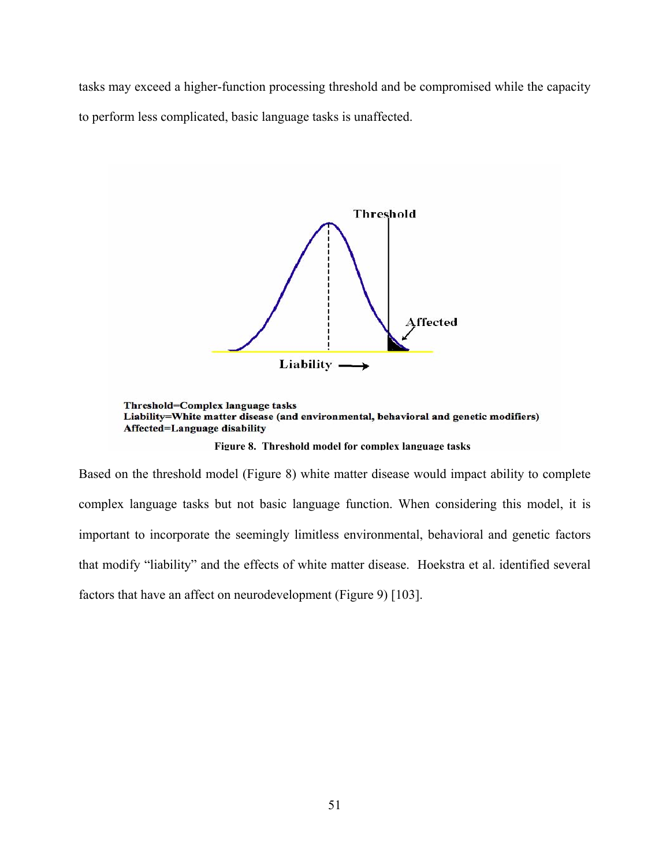tasks may exceed a higher-function processing threshold and be compromised while the capacity to perform less complicated, basic language tasks is unaffected.



**Figure 8. Threshold model for complex language tasks** 

Based on the threshold model (Figure 8) white matter disease would impact ability to complete complex language tasks but not basic language function. When considering this model, it is important to incorporate the seemingly limitless environmental, behavioral and genetic factors that modify "liability" and the effects of white matter disease. Hoekstra et al. identified several factors that have an affect on neurodevelopment (Figure 9) [103].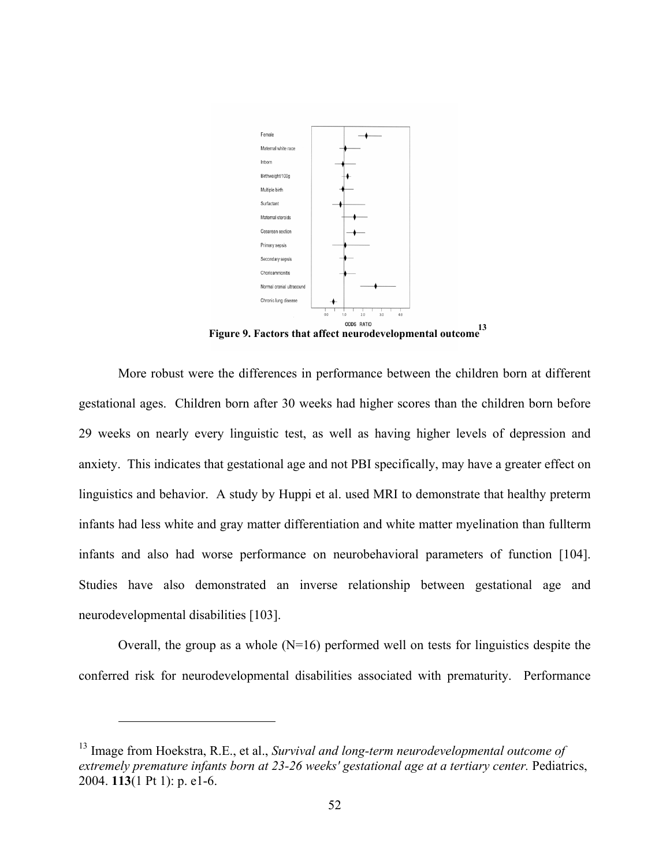

**Figure 9. Factors that affect neurodevelopmental outcome 13**

More robust were the differences in performance between the children born at different gestational ages. Children born after 30 weeks had higher scores than the children born before 29 weeks on nearly every linguistic test, as well as having higher levels of depression and anxiety. This indicates that gestational age and not PBI specifically, may have a greater effect on linguistics and behavior. A study by Huppi et al. used MRI to demonstrate that healthy preterm infants had less white and gray matter differentiation and white matter myelination than fullterm infants and also had worse performance on neurobehavioral parameters of function [104]. Studies have also demonstrated an inverse relationship between gestational age and neurodevelopmental disabilities [103].

Overall, the group as a whole  $(N=16)$  performed well on tests for linguistics despite the conferred risk for neurodevelopmental disabilities associated with prematurity. Performance

1

<sup>13</sup> Image from Hoekstra, R.E., et al., *Survival and long-term neurodevelopmental outcome of extremely premature infants born at 23-26 weeks' gestational age at a tertiary center.* Pediatrics, 2004. **113**(1 Pt 1): p. e1-6.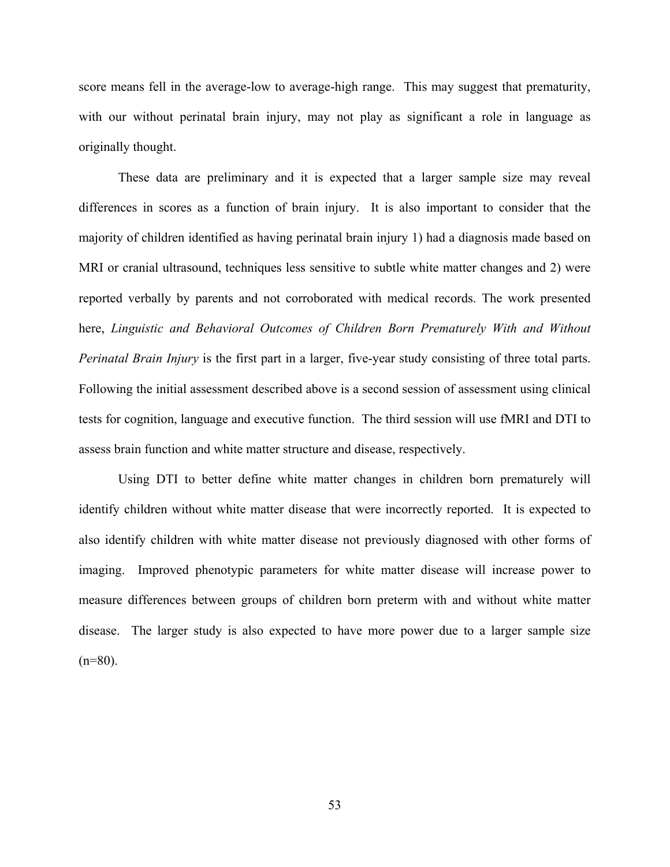score means fell in the average-low to average-high range. This may suggest that prematurity, with our without perinatal brain injury, may not play as significant a role in language as originally thought.

These data are preliminary and it is expected that a larger sample size may reveal differences in scores as a function of brain injury. It is also important to consider that the majority of children identified as having perinatal brain injury 1) had a diagnosis made based on MRI or cranial ultrasound, techniques less sensitive to subtle white matter changes and 2) were reported verbally by parents and not corroborated with medical records. The work presented here, *Linguistic and Behavioral Outcomes of Children Born Prematurely With and Without Perinatal Brain Injury* is the first part in a larger, five-year study consisting of three total parts. Following the initial assessment described above is a second session of assessment using clinical tests for cognition, language and executive function. The third session will use fMRI and DTI to assess brain function and white matter structure and disease, respectively.

Using DTI to better define white matter changes in children born prematurely will identify children without white matter disease that were incorrectly reported. It is expected to also identify children with white matter disease not previously diagnosed with other forms of imaging. Improved phenotypic parameters for white matter disease will increase power to measure differences between groups of children born preterm with and without white matter disease. The larger study is also expected to have more power due to a larger sample size  $(n=80)$ .

53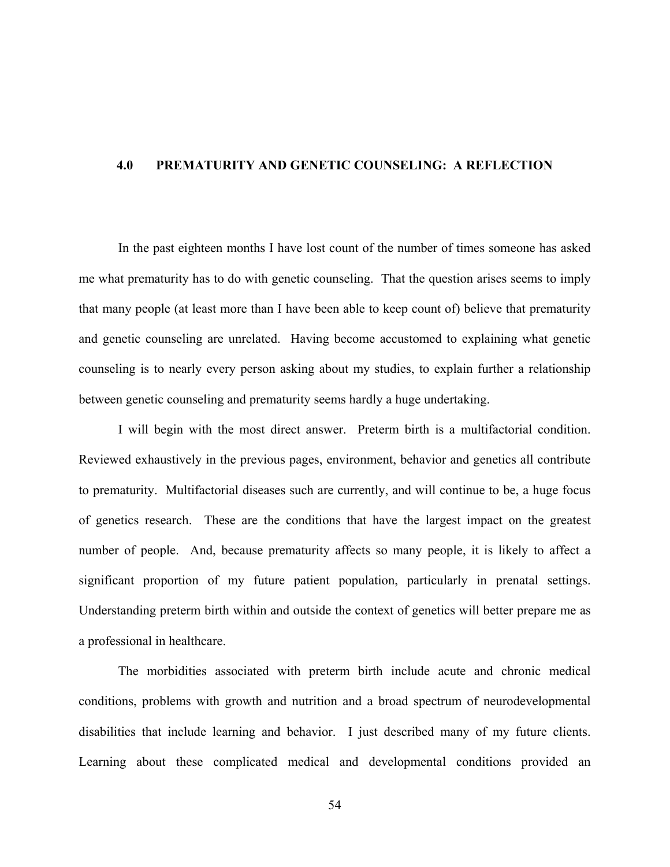#### **4.0 PREMATURITY AND GENETIC COUNSELING: A REFLECTION**

In the past eighteen months I have lost count of the number of times someone has asked me what prematurity has to do with genetic counseling. That the question arises seems to imply that many people (at least more than I have been able to keep count of) believe that prematurity and genetic counseling are unrelated. Having become accustomed to explaining what genetic counseling is to nearly every person asking about my studies, to explain further a relationship between genetic counseling and prematurity seems hardly a huge undertaking.

I will begin with the most direct answer. Preterm birth is a multifactorial condition. Reviewed exhaustively in the previous pages, environment, behavior and genetics all contribute to prematurity. Multifactorial diseases such are currently, and will continue to be, a huge focus of genetics research. These are the conditions that have the largest impact on the greatest number of people. And, because prematurity affects so many people, it is likely to affect a significant proportion of my future patient population, particularly in prenatal settings. Understanding preterm birth within and outside the context of genetics will better prepare me as a professional in healthcare.

The morbidities associated with preterm birth include acute and chronic medical conditions, problems with growth and nutrition and a broad spectrum of neurodevelopmental disabilities that include learning and behavior. I just described many of my future clients. Learning about these complicated medical and developmental conditions provided an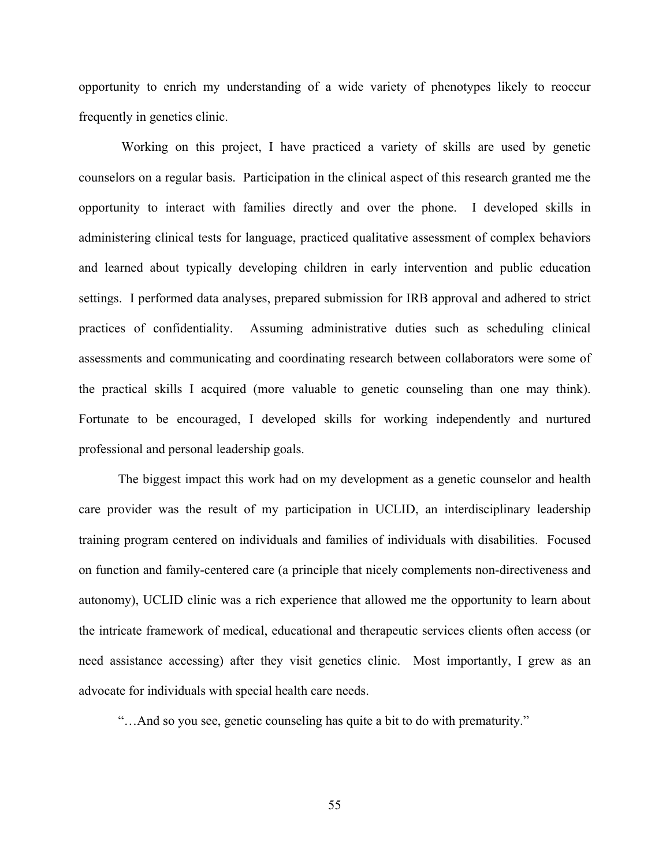opportunity to enrich my understanding of a wide variety of phenotypes likely to reoccur frequently in genetics clinic.

Working on this project, I have practiced a variety of skills are used by genetic counselors on a regular basis. Participation in the clinical aspect of this research granted me the opportunity to interact with families directly and over the phone. I developed skills in administering clinical tests for language, practiced qualitative assessment of complex behaviors and learned about typically developing children in early intervention and public education settings. I performed data analyses, prepared submission for IRB approval and adhered to strict practices of confidentiality. Assuming administrative duties such as scheduling clinical assessments and communicating and coordinating research between collaborators were some of the practical skills I acquired (more valuable to genetic counseling than one may think). Fortunate to be encouraged, I developed skills for working independently and nurtured professional and personal leadership goals.

The biggest impact this work had on my development as a genetic counselor and health care provider was the result of my participation in UCLID, an interdisciplinary leadership training program centered on individuals and families of individuals with disabilities. Focused on function and family-centered care (a principle that nicely complements non-directiveness and autonomy), UCLID clinic was a rich experience that allowed me the opportunity to learn about the intricate framework of medical, educational and therapeutic services clients often access (or need assistance accessing) after they visit genetics clinic. Most importantly, I grew as an advocate for individuals with special health care needs.

"…And so you see, genetic counseling has quite a bit to do with prematurity."

55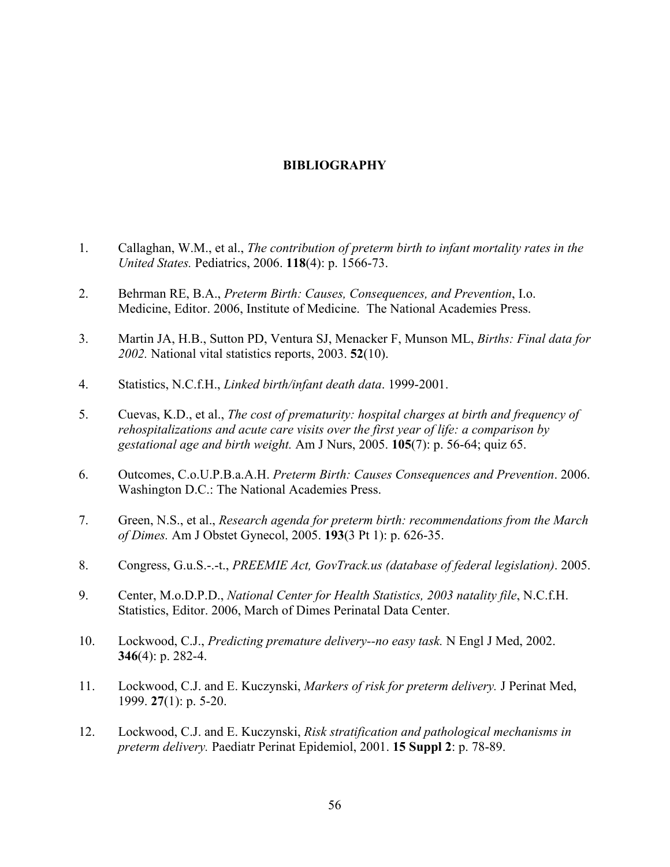# **BIBLIOGRAPHY**

- 1. Callaghan, W.M., et al., *The contribution of preterm birth to infant mortality rates in the United States.* Pediatrics, 2006. **118**(4): p. 1566-73.
- 2. Behrman RE, B.A., *Preterm Birth: Causes, Consequences, and Prevention*, I.o. Medicine, Editor. 2006, Institute of Medicine. The National Academies Press.
- 3. Martin JA, H.B., Sutton PD, Ventura SJ, Menacker F, Munson ML, *Births: Final data for 2002.* National vital statistics reports, 2003. **52**(10).
- 4. Statistics, N.C.f.H., *Linked birth/infant death data*. 1999-2001.
- 5. Cuevas, K.D., et al., *The cost of prematurity: hospital charges at birth and frequency of rehospitalizations and acute care visits over the first year of life: a comparison by gestational age and birth weight.* Am J Nurs, 2005. **105**(7): p. 56-64; quiz 65.
- 6. Outcomes, C.o.U.P.B.a.A.H. *Preterm Birth: Causes Consequences and Prevention*. 2006. Washington D.C.: The National Academies Press.
- 7. Green, N.S., et al., *Research agenda for preterm birth: recommendations from the March of Dimes.* Am J Obstet Gynecol, 2005. **193**(3 Pt 1): p. 626-35.
- 8. Congress, G.u.S.-.-t., *PREEMIE Act, GovTrack.us (database of federal legislation)*. 2005.
- 9. Center, M.o.D.P.D., *National Center for Health Statistics, 2003 natality file*, N.C.f.H. Statistics, Editor. 2006, March of Dimes Perinatal Data Center.
- 10. Lockwood, C.J., *Predicting premature delivery--no easy task.* N Engl J Med, 2002. **346**(4): p. 282-4.
- 11. Lockwood, C.J. and E. Kuczynski, *Markers of risk for preterm delivery.* J Perinat Med, 1999. **27**(1): p. 5-20.
- 12. Lockwood, C.J. and E. Kuczynski, *Risk stratification and pathological mechanisms in preterm delivery.* Paediatr Perinat Epidemiol, 2001. **15 Suppl 2**: p. 78-89.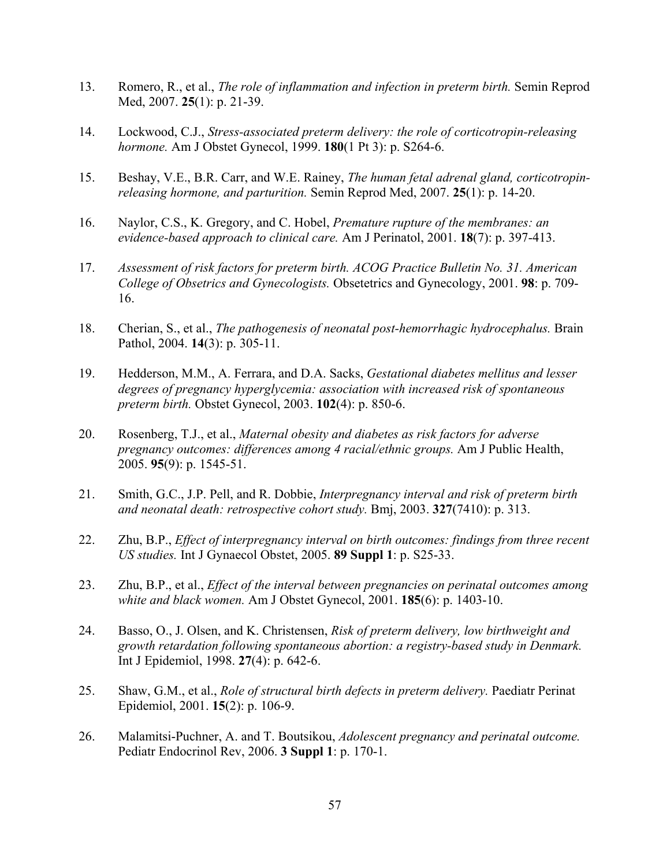- 13. Romero, R., et al., *The role of inflammation and infection in preterm birth.* Semin Reprod Med, 2007. **25**(1): p. 21-39.
- 14. Lockwood, C.J., *Stress-associated preterm delivery: the role of corticotropin-releasing hormone.* Am J Obstet Gynecol, 1999. **180**(1 Pt 3): p. S264-6.
- 15. Beshay, V.E., B.R. Carr, and W.E. Rainey, *The human fetal adrenal gland, corticotropinreleasing hormone, and parturition.* Semin Reprod Med, 2007. **25**(1): p. 14-20.
- 16. Naylor, C.S., K. Gregory, and C. Hobel, *Premature rupture of the membranes: an evidence-based approach to clinical care.* Am J Perinatol, 2001. **18**(7): p. 397-413.
- 17. *Assessment of risk factors for preterm birth. ACOG Practice Bulletin No. 31. American College of Obsetrics and Gynecologists.* Obsetetrics and Gynecology, 2001. **98**: p. 709- 16.
- 18. Cherian, S., et al., *The pathogenesis of neonatal post-hemorrhagic hydrocephalus.* Brain Pathol, 2004. **14**(3): p. 305-11.
- 19. Hedderson, M.M., A. Ferrara, and D.A. Sacks, *Gestational diabetes mellitus and lesser degrees of pregnancy hyperglycemia: association with increased risk of spontaneous preterm birth.* Obstet Gynecol, 2003. **102**(4): p. 850-6.
- 20. Rosenberg, T.J., et al., *Maternal obesity and diabetes as risk factors for adverse pregnancy outcomes: differences among 4 racial/ethnic groups.* Am J Public Health, 2005. **95**(9): p. 1545-51.
- 21. Smith, G.C., J.P. Pell, and R. Dobbie, *Interpregnancy interval and risk of preterm birth and neonatal death: retrospective cohort study.* Bmj, 2003. **327**(7410): p. 313.
- 22. Zhu, B.P., *Effect of interpregnancy interval on birth outcomes: findings from three recent US studies.* Int J Gynaecol Obstet, 2005. **89 Suppl 1**: p. S25-33.
- 23. Zhu, B.P., et al., *Effect of the interval between pregnancies on perinatal outcomes among white and black women.* Am J Obstet Gynecol, 2001. **185**(6): p. 1403-10.
- 24. Basso, O., J. Olsen, and K. Christensen, *Risk of preterm delivery, low birthweight and growth retardation following spontaneous abortion: a registry-based study in Denmark.* Int J Epidemiol, 1998. **27**(4): p. 642-6.
- 25. Shaw, G.M., et al., *Role of structural birth defects in preterm delivery.* Paediatr Perinat Epidemiol, 2001. **15**(2): p. 106-9.
- 26. Malamitsi-Puchner, A. and T. Boutsikou, *Adolescent pregnancy and perinatal outcome.* Pediatr Endocrinol Rev, 2006. **3 Suppl 1**: p. 170-1.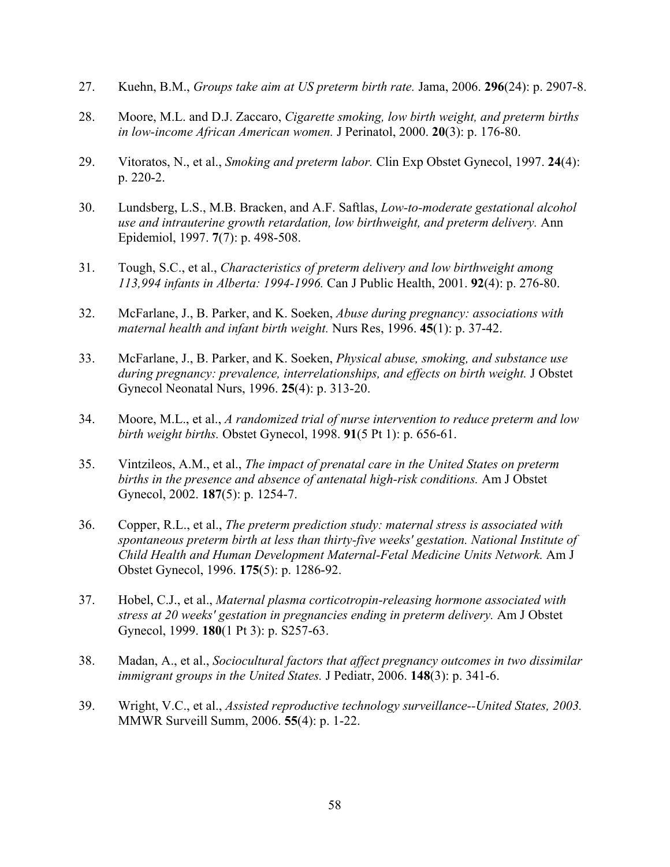- 27. Kuehn, B.M., *Groups take aim at US preterm birth rate.* Jama, 2006. **296**(24): p. 2907-8.
- 28. Moore, M.L. and D.J. Zaccaro, *Cigarette smoking, low birth weight, and preterm births in low-income African American women.* J Perinatol, 2000. **20**(3): p. 176-80.
- 29. Vitoratos, N., et al., *Smoking and preterm labor.* Clin Exp Obstet Gynecol, 1997. **24**(4): p. 220-2.
- 30. Lundsberg, L.S., M.B. Bracken, and A.F. Saftlas, *Low-to-moderate gestational alcohol use and intrauterine growth retardation, low birthweight, and preterm delivery.* Ann Epidemiol, 1997. **7**(7): p. 498-508.
- 31. Tough, S.C., et al., *Characteristics of preterm delivery and low birthweight among 113,994 infants in Alberta: 1994-1996.* Can J Public Health, 2001. **92**(4): p. 276-80.
- 32. McFarlane, J., B. Parker, and K. Soeken, *Abuse during pregnancy: associations with maternal health and infant birth weight.* Nurs Res, 1996. **45**(1): p. 37-42.
- 33. McFarlane, J., B. Parker, and K. Soeken, *Physical abuse, smoking, and substance use during pregnancy: prevalence, interrelationships, and effects on birth weight.* J Obstet Gynecol Neonatal Nurs, 1996. **25**(4): p. 313-20.
- 34. Moore, M.L., et al., *A randomized trial of nurse intervention to reduce preterm and low birth weight births.* Obstet Gynecol, 1998. **91**(5 Pt 1): p. 656-61.
- 35. Vintzileos, A.M., et al., *The impact of prenatal care in the United States on preterm births in the presence and absence of antenatal high-risk conditions.* Am J Obstet Gynecol, 2002. **187**(5): p. 1254-7.
- 36. Copper, R.L., et al., *The preterm prediction study: maternal stress is associated with spontaneous preterm birth at less than thirty-five weeks' gestation. National Institute of Child Health and Human Development Maternal-Fetal Medicine Units Network.* Am J Obstet Gynecol, 1996. **175**(5): p. 1286-92.
- 37. Hobel, C.J., et al., *Maternal plasma corticotropin-releasing hormone associated with stress at 20 weeks' gestation in pregnancies ending in preterm delivery.* Am J Obstet Gynecol, 1999. **180**(1 Pt 3): p. S257-63.
- 38. Madan, A., et al., *Sociocultural factors that affect pregnancy outcomes in two dissimilar immigrant groups in the United States.* J Pediatr, 2006. **148**(3): p. 341-6.
- 39. Wright, V.C., et al., *Assisted reproductive technology surveillance--United States, 2003.* MMWR Surveill Summ, 2006. **55**(4): p. 1-22.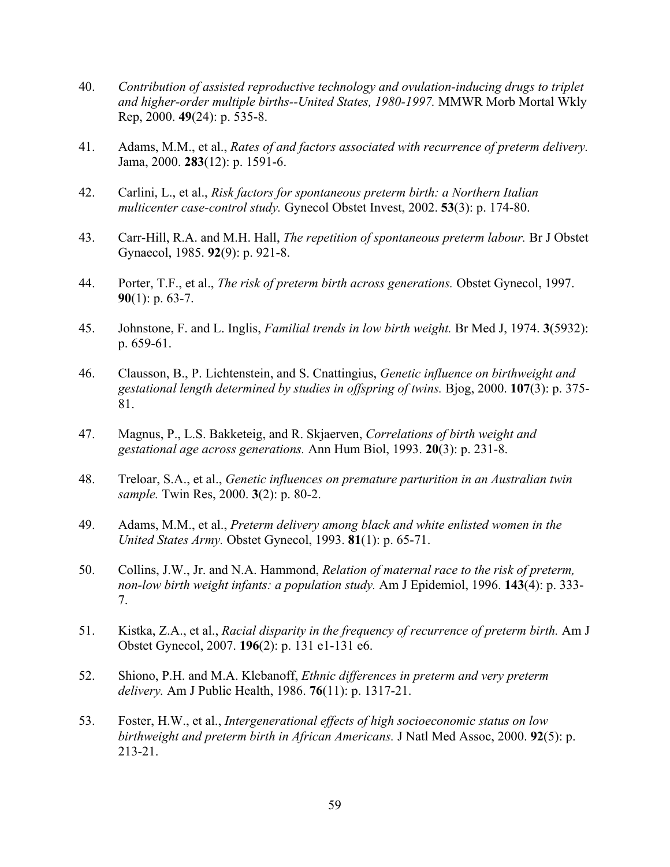- 40. *Contribution of assisted reproductive technology and ovulation-inducing drugs to triplet and higher-order multiple births--United States, 1980-1997.* MMWR Morb Mortal Wkly Rep, 2000. **49**(24): p. 535-8.
- 41. Adams, M.M., et al., *Rates of and factors associated with recurrence of preterm delivery.* Jama, 2000. **283**(12): p. 1591-6.
- 42. Carlini, L., et al., *Risk factors for spontaneous preterm birth: a Northern Italian multicenter case-control study.* Gynecol Obstet Invest, 2002. **53**(3): p. 174-80.
- 43. Carr-Hill, R.A. and M.H. Hall, *The repetition of spontaneous preterm labour.* Br J Obstet Gynaecol, 1985. **92**(9): p. 921-8.
- 44. Porter, T.F., et al., *The risk of preterm birth across generations.* Obstet Gynecol, 1997. **90**(1): p. 63-7.
- 45. Johnstone, F. and L. Inglis, *Familial trends in low birth weight.* Br Med J, 1974. **3**(5932): p. 659-61.
- 46. Clausson, B., P. Lichtenstein, and S. Cnattingius, *Genetic influence on birthweight and gestational length determined by studies in offspring of twins.* Bjog, 2000. **107**(3): p. 375- 81.
- 47. Magnus, P., L.S. Bakketeig, and R. Skjaerven, *Correlations of birth weight and gestational age across generations.* Ann Hum Biol, 1993. **20**(3): p. 231-8.
- 48. Treloar, S.A., et al., *Genetic influences on premature parturition in an Australian twin sample.* Twin Res, 2000. **3**(2): p. 80-2.
- 49. Adams, M.M., et al., *Preterm delivery among black and white enlisted women in the United States Army.* Obstet Gynecol, 1993. **81**(1): p. 65-71.
- 50. Collins, J.W., Jr. and N.A. Hammond, *Relation of maternal race to the risk of preterm, non-low birth weight infants: a population study.* Am J Epidemiol, 1996. **143**(4): p. 333- 7.
- 51. Kistka, Z.A., et al., *Racial disparity in the frequency of recurrence of preterm birth.* Am J Obstet Gynecol, 2007. **196**(2): p. 131 e1-131 e6.
- 52. Shiono, P.H. and M.A. Klebanoff, *Ethnic differences in preterm and very preterm delivery.* Am J Public Health, 1986. **76**(11): p. 1317-21.
- 53. Foster, H.W., et al., *Intergenerational effects of high socioeconomic status on low birthweight and preterm birth in African Americans.* J Natl Med Assoc, 2000. **92**(5): p. 213-21.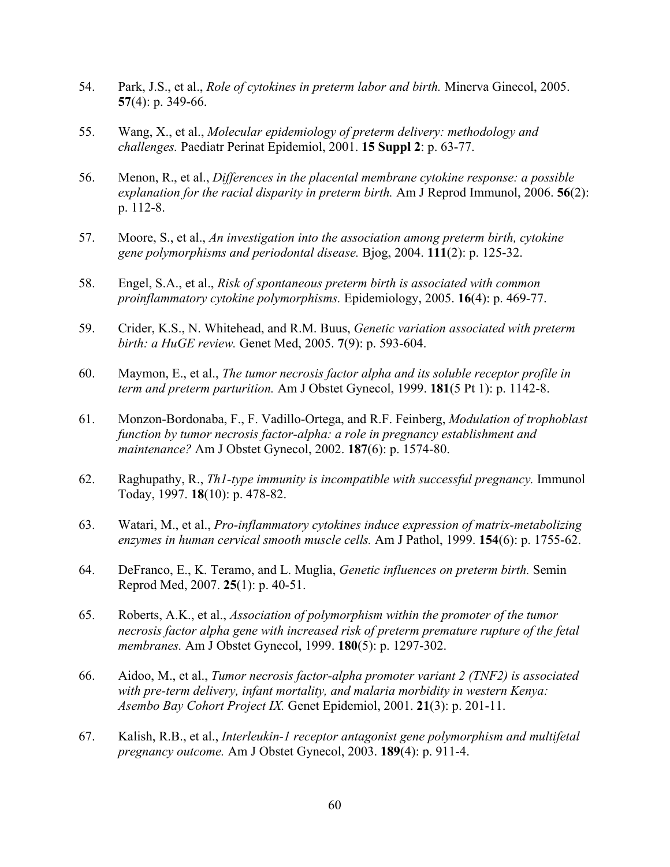- 54. Park, J.S., et al., *Role of cytokines in preterm labor and birth.* Minerva Ginecol, 2005. **57**(4): p. 349-66.
- 55. Wang, X., et al., *Molecular epidemiology of preterm delivery: methodology and challenges.* Paediatr Perinat Epidemiol, 2001. **15 Suppl 2**: p. 63-77.
- 56. Menon, R., et al., *Differences in the placental membrane cytokine response: a possible explanation for the racial disparity in preterm birth.* Am J Reprod Immunol, 2006. **56**(2): p. 112-8.
- 57. Moore, S., et al., *An investigation into the association among preterm birth, cytokine gene polymorphisms and periodontal disease.* Bjog, 2004. **111**(2): p. 125-32.
- 58. Engel, S.A., et al., *Risk of spontaneous preterm birth is associated with common proinflammatory cytokine polymorphisms.* Epidemiology, 2005. **16**(4): p. 469-77.
- 59. Crider, K.S., N. Whitehead, and R.M. Buus, *Genetic variation associated with preterm birth: a HuGE review.* Genet Med, 2005. **7**(9): p. 593-604.
- 60. Maymon, E., et al., *The tumor necrosis factor alpha and its soluble receptor profile in term and preterm parturition.* Am J Obstet Gynecol, 1999. **181**(5 Pt 1): p. 1142-8.
- 61. Monzon-Bordonaba, F., F. Vadillo-Ortega, and R.F. Feinberg, *Modulation of trophoblast function by tumor necrosis factor-alpha: a role in pregnancy establishment and maintenance?* Am J Obstet Gynecol, 2002. **187**(6): p. 1574-80.
- 62. Raghupathy, R., *Th1-type immunity is incompatible with successful pregnancy.* Immunol Today, 1997. **18**(10): p. 478-82.
- 63. Watari, M., et al., *Pro-inflammatory cytokines induce expression of matrix-metabolizing enzymes in human cervical smooth muscle cells.* Am J Pathol, 1999. **154**(6): p. 1755-62.
- 64. DeFranco, E., K. Teramo, and L. Muglia, *Genetic influences on preterm birth.* Semin Reprod Med, 2007. **25**(1): p. 40-51.
- 65. Roberts, A.K., et al., *Association of polymorphism within the promoter of the tumor necrosis factor alpha gene with increased risk of preterm premature rupture of the fetal membranes.* Am J Obstet Gynecol, 1999. **180**(5): p. 1297-302.
- 66. Aidoo, M., et al., *Tumor necrosis factor-alpha promoter variant 2 (TNF2) is associated with pre-term delivery, infant mortality, and malaria morbidity in western Kenya: Asembo Bay Cohort Project IX.* Genet Epidemiol, 2001. **21**(3): p. 201-11.
- 67. Kalish, R.B., et al., *Interleukin-1 receptor antagonist gene polymorphism and multifetal pregnancy outcome.* Am J Obstet Gynecol, 2003. **189**(4): p. 911-4.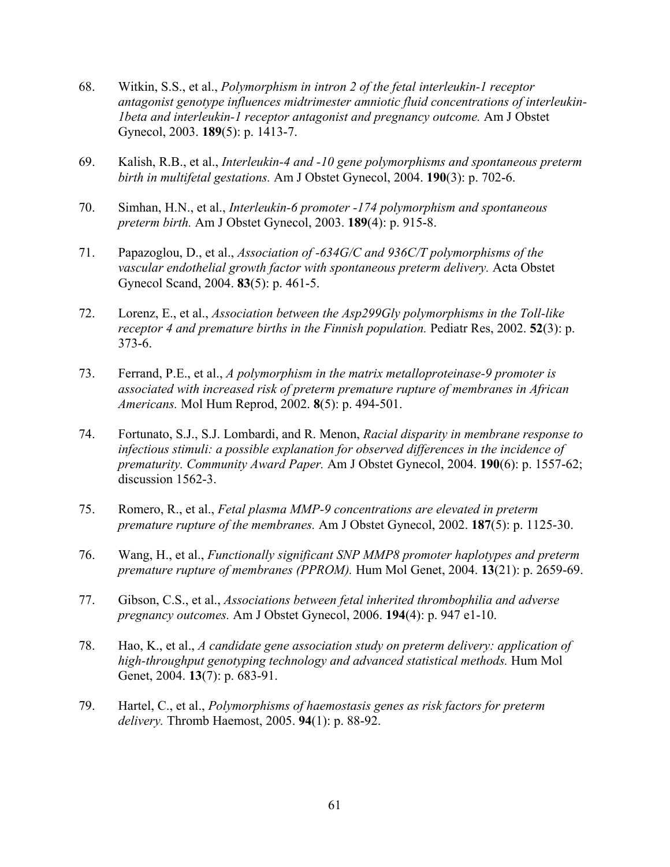- 68. Witkin, S.S., et al., *Polymorphism in intron 2 of the fetal interleukin-1 receptor antagonist genotype influences midtrimester amniotic fluid concentrations of interleukin-1beta and interleukin-1 receptor antagonist and pregnancy outcome.* Am J Obstet Gynecol, 2003. **189**(5): p. 1413-7.
- 69. Kalish, R.B., et al., *Interleukin-4 and -10 gene polymorphisms and spontaneous preterm birth in multifetal gestations.* Am J Obstet Gynecol, 2004. **190**(3): p. 702-6.
- 70. Simhan, H.N., et al., *Interleukin-6 promoter -174 polymorphism and spontaneous preterm birth.* Am J Obstet Gynecol, 2003. **189**(4): p. 915-8.
- 71. Papazoglou, D., et al., *Association of -634G/C and 936C/T polymorphisms of the vascular endothelial growth factor with spontaneous preterm delivery.* Acta Obstet Gynecol Scand, 2004. **83**(5): p. 461-5.
- 72. Lorenz, E., et al., *Association between the Asp299Gly polymorphisms in the Toll-like receptor 4 and premature births in the Finnish population.* Pediatr Res, 2002. **52**(3): p. 373-6.
- 73. Ferrand, P.E., et al., *A polymorphism in the matrix metalloproteinase-9 promoter is associated with increased risk of preterm premature rupture of membranes in African Americans.* Mol Hum Reprod, 2002. **8**(5): p. 494-501.
- 74. Fortunato, S.J., S.J. Lombardi, and R. Menon, *Racial disparity in membrane response to infectious stimuli: a possible explanation for observed differences in the incidence of prematurity. Community Award Paper.* Am J Obstet Gynecol, 2004. **190**(6): p. 1557-62; discussion 1562-3.
- 75. Romero, R., et al., *Fetal plasma MMP-9 concentrations are elevated in preterm premature rupture of the membranes.* Am J Obstet Gynecol, 2002. **187**(5): p. 1125-30.
- 76. Wang, H., et al., *Functionally significant SNP MMP8 promoter haplotypes and preterm premature rupture of membranes (PPROM).* Hum Mol Genet, 2004. **13**(21): p. 2659-69.
- 77. Gibson, C.S., et al., *Associations between fetal inherited thrombophilia and adverse pregnancy outcomes.* Am J Obstet Gynecol, 2006. **194**(4): p. 947 e1-10.
- 78. Hao, K., et al., *A candidate gene association study on preterm delivery: application of high-throughput genotyping technology and advanced statistical methods.* Hum Mol Genet, 2004. **13**(7): p. 683-91.
- 79. Hartel, C., et al., *Polymorphisms of haemostasis genes as risk factors for preterm delivery.* Thromb Haemost, 2005. **94**(1): p. 88-92.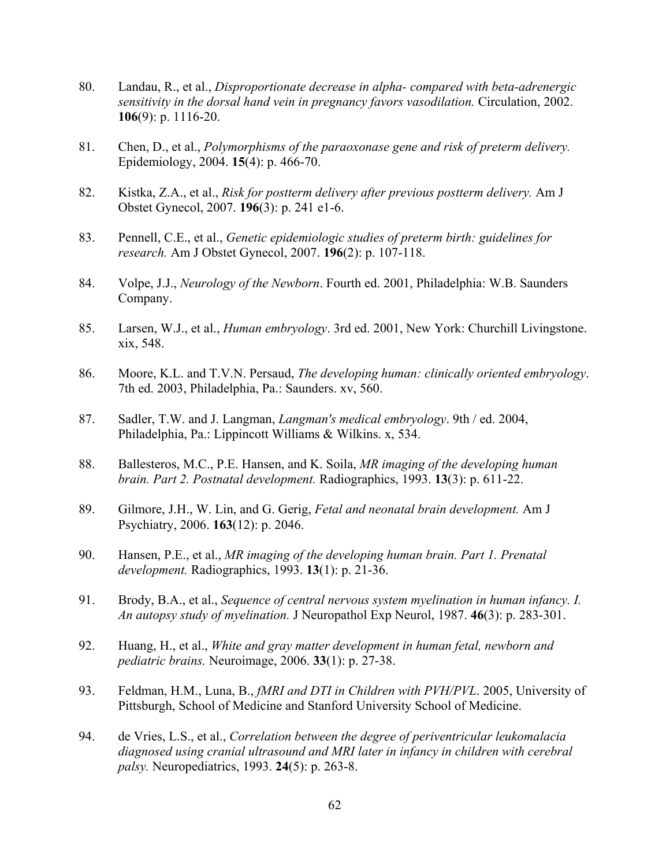- 80. Landau, R., et al., *Disproportionate decrease in alpha- compared with beta-adrenergic sensitivity in the dorsal hand vein in pregnancy favors vasodilation.* Circulation, 2002. **106**(9): p. 1116-20.
- 81. Chen, D., et al., *Polymorphisms of the paraoxonase gene and risk of preterm delivery.* Epidemiology, 2004. **15**(4): p. 466-70.
- 82. Kistka, Z.A., et al., *Risk for postterm delivery after previous postterm delivery.* Am J Obstet Gynecol, 2007. **196**(3): p. 241 e1-6.
- 83. Pennell, C.E., et al., *Genetic epidemiologic studies of preterm birth: guidelines for research.* Am J Obstet Gynecol, 2007. **196**(2): p. 107-118.
- 84. Volpe, J.J., *Neurology of the Newborn*. Fourth ed. 2001, Philadelphia: W.B. Saunders Company.
- 85. Larsen, W.J., et al., *Human embryology*. 3rd ed. 2001, New York: Churchill Livingstone. xix, 548.
- 86. Moore, K.L. and T.V.N. Persaud, *The developing human: clinically oriented embryology*. 7th ed. 2003, Philadelphia, Pa.: Saunders. xv, 560.
- 87. Sadler, T.W. and J. Langman, *Langman's medical embryology*. 9th / ed. 2004, Philadelphia, Pa.: Lippincott Williams & Wilkins. x, 534.
- 88. Ballesteros, M.C., P.E. Hansen, and K. Soila, *MR imaging of the developing human brain. Part 2. Postnatal development.* Radiographics, 1993. **13**(3): p. 611-22.
- 89. Gilmore, J.H., W. Lin, and G. Gerig, *Fetal and neonatal brain development.* Am J Psychiatry, 2006. **163**(12): p. 2046.
- 90. Hansen, P.E., et al., *MR imaging of the developing human brain. Part 1. Prenatal development.* Radiographics, 1993. **13**(1): p. 21-36.
- 91. Brody, B.A., et al., *Sequence of central nervous system myelination in human infancy. I. An autopsy study of myelination.* J Neuropathol Exp Neurol, 1987. **46**(3): p. 283-301.
- 92. Huang, H., et al., *White and gray matter development in human fetal, newborn and pediatric brains.* Neuroimage, 2006. **33**(1): p. 27-38.
- 93. Feldman, H.M., Luna, B., *fMRI and DTI in Children with PVH/PVL*. 2005, University of Pittsburgh, School of Medicine and Stanford University School of Medicine.
- 94. de Vries, L.S., et al., *Correlation between the degree of periventricular leukomalacia diagnosed using cranial ultrasound and MRI later in infancy in children with cerebral palsy.* Neuropediatrics, 1993. **24**(5): p. 263-8.